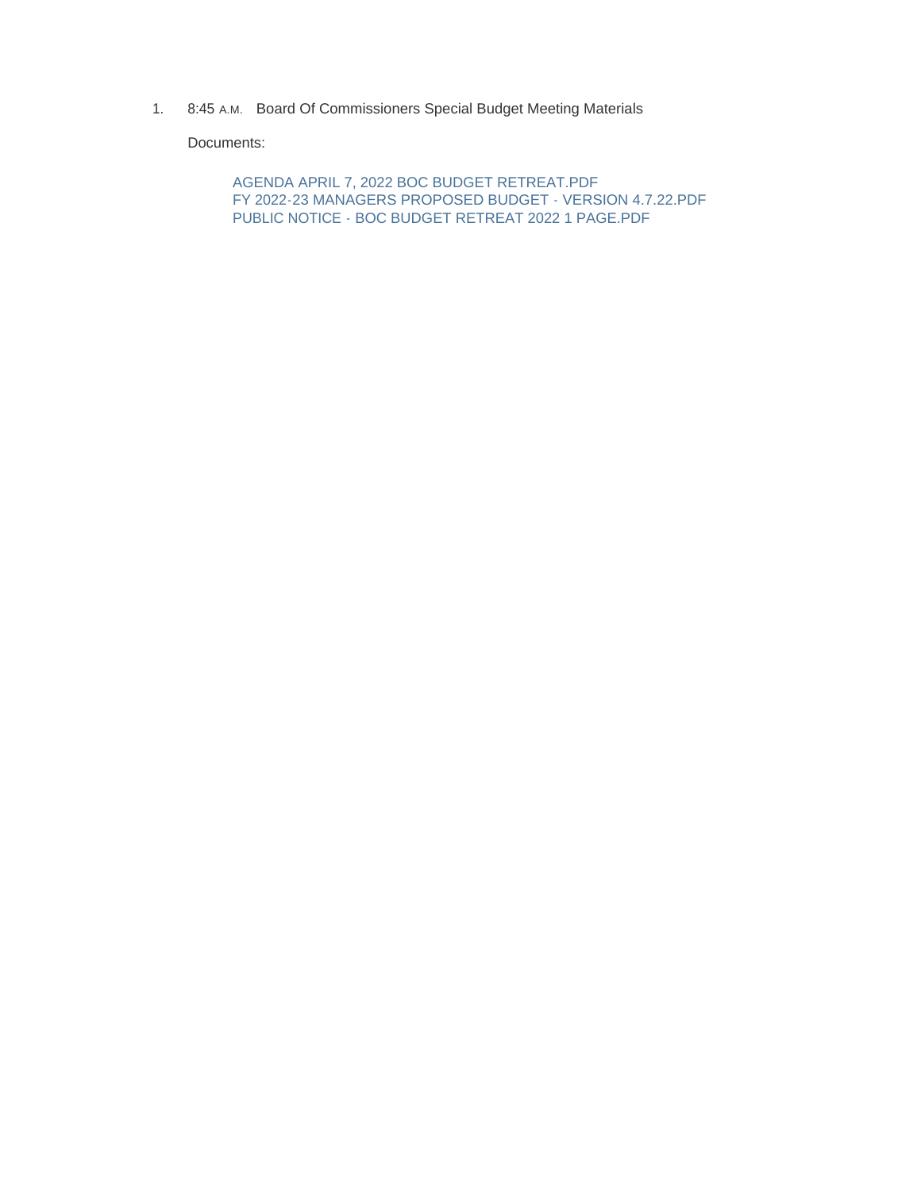1. 8:45 A.M. Board Of Commissioners Special Budget Meeting Materials

Documents:

AGENDA APRIL 7, 2022 BOC BUDGET RETREAT.PDF FY 2022-23 MANAGERS PROPOSED BUDGET - VERSION 4.7.22.PDF PUBLIC NOTICE - BOC BUDGET RETREAT 2022 1 PAGE.PDF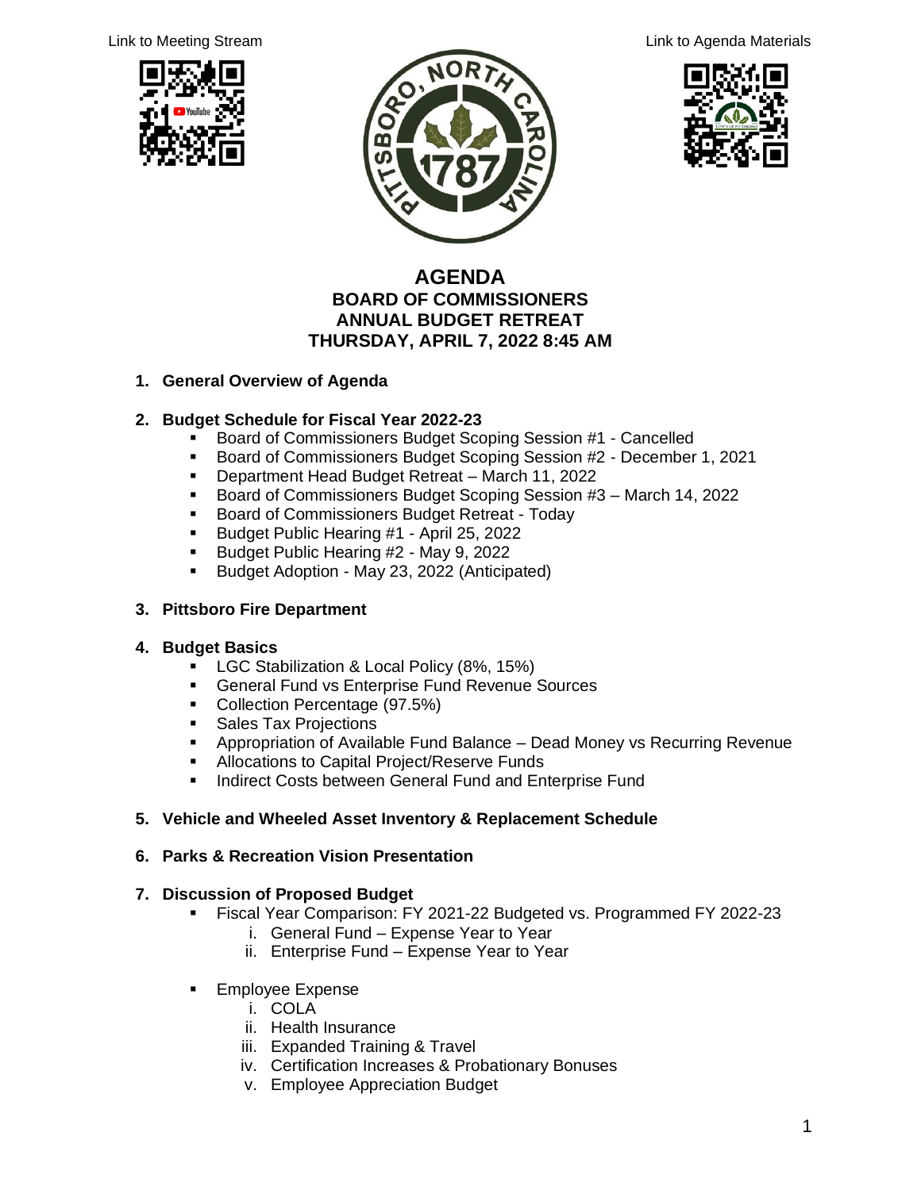





#### **AGENDA BOARD OF COMMISSIONERS ANNUAL BUDGET RETREAT THURSDAY, APRIL 7, 2022 8:45 AM**

#### **1. General Overview of Agenda**

#### **2. Budget Schedule for Fiscal Year 2022-23**

- Board of Commissioners Budget Scoping Session #1 Cancelled
- Board of Commissioners Budget Scoping Session #2 December 1, 2021
- Department Head Budget Retreat March 11, 2022
- Board of Commissioners Budget Scoping Session #3 March 14, 2022
- Board of Commissioners Budget Retreat Today
- Budget Public Hearing #1 April 25, 2022
- Budget Public Hearing #2 May 9, 2022
- Budget Adoption May 23, 2022 (Anticipated)

#### **3. Pittsboro Fire Department**

#### **4. Budget Basics**

- LGC Stabilization & Local Policy (8%, 15%)
- **EXEC** General Fund vs Enterprise Fund Revenue Sources
- Collection Percentage (97.5%)
- **EXECUTE:** Sales Tax Projections
- **EXP** Appropriation of Available Fund Balance Dead Money vs Recurring Revenue
- **EXEC** Allocations to Capital Project/Reserve Funds
- **■** Indirect Costs between General Fund and Enterprise Fund

#### **5. Vehicle and Wheeled Asset Inventory & Replacement Schedule**

#### **6. Parks & Recreation Vision Presentation**

#### **7. Discussion of Proposed Budget**

- Fiscal Year Comparison: FY 2021-22 Budgeted vs. Programmed FY 2022-23
	- i. General Fund Expense Year to Year
		- ii. Enterprise Fund Expense Year to Year
- **Employee Expense** 
	- i. COLA
	- ii. Health Insurance
	- iii. Expanded Training & Travel
	- iv. Certification Increases & Probationary Bonuses
	- v. Employee Appreciation Budget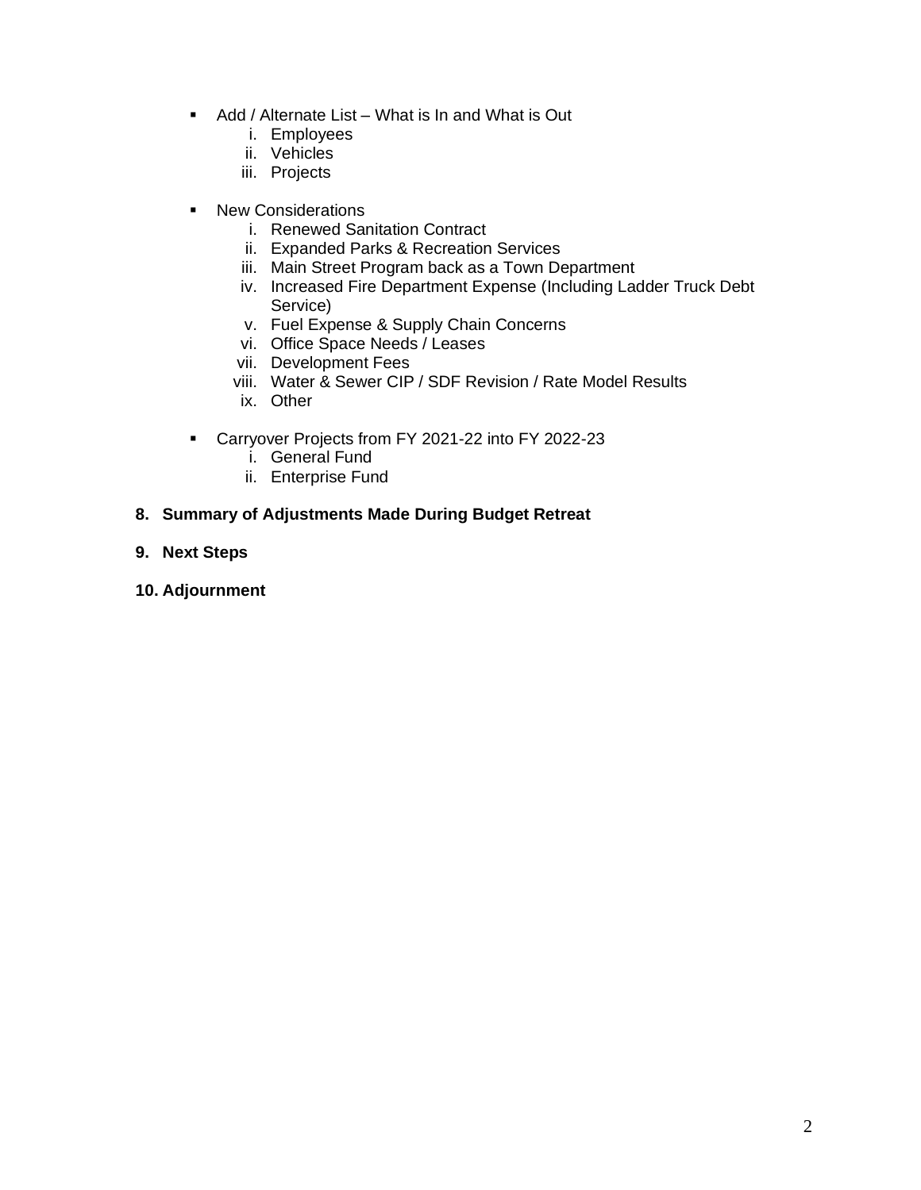- Add / Alternate List What is In and What is Out
	- i. Employees
	- ii. Vehicles
	- iii. Projects
- New Considerations
	- i. Renewed Sanitation Contract
	- ii. Expanded Parks & Recreation Services
	- iii. Main Street Program back as a Town Department
	- iv. Increased Fire Department Expense (Including Ladder Truck Debt Service)
	- v. Fuel Expense & Supply Chain Concerns
	- vi. Office Space Needs / Leases
	- vii. Development Fees
	- viii. Water & Sewer CIP / SDF Revision / Rate Model Results
	- ix. Other
- Carryover Projects from FY 2021-22 into FY 2022-23
	- i. General Fund
	- ii. Enterprise Fund
- **8. Summary of Adjustments Made During Budget Retreat**
- **9. Next Steps**
- **10. Adjournment**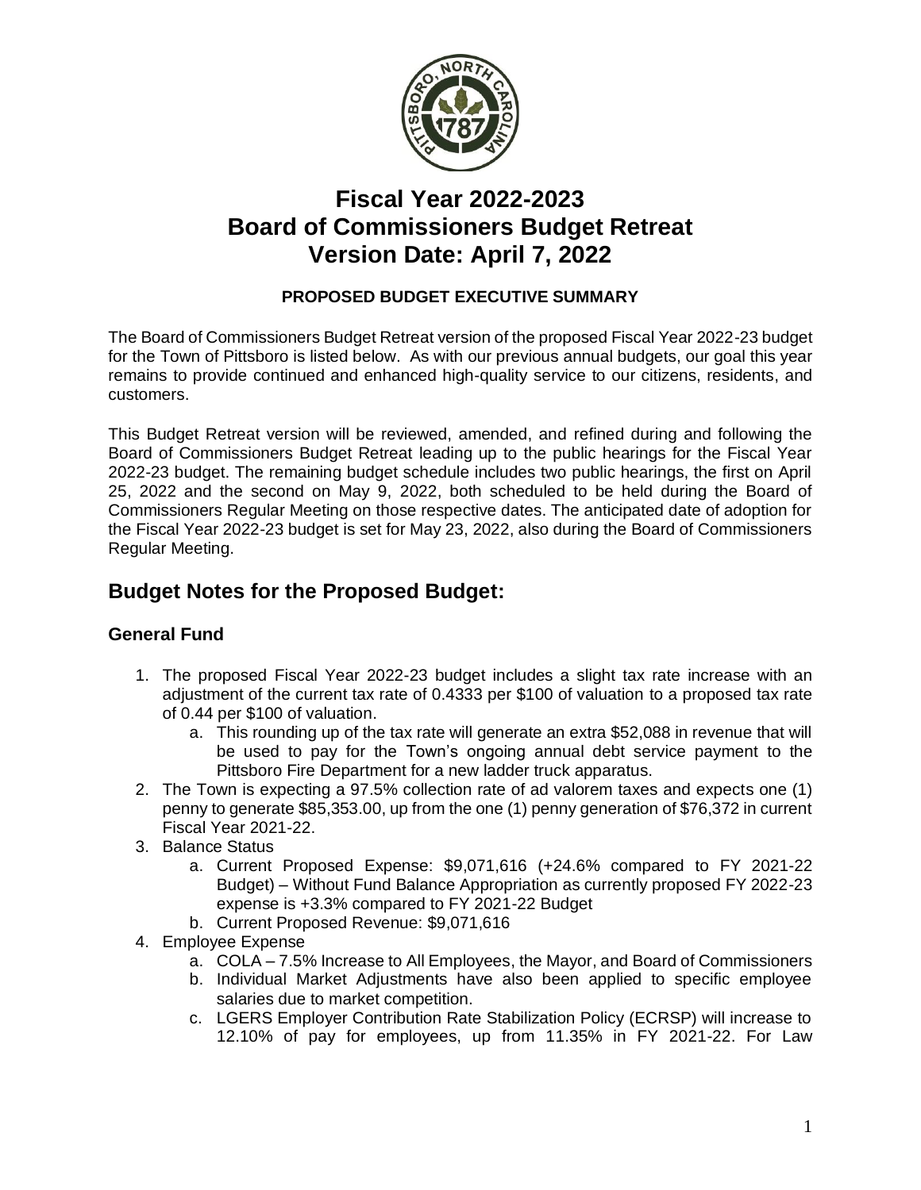

# **Fiscal Year 2022-2023 Board of Commissioners Budget Retreat Version Date: April 7, 2022**

### **PROPOSED BUDGET EXECUTIVE SUMMARY**

The Board of Commissioners Budget Retreat version of the proposed Fiscal Year 2022-23 budget for the Town of Pittsboro is listed below. As with our previous annual budgets, our goal this year remains to provide continued and enhanced high-quality service to our citizens, residents, and customers.

This Budget Retreat version will be reviewed, amended, and refined during and following the Board of Commissioners Budget Retreat leading up to the public hearings for the Fiscal Year 2022-23 budget. The remaining budget schedule includes two public hearings, the first on April 25, 2022 and the second on May 9, 2022, both scheduled to be held during the Board of Commissioners Regular Meeting on those respective dates. The anticipated date of adoption for the Fiscal Year 2022-23 budget is set for May 23, 2022, also during the Board of Commissioners Regular Meeting.

### **Budget Notes for the Proposed Budget:**

#### **General Fund**

- 1. The proposed Fiscal Year 2022-23 budget includes a slight tax rate increase with an adjustment of the current tax rate of 0.4333 per \$100 of valuation to a proposed tax rate of 0.44 per \$100 of valuation.
	- a. This rounding up of the tax rate will generate an extra \$52,088 in revenue that will be used to pay for the Town's ongoing annual debt service payment to the Pittsboro Fire Department for a new ladder truck apparatus.
- 2. The Town is expecting a 97.5% collection rate of ad valorem taxes and expects one (1) penny to generate \$85,353.00, up from the one (1) penny generation of \$76,372 in current Fiscal Year 2021-22.
- 3. Balance Status
	- a. Current Proposed Expense: \$9,071,616 (+24.6% compared to FY 2021-22 Budget) – Without Fund Balance Appropriation as currently proposed FY 2022-23 expense is +3.3% compared to FY 2021-22 Budget
	- b. Current Proposed Revenue: \$9,071,616
- 4. Employee Expense
	- a. COLA 7.5% Increase to All Employees, the Mayor, and Board of Commissioners
	- b. Individual Market Adjustments have also been applied to specific employee salaries due to market competition.
	- c. LGERS Employer Contribution Rate Stabilization Policy (ECRSP) will increase to 12.10% of pay for employees, up from 11.35% in FY 2021-22. For Law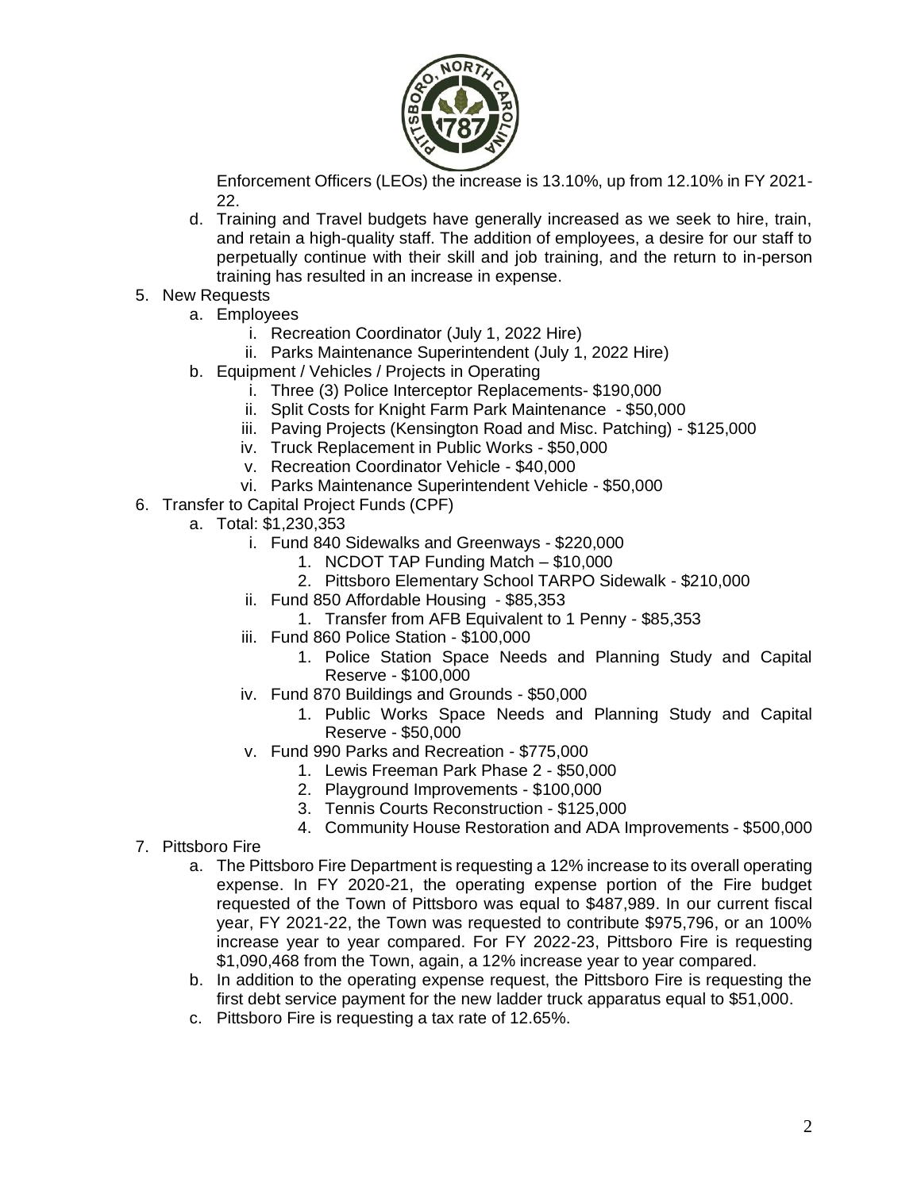

Enforcement Officers (LEOs) the increase is 13.10%, up from 12.10% in FY 2021- 22.

- d. Training and Travel budgets have generally increased as we seek to hire, train, and retain a high-quality staff. The addition of employees, a desire for our staff to perpetually continue with their skill and job training, and the return to in-person training has resulted in an increase in expense.
- 5. New Requests
	- a. Employees
		- i. Recreation Coordinator (July 1, 2022 Hire)
		- ii. Parks Maintenance Superintendent (July 1, 2022 Hire)
	- b. Equipment / Vehicles / Projects in Operating
		- i. Three (3) Police Interceptor Replacements- \$190,000
		- ii. Split Costs for Knight Farm Park Maintenance \$50,000
		- iii. Paving Projects (Kensington Road and Misc. Patching) \$125,000
		- iv. Truck Replacement in Public Works \$50,000
		- v. Recreation Coordinator Vehicle \$40,000
		- vi. Parks Maintenance Superintendent Vehicle \$50,000
- 6. Transfer to Capital Project Funds (CPF)
	- a. Total: \$1,230,353
		- i. Fund 840 Sidewalks and Greenways \$220,000
			- 1. NCDOT TAP Funding Match \$10,000
			- 2. Pittsboro Elementary School TARPO Sidewalk \$210,000
		- ii. Fund 850 Affordable Housing \$85,353
			- 1. Transfer from AFB Equivalent to 1 Penny \$85,353
		- iii. Fund 860 Police Station \$100,000
			- 1. Police Station Space Needs and Planning Study and Capital Reserve - \$100,000
		- iv. Fund 870 Buildings and Grounds \$50,000
			- 1. Public Works Space Needs and Planning Study and Capital Reserve - \$50,000
		- v. Fund 990 Parks and Recreation \$775,000
			- 1. Lewis Freeman Park Phase 2 \$50,000
			- 2. Playground Improvements \$100,000
			- 3. Tennis Courts Reconstruction \$125,000
			- 4. Community House Restoration and ADA Improvements \$500,000
- 7. Pittsboro Fire
	- a. The Pittsboro Fire Department is requesting a 12% increase to its overall operating expense. In FY 2020-21, the operating expense portion of the Fire budget requested of the Town of Pittsboro was equal to \$487,989. In our current fiscal year, FY 2021-22, the Town was requested to contribute \$975,796, or an 100% increase year to year compared. For FY 2022-23, Pittsboro Fire is requesting \$1,090,468 from the Town, again, a 12% increase year to year compared.
	- b. In addition to the operating expense request, the Pittsboro Fire is requesting the first debt service payment for the new ladder truck apparatus equal to \$51,000.
	- c. Pittsboro Fire is requesting a tax rate of 12.65%.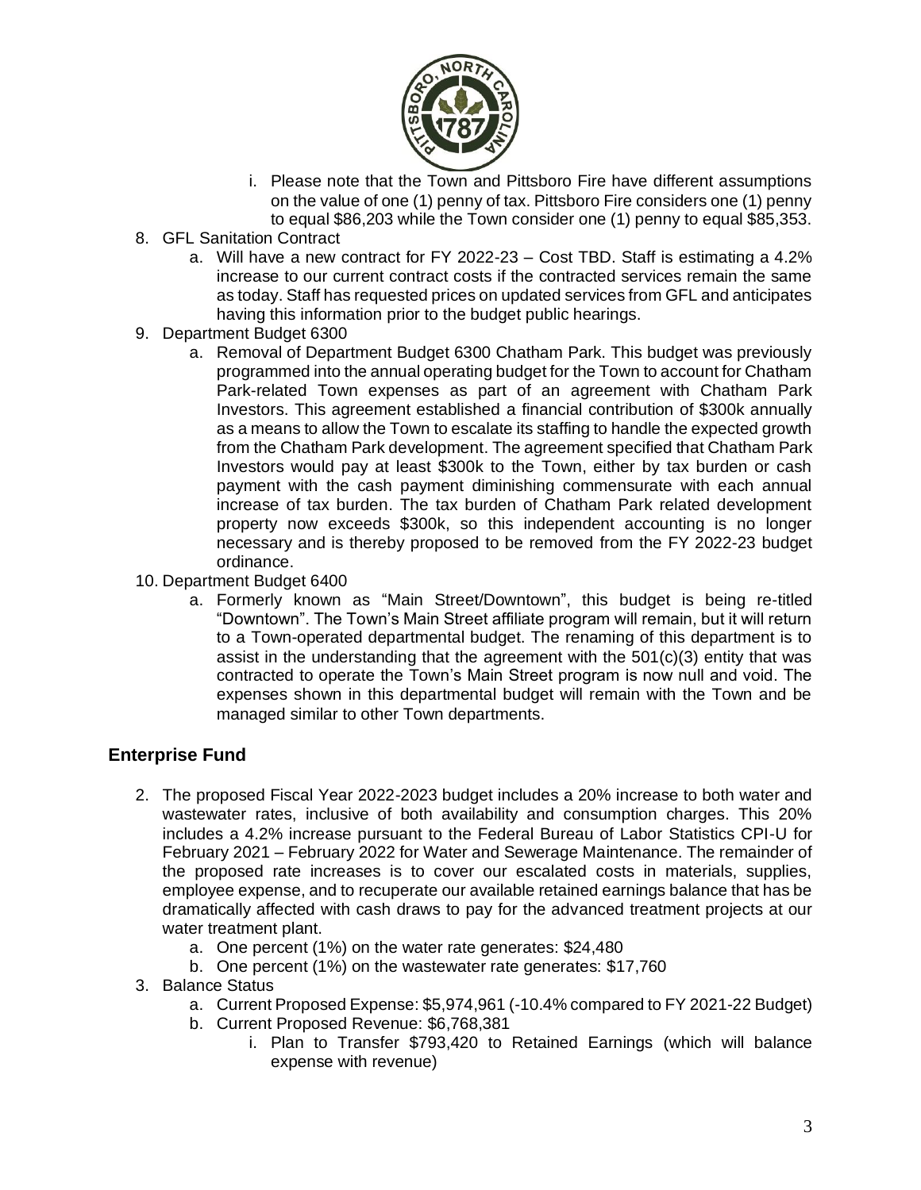

- i. Please note that the Town and Pittsboro Fire have different assumptions on the value of one (1) penny of tax. Pittsboro Fire considers one (1) penny to equal \$86,203 while the Town consider one (1) penny to equal \$85,353.
- 8. GFL Sanitation Contract
	- a. Will have a new contract for FY 2022-23 Cost TBD. Staff is estimating a 4.2% increase to our current contract costs if the contracted services remain the same as today. Staff has requested prices on updated services from GFL and anticipates having this information prior to the budget public hearings.
- 9. Department Budget 6300
	- a. Removal of Department Budget 6300 Chatham Park. This budget was previously programmed into the annual operating budget for the Town to account for Chatham Park-related Town expenses as part of an agreement with Chatham Park Investors. This agreement established a financial contribution of \$300k annually as a means to allow the Town to escalate its staffing to handle the expected growth from the Chatham Park development. The agreement specified that Chatham Park Investors would pay at least \$300k to the Town, either by tax burden or cash payment with the cash payment diminishing commensurate with each annual increase of tax burden. The tax burden of Chatham Park related development property now exceeds \$300k, so this independent accounting is no longer necessary and is thereby proposed to be removed from the FY 2022-23 budget ordinance.
- 10. Department Budget 6400
	- a. Formerly known as "Main Street/Downtown", this budget is being re-titled "Downtown". The Town's Main Street affiliate program will remain, but it will return to a Town-operated departmental budget. The renaming of this department is to assist in the understanding that the agreement with the  $501(c)(3)$  entity that was contracted to operate the Town's Main Street program is now null and void. The expenses shown in this departmental budget will remain with the Town and be managed similar to other Town departments.

#### **Enterprise Fund**

- 2. The proposed Fiscal Year 2022-2023 budget includes a 20% increase to both water and wastewater rates, inclusive of both availability and consumption charges. This 20% includes a 4.2% increase pursuant to the Federal Bureau of Labor Statistics CPI-U for February 2021 – February 2022 for Water and Sewerage Maintenance. The remainder of the proposed rate increases is to cover our escalated costs in materials, supplies, employee expense, and to recuperate our available retained earnings balance that has be dramatically affected with cash draws to pay for the advanced treatment projects at our water treatment plant.
	- a. One percent (1%) on the water rate generates: \$24,480
	- b. One percent (1%) on the wastewater rate generates: \$17,760
- 3. Balance Status
	- a. Current Proposed Expense: \$5,974,961 (-10.4% compared to FY 2021-22 Budget)
	- b. Current Proposed Revenue: \$6,768,381
		- i. Plan to Transfer \$793,420 to Retained Earnings (which will balance expense with revenue)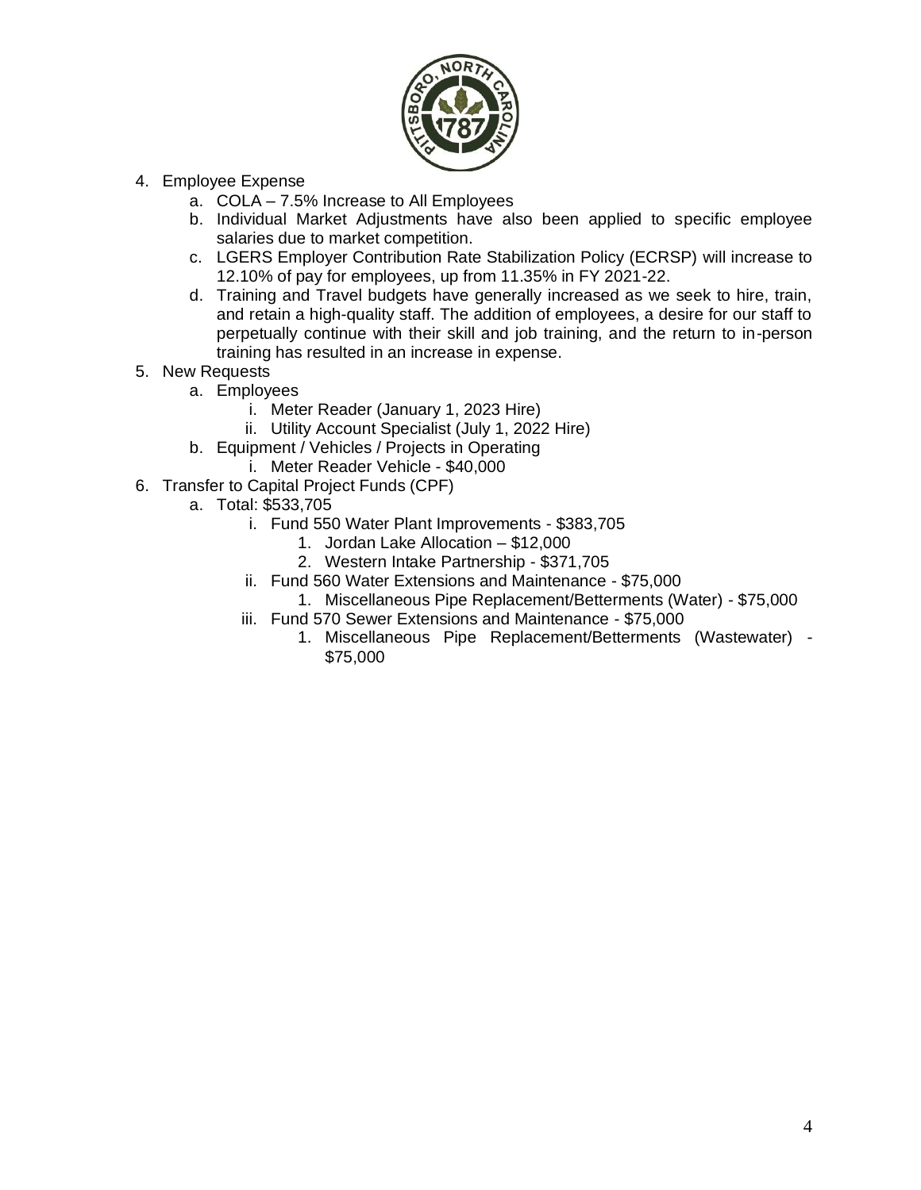

- 4. Employee Expense
	- a. COLA 7.5% Increase to All Employees
	- b. Individual Market Adjustments have also been applied to specific employee salaries due to market competition.
	- c. LGERS Employer Contribution Rate Stabilization Policy (ECRSP) will increase to 12.10% of pay for employees, up from 11.35% in FY 2021-22.
	- d. Training and Travel budgets have generally increased as we seek to hire, train, and retain a high-quality staff. The addition of employees, a desire for our staff to perpetually continue with their skill and job training, and the return to in-person training has resulted in an increase in expense.
- 5. New Requests
	- a. Employees
		- i. Meter Reader (January 1, 2023 Hire)
		- ii. Utility Account Specialist (July 1, 2022 Hire)
	- b. Equipment / Vehicles / Projects in Operating
		- i. Meter Reader Vehicle \$40,000
- 6. Transfer to Capital Project Funds (CPF)
	- a. Total: \$533,705
		- i. Fund 550 Water Plant Improvements \$383,705
			- 1. Jordan Lake Allocation \$12,000
			- 2. Western Intake Partnership \$371,705
		- ii. Fund 560 Water Extensions and Maintenance \$75,000
			- 1. Miscellaneous Pipe Replacement/Betterments (Water) \$75,000
		- iii. Fund 570 Sewer Extensions and Maintenance \$75,000
			- 1. Miscellaneous Pipe Replacement/Betterments (Wastewater) \$75,000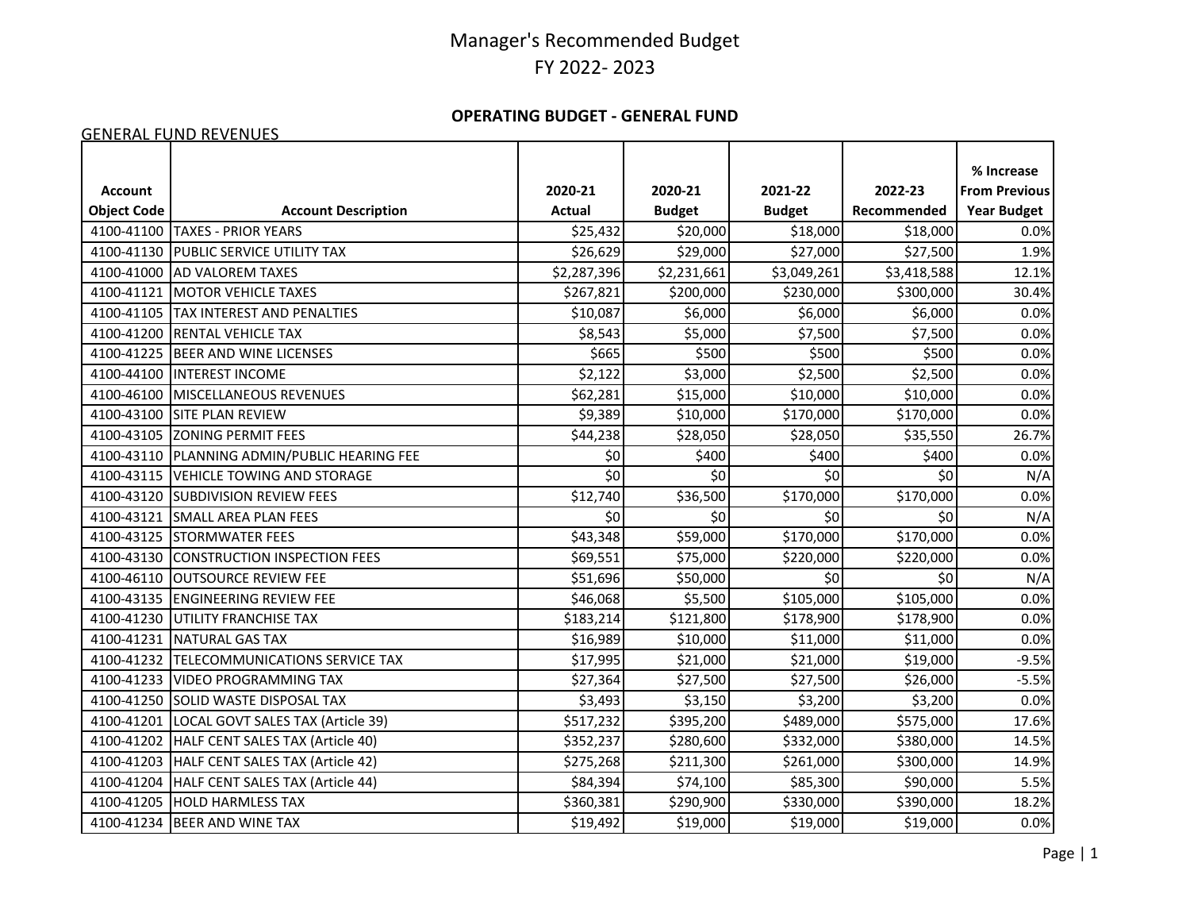#### **OPERATING BUDGET - GENERAL FUND**

#### GENERAL FUND REVENUES

|                    |                                       |               |               |               |             | % Increase           |
|--------------------|---------------------------------------|---------------|---------------|---------------|-------------|----------------------|
| <b>Account</b>     |                                       | 2020-21       | 2020-21       | 2021-22       | 2022-23     | <b>From Previous</b> |
| <b>Object Code</b> | <b>Account Description</b>            | <b>Actual</b> | <b>Budget</b> | <b>Budget</b> | Recommended | <b>Year Budget</b>   |
| 4100-41100         | <b>TAXES - PRIOR YEARS</b>            | \$25,432      | \$20,000      | \$18,000      | \$18,000    | 0.0%                 |
| 4100-41130         | PUBLIC SERVICE UTILITY TAX            | \$26,629      | \$29,000      | \$27,000      | \$27,500    | 1.9%                 |
| 4100-41000         | <b>AD VALOREM TAXES</b>               | \$2,287,396   | \$2,231,661   | \$3,049,261   | \$3,418,588 | 12.1%                |
| 4100-41121         | <b>MOTOR VEHICLE TAXES</b>            | \$267,821     | \$200,000     | \$230,000     | \$300,000   | 30.4%                |
| 4100-41105         | <b>TAX INTEREST AND PENALTIES</b>     | \$10,087      | \$6,000       | \$6,000       | \$6,000     | 0.0%                 |
| 4100-41200         | <b>RENTAL VEHICLE TAX</b>             | \$8,543       | \$5,000       | \$7,500       | \$7,500     | 0.0%                 |
| 4100-41225         | <b>BEER AND WINE LICENSES</b>         | \$665         | \$500         | \$500         | \$500       | 0.0%                 |
| 4100-44100         | <b>INTEREST INCOME</b>                | \$2,122       | \$3,000       | \$2,500       | \$2,500     | 0.0%                 |
| 4100-46100         | MISCELLANEOUS REVENUES                | \$62,281      | \$15,000      | \$10,000      | \$10,000    | 0.0%                 |
| 4100-43100         | <b>SITE PLAN REVIEW</b>               | \$9,389       | \$10,000      | \$170,000     | \$170,000   | 0.0%                 |
| 4100-43105         | <b>ZONING PERMIT FEES</b>             | \$44,238      | \$28,050      | \$28,050      | \$35,550    | 26.7%                |
| 4100-43110         | PLANNING ADMIN/PUBLIC HEARING FEE     | \$0           | \$400         | \$400         | \$400       | 0.0%                 |
| 4100-43115         | VEHICLE TOWING AND STORAGE            | \$0           | \$0           | \$0           | \$0         | N/A                  |
| 4100-43120         | <b>ISUBDIVISION REVIEW FEES</b>       | \$12,740      | \$36,500      | \$170,000     | \$170,000   | 0.0%                 |
| 4100-43121         | <b>SMALL AREA PLAN FEES</b>           | \$0           | \$0           | \$0           | \$0         | N/A                  |
| 4100-43125         | <b>STORMWATER FEES</b>                | \$43,348      | \$59,000      | \$170,000     | \$170,000   | 0.0%                 |
| 4100-43130         | <b>CONSTRUCTION INSPECTION FEES</b>   | \$69,551      | \$75,000      | \$220,000     | \$220,000   | 0.0%                 |
| 4100-46110         | <b>OUTSOURCE REVIEW FEE</b>           | \$51,696      | \$50,000      | \$0           | \$0         | N/A                  |
| 4100-43135         | <b>ENGINEERING REVIEW FEE</b>         | \$46,068      | \$5,500       | \$105,000     | \$105,000   | 0.0%                 |
| 4100-41230         | <b>IUTILITY FRANCHISE TAX</b>         | \$183,214     | \$121,800     | \$178,900     | \$178,900   | 0.0%                 |
| 4100-41231         | NATURAL GAS TAX                       | \$16,989      | \$10,000      | \$11,000      | \$11,000    | 0.0%                 |
| 4100-41232         | <b>TELECOMMUNICATIONS SERVICE TAX</b> | \$17,995      | \$21,000      | \$21,000      | \$19,000    | $-9.5%$              |
| 4100-41233         | <b>VIDEO PROGRAMMING TAX</b>          | \$27,364      | \$27,500      | \$27,500      | \$26,000    | $-5.5%$              |
| 4100-41250         | <b>SOLID WASTE DISPOSAL TAX</b>       | \$3,493       | \$3,150       | \$3,200       | \$3,200     | 0.0%                 |
| 4100-41201         | LOCAL GOVT SALES TAX (Article 39)     | \$517,232     | \$395,200     | \$489,000     | \$575,000   | 17.6%                |
| 4100-41202         | HALF CENT SALES TAX (Article 40)      | \$352,237     | \$280,600     | \$332,000     | \$380,000   | 14.5%                |
| 4100-41203         | HALF CENT SALES TAX (Article 42)      | \$275,268     | \$211,300     | \$261,000     | \$300,000   | 14.9%                |
| 4100-41204         | HALF CENT SALES TAX (Article 44)      | \$84,394      | \$74,100      | \$85,300      | \$90,000    | 5.5%                 |
| 4100-41205         | <b>HOLD HARMLESS TAX</b>              | \$360,381     | \$290,900     | \$330,000     | \$390,000   | 18.2%                |
| 4100-41234         | BEER AND WINE TAX                     | \$19,492      | \$19,000      | \$19,000      | \$19,000    | 0.0%                 |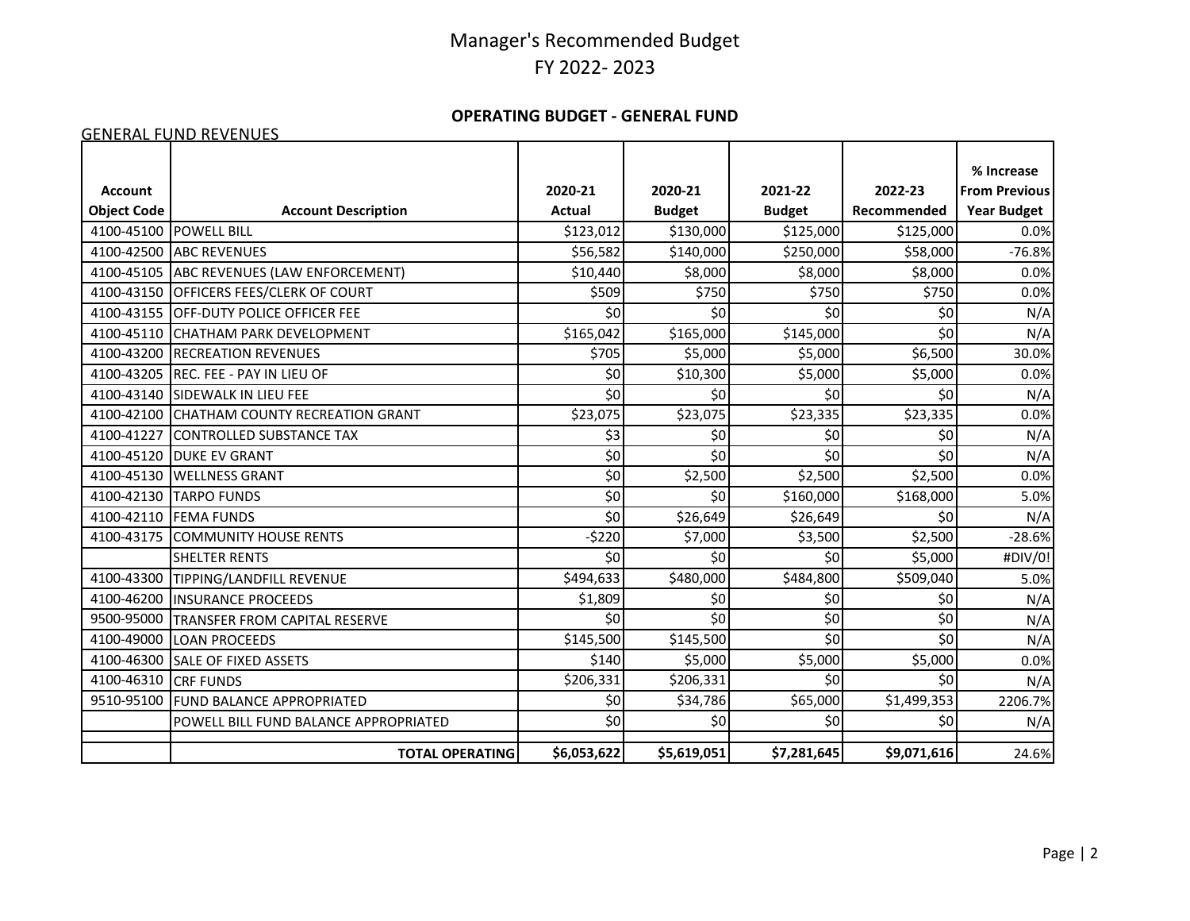#### **OPERATING BUDGET - GENERAL FUND**

#### GENERAL FUND REVENUES

|                    |                                       |               |               |               |             | % Increase           |
|--------------------|---------------------------------------|---------------|---------------|---------------|-------------|----------------------|
| <b>Account</b>     |                                       | 2020-21       | 2020-21       | 2021-22       | 2022-23     | <b>From Previous</b> |
| <b>Object Code</b> | <b>Account Description</b>            | <b>Actual</b> | <b>Budget</b> | <b>Budget</b> | Recommended | <b>Year Budget</b>   |
| 4100-45100         | <b>POWELL BILL</b>                    | \$123,012     | \$130,000     | \$125,000     | \$125,000   | 0.0%                 |
| 4100-42500         | <b>ABC REVENUES</b>                   | \$56,582      | \$140,000     | \$250,000     | \$58,000    | $-76.8%$             |
| 4100-45105         | ABC REVENUES (LAW ENFORCEMENT)        | \$10,440      | \$8,000       | \$8,000       | \$8,000     | 0.0%                 |
| 4100-43150         | <b>OFFICERS FEES/CLERK OF COURT</b>   | \$509         | \$750         | \$750         | \$750       | 0.0%                 |
| 4100-43155         | <b>OFF-DUTY POLICE OFFICER FEE</b>    | \$0           | \$0           | \$0           | \$0         | N/A                  |
| 4100-45110         | <b>CHATHAM PARK DEVELOPMENT</b>       | \$165,042     | \$165,000     | \$145,000     | \$0         | N/A                  |
| 4100-43200         | <b>RECREATION REVENUES</b>            | \$705         | \$5,000       | \$5,000       | \$6,500     | 30.0%                |
| 4100-43205         | <b>REC. FEE - PAY IN LIEU OF</b>      | \$0           | \$10,300      | \$5,000       | \$5,000     | 0.0%                 |
| 4100-43140         | SIDEWALK IN LIEU FEE                  | \$0           | \$0           | \$0           | \$0         | N/A                  |
| 4100-42100         | CHATHAM COUNTY RECREATION GRANT       | \$23,075      | \$23,075      | \$23,335      | \$23,335    | 0.0%                 |
| 4100-41227         | CONTROLLED SUBSTANCE TAX              | \$3           | \$0           | \$0           | \$0         | N/A                  |
| 4100-45120         | <b>DUKE EV GRANT</b>                  | \$0           | \$0           | \$0           | \$0         | N/A                  |
| 4100-45130         | <b>WELLNESS GRANT</b>                 | \$0           | \$2,500       | \$2,500       | \$2,500     | 0.0%                 |
| 4100-42130         | <b>TARPO FUNDS</b>                    | \$0           | \$0           | \$160,000     | \$168,000   | 5.0%                 |
| 4100-42110         | <b>FEMA FUNDS</b>                     | \$0           | \$26,649      | \$26,649      | \$0         | N/A                  |
| 4100-43175         | <b>COMMUNITY HOUSE RENTS</b>          | $-5220$       | \$7,000       | \$3,500       | \$2,500     | $-28.6%$             |
|                    | <b>SHELTER RENTS</b>                  | \$0           | \$0           | \$0           | \$5,000     | #DIV/0!              |
| 4100-43300         | TIPPING/LANDFILL REVENUE              | \$494,633     | \$480,000     | \$484,800     | \$509,040   | 5.0%                 |
| 4100-46200         | <b>INSURANCE PROCEEDS</b>             | \$1,809       | \$0           | \$0           | \$0         | N/A                  |
| 9500-95000         | TRANSFER FROM CAPITAL RESERVE         | \$0           | \$0           | \$0           | \$0         | N/A                  |
| 4100-49000         | <b>LOAN PROCEEDS</b>                  | \$145,500     | \$145,500     | \$0           | \$0         | N/A                  |
| 4100-46300         | <b>SALE OF FIXED ASSETS</b>           | \$140         | \$5,000       | \$5,000       | \$5,000     | 0.0%                 |
| 4100-46310         | <b>CRF FUNDS</b>                      | \$206,331     | \$206,331     | \$0           | \$0         | N/A                  |
| 9510-95100         | <b>FUND BALANCE APPROPRIATED</b>      | \$0           | \$34,786      | \$65,000      | \$1,499,353 | 2206.7%              |
|                    | POWELL BILL FUND BALANCE APPROPRIATED | \$0           | \$0           | \$0           | \$0         | N/A                  |
|                    | <b>TOTAL OPERATING</b>                | \$6,053,622   | \$5,619,051   | \$7,281,645   | \$9,071,616 | 24.6%                |
|                    |                                       |               |               |               |             |                      |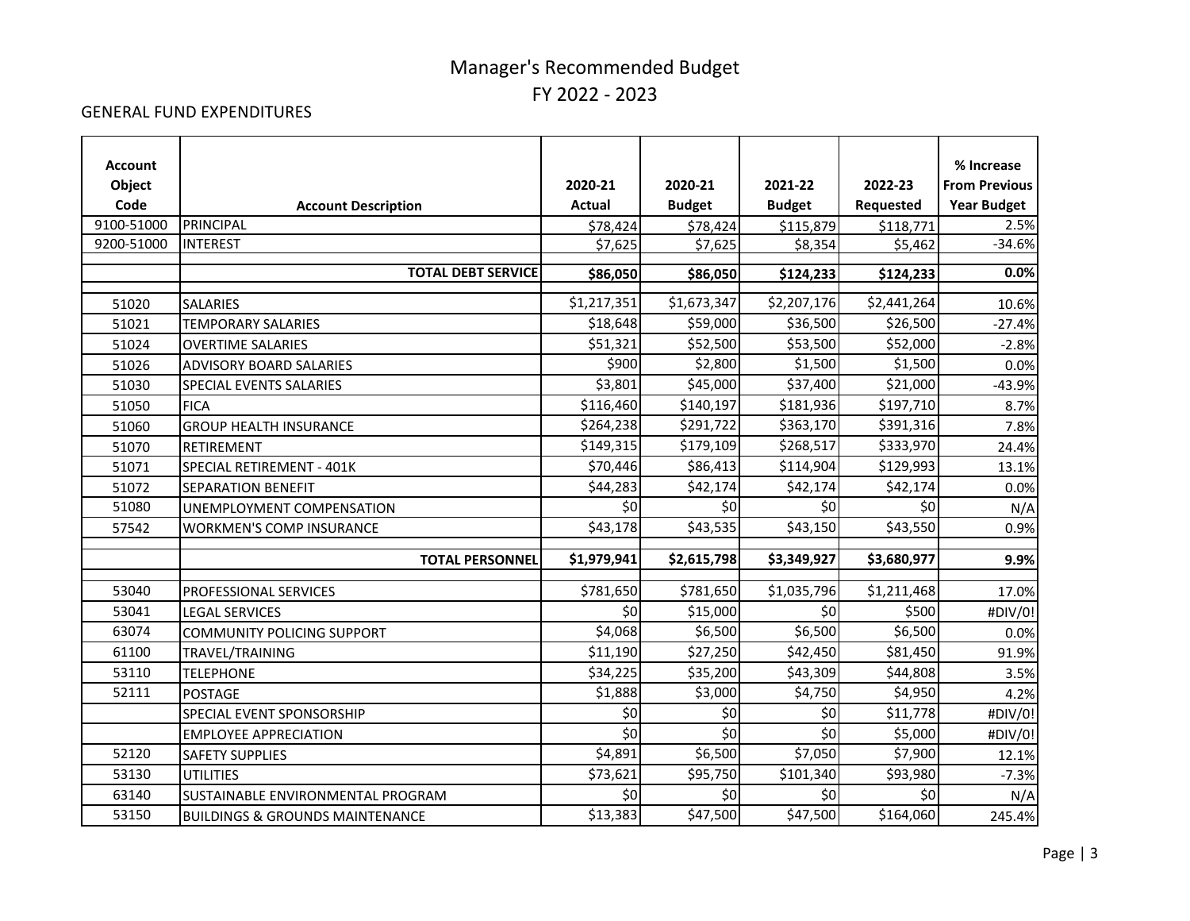#### GENERAL FUND EXPENDITURES

| <b>Account</b> |                                                            |               |               |               |             | % Increase           |
|----------------|------------------------------------------------------------|---------------|---------------|---------------|-------------|----------------------|
| Object         |                                                            | 2020-21       | 2020-21       | 2021-22       | 2022-23     | <b>From Previous</b> |
| Code           | <b>Account Description</b>                                 | <b>Actual</b> | <b>Budget</b> | <b>Budget</b> | Requested   | <b>Year Budget</b>   |
| 9100-51000     | <b>PRINCIPAL</b>                                           | \$78,424      | \$78,424      | \$115,879     | \$118,771   | 2.5%                 |
| 9200-51000     | <b>INTEREST</b>                                            | \$7,625       | \$7,625       | \$8,354       | \$5,462     | $-34.6%$             |
|                |                                                            |               |               |               |             |                      |
|                | <b>TOTAL DEBT SERVICE</b>                                  | \$86,050      | \$86,050      | \$124,233     | \$124,233   | 0.0%                 |
| 51020          | SALARIES                                                   | \$1,217,351   | \$1,673,347   | \$2,207,176   | \$2,441,264 | 10.6%                |
| 51021          | <b>TEMPORARY SALARIES</b>                                  | \$18,648      | \$59,000      | \$36,500      | \$26,500    | $-27.4%$             |
| 51024          | <b>OVERTIME SALARIES</b>                                   | \$51,321      | \$52,500      | \$53,500      | \$52,000    | $-2.8%$              |
| 51026          | <b>ADVISORY BOARD SALARIES</b>                             | \$900         | \$2,800       | \$1,500       | \$1,500     | 0.0%                 |
| 51030          | SPECIAL EVENTS SALARIES                                    | \$3,801       | \$45,000      | \$37,400      | \$21,000    | $-43.9%$             |
| 51050          | <b>FICA</b>                                                | \$116,460     | \$140,197     | \$181,936     | \$197,710   | 8.7%                 |
| 51060          | <b>GROUP HEALTH INSURANCE</b>                              | \$264,238     | \$291,722     | \$363,170     | \$391,316   | 7.8%                 |
| 51070          | RETIREMENT                                                 | \$149,315     | \$179,109     | \$268,517     | \$333,970   | 24.4%                |
| 51071          | SPECIAL RETIREMENT - 401K                                  | \$70,446      | \$86,413      | \$114,904     | \$129,993   | 13.1%                |
| 51072          | <b>SEPARATION BENEFIT</b>                                  | \$44,283      | \$42,174      | \$42,174      | \$42,174    | 0.0%                 |
| 51080          | UNEMPLOYMENT COMPENSATION                                  | \$0           | \$0           | \$0           | \$0         | N/A                  |
| 57542          | <b>WORKMEN'S COMP INSURANCE</b>                            | \$43,178      | \$43,535      | \$43,150      | \$43,550    | 0.9%                 |
|                | <b>TOTAL PERSONNEL</b>                                     | \$1,979,941   | \$2,615,798   | \$3,349,927   | \$3,680,977 | 9.9%                 |
| 53040          | PROFESSIONAL SERVICES                                      | \$781,650     | \$781,650     | \$1,035,796   | \$1,211,468 | 17.0%                |
| 53041          |                                                            | \$0           | \$15,000      | \$0           | \$500       | #DIV/0!              |
| 63074          | <b>LEGAL SERVICES</b><br><b>COMMUNITY POLICING SUPPORT</b> | \$4,068       | \$6,500       | \$6,500       | \$6,500     | 0.0%                 |
| 61100          | TRAVEL/TRAINING                                            | \$11,190      | \$27,250      | \$42,450      | \$81,450    | 91.9%                |
| 53110          | <b>TELEPHONE</b>                                           | \$34,225      | \$35,200      | \$43,309      | \$44,808    | 3.5%                 |
| 52111          | <b>POSTAGE</b>                                             | \$1,888       | \$3,000       | \$4,750       | \$4,950     | 4.2%                 |
|                | SPECIAL EVENT SPONSORSHIP                                  | \$0           | \$0           | \$0           | \$11,778    | #DIV/0!              |
|                | <b>EMPLOYEE APPRECIATION</b>                               | \$0           | \$0           | \$0           | \$5,000     | #DIV/0!              |
| 52120          | <b>SAFETY SUPPLIES</b>                                     | \$4,891       | \$6,500       | \$7,050       | \$7,900     | 12.1%                |
| 53130          | <b>UTILITIES</b>                                           | \$73,621      | \$95,750      | \$101,340     | \$93,980    | $-7.3%$              |
| 63140          | SUSTAINABLE ENVIRONMENTAL PROGRAM                          | \$0           | \$0           | \$0           | \$0         | N/A                  |
| 53150          | <b>BUILDINGS &amp; GROUNDS MAINTENANCE</b>                 | \$13,383      | \$47,500      | \$47,500      | \$164,060   | 245.4%               |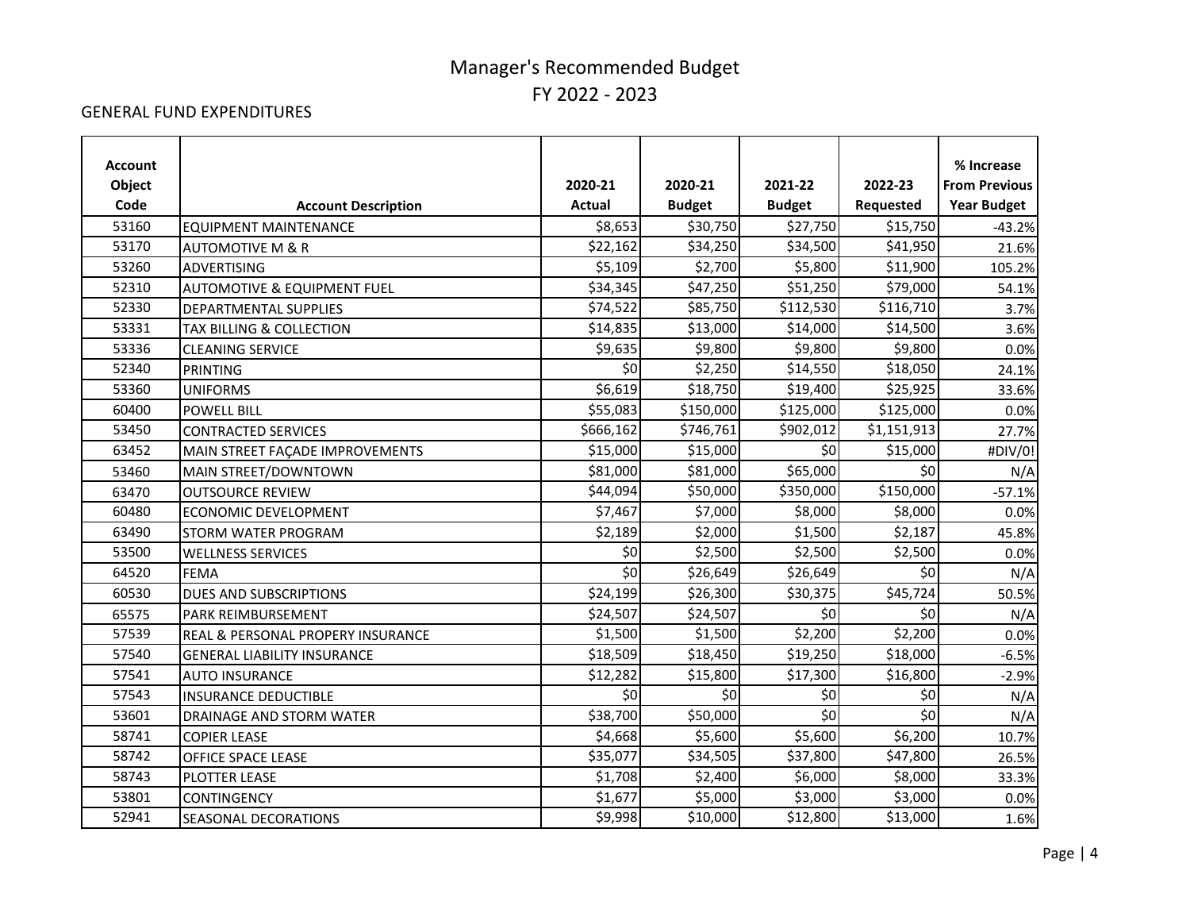#### GENERAL FUND EXPENDITURES

| <b>Account</b> |                                        |               |               |               |             | % Increase           |
|----------------|----------------------------------------|---------------|---------------|---------------|-------------|----------------------|
| Object         |                                        | 2020-21       | 2020-21       | 2021-22       | 2022-23     | <b>From Previous</b> |
| Code           | <b>Account Description</b>             | <b>Actual</b> | <b>Budget</b> | <b>Budget</b> | Requested   | <b>Year Budget</b>   |
| 53160          | <b>EQUIPMENT MAINTENANCE</b>           | \$8,653       | \$30,750      | \$27,750      | \$15,750    | $-43.2%$             |
| 53170          | <b>AUTOMOTIVE M &amp; R</b>            | \$22,162      | \$34,250      | \$34,500      | \$41,950    | 21.6%                |
| 53260          | <b>ADVERTISING</b>                     | \$5,109       | \$2,700       | \$5,800       | \$11,900    | 105.2%               |
| 52310          | <b>AUTOMOTIVE &amp; EQUIPMENT FUEL</b> | \$34,345      | \$47,250      | \$51,250      | \$79,000    | 54.1%                |
| 52330          | <b>DEPARTMENTAL SUPPLIES</b>           | \$74,522      | \$85,750      | \$112,530     | \$116,710   | 3.7%                 |
| 53331          | TAX BILLING & COLLECTION               | \$14,835      | \$13,000      | \$14,000      | \$14,500    | 3.6%                 |
| 53336          | <b>CLEANING SERVICE</b>                | \$9,635       | \$9,800       | \$9,800       | \$9,800     | 0.0%                 |
| 52340          | <b>PRINTING</b>                        | \$0           | \$2,250       | \$14,550      | \$18,050    | 24.1%                |
| 53360          | <b>UNIFORMS</b>                        | \$6,619       | \$18,750      | \$19,400      | \$25,925    | 33.6%                |
| 60400          | <b>POWELL BILL</b>                     | \$55,083      | \$150,000     | \$125,000     | \$125,000   | 0.0%                 |
| 53450          | <b>CONTRACTED SERVICES</b>             | \$666,162     | \$746,761     | \$902,012     | \$1,151,913 | 27.7%                |
| 63452          | MAIN STREET FAÇADE IMPROVEMENTS        | \$15,000      | \$15,000      | \$0           | \$15,000    | #DIV/0!              |
| 53460          | MAIN STREET/DOWNTOWN                   | \$81,000      | \$81,000      | \$65,000      | \$0         | N/A                  |
| 63470          | <b>OUTSOURCE REVIEW</b>                | \$44,094      | \$50,000      | \$350,000     | \$150,000   | $-57.1%$             |
| 60480          | <b>ECONOMIC DEVELOPMENT</b>            | \$7,467       | \$7,000       | \$8,000       | \$8,000     | 0.0%                 |
| 63490          | <b>STORM WATER PROGRAM</b>             | \$2,189       | \$2,000       | \$1,500       | \$2,187     | 45.8%                |
| 53500          | <b>WELLNESS SERVICES</b>               | \$0           | \$2,500       | \$2,500       | \$2,500     | 0.0%                 |
| 64520          | <b>FEMA</b>                            | \$0           | \$26,649      | \$26,649      | \$0         | N/A                  |
| 60530          | DUES AND SUBSCRIPTIONS                 | \$24,199      | \$26,300      | \$30,375      | \$45,724    | 50.5%                |
| 65575          | PARK REIMBURSEMENT                     | \$24,507      | \$24,507      | \$0           | \$0         | N/A                  |
| 57539          | REAL & PERSONAL PROPERY INSURANCE      | \$1,500       | \$1,500       | \$2,200       | 52,200      | 0.0%                 |
| 57540          | <b>GENERAL LIABILITY INSURANCE</b>     | \$18,509      | \$18,450      | \$19,250      | \$18,000    | $-6.5%$              |
| 57541          | <b>AUTO INSURANCE</b>                  | \$12,282      | \$15,800      | \$17,300      | \$16,800    | $-2.9%$              |
| 57543          | <b>INSURANCE DEDUCTIBLE</b>            | \$0           | \$0           | \$0           | \$0         | N/A                  |
| 53601          | DRAINAGE AND STORM WATER               | \$38,700      | \$50,000      | \$0           | \$0         | N/A                  |
| 58741          | <b>COPIER LEASE</b>                    | \$4,668       | \$5,600       | \$5,600       | \$6,200     | 10.7%                |
| 58742          | OFFICE SPACE LEASE                     | \$35,077      | \$34,505      | \$37,800      | \$47,800    | 26.5%                |
| 58743          | PLOTTER LEASE                          | \$1,708       | \$2,400       | \$6,000       | \$8,000     | 33.3%                |
| 53801          | <b>CONTINGENCY</b>                     | \$1,677       | \$5,000       | \$3,000       | \$3,000     | 0.0%                 |
| 52941          | SEASONAL DECORATIONS                   | \$9,998       | \$10,000      | \$12,800      | \$13,000    | 1.6%                 |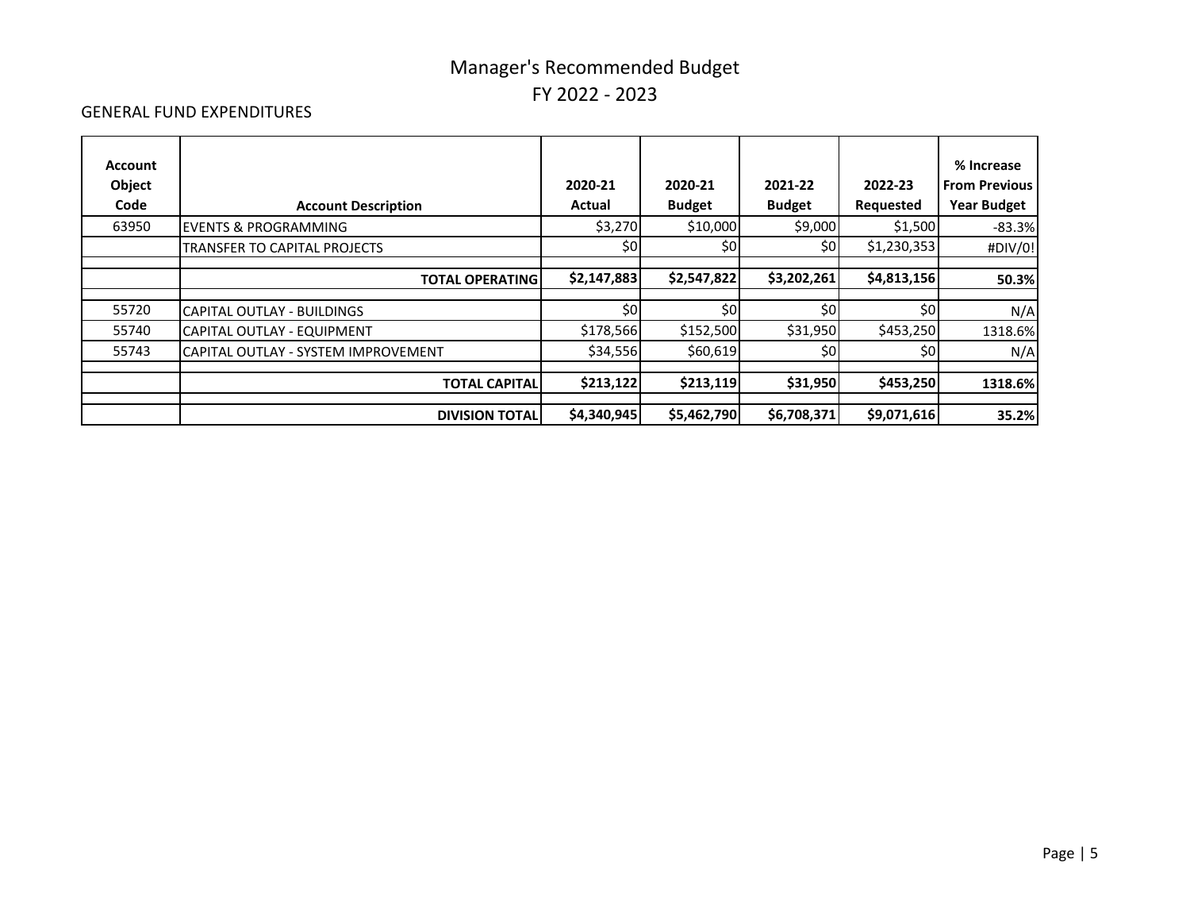#### GENERAL FUND EXPENDITURES

| <b>Account</b><br>Object<br>Code | <b>Account Description</b>          | 2020-21<br>Actual | 2020-21<br><b>Budget</b> | 2021-22<br><b>Budget</b> | 2022-23<br>Requested | % Increase<br><b>From Previous</b><br><b>Year Budget</b> |
|----------------------------------|-------------------------------------|-------------------|--------------------------|--------------------------|----------------------|----------------------------------------------------------|
| 63950                            | <b>IEVENTS &amp; PROGRAMMING</b>    | \$3,270           | \$10,000                 | \$9,000                  | \$1,500              | $-83.3%$                                                 |
|                                  | TRANSFER TO CAPITAL PROJECTS        | \$0               | \$0                      | \$0                      | \$1,230,353          | #DIV/0!                                                  |
|                                  | <b>TOTAL OPERATING</b>              | \$2,147,883       | \$2,547,822              | \$3,202,261              | \$4,813,156          | 50.3%                                                    |
| 55720                            | CAPITAL OUTLAY - BUILDINGS          | \$0               | \$0                      | \$0                      | \$0                  | N/A                                                      |
| 55740                            | CAPITAL OUTLAY - EQUIPMENT          | \$178,566         | \$152,500                | \$31,950                 | \$453,250            | 1318.6%                                                  |
| 55743                            | CAPITAL OUTLAY - SYSTEM IMPROVEMENT | \$34,556          | \$60,619                 | \$0                      | \$٥                  | N/A                                                      |
|                                  | <b>TOTAL CAPITALI</b>               | \$213,122         | \$213,119                | \$31,950                 | \$453,250            | 1318.6%                                                  |
|                                  |                                     |                   |                          |                          |                      |                                                          |
|                                  | <b>DIVISION TOTAL</b>               | \$4,340,945       | \$5,462,790              | \$6,708,371              | \$9,071,616          | 35.2%                                                    |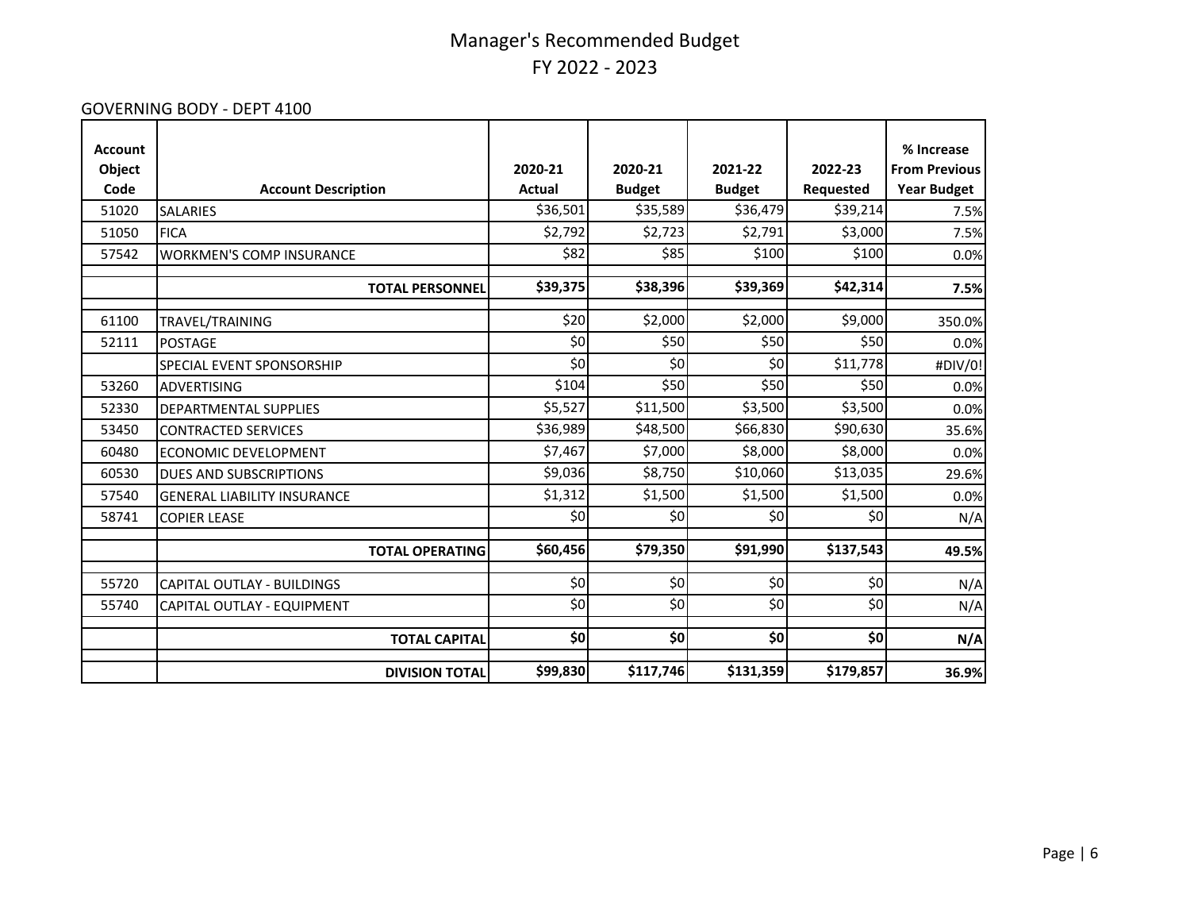#### GOVERNING BODY - DEPT 4100

| <b>Account</b><br>Object |                                    | 2020-21       | 2020-21       | 2021-22       | 2022-23          | % Increase<br><b>From Previous</b> |
|--------------------------|------------------------------------|---------------|---------------|---------------|------------------|------------------------------------|
| Code                     | <b>Account Description</b>         | <b>Actual</b> | <b>Budget</b> | <b>Budget</b> | <b>Requested</b> | <b>Year Budget</b>                 |
| 51020                    | <b>SALARIES</b>                    | \$36,501      | \$35,589      | \$36,479      | \$39,214         | 7.5%                               |
| 51050                    | <b>FICA</b>                        | \$2,792       | \$2,723       | \$2,791       | \$3,000          | 7.5%                               |
| 57542                    | <b>WORKMEN'S COMP INSURANCE</b>    | \$82          | \$85          | \$100         | \$100            | 0.0%                               |
|                          | <b>TOTAL PERSONNEL</b>             | \$39,375      | \$38,396      | \$39,369      | \$42,314         | 7.5%                               |
| 61100                    | TRAVEL/TRAINING                    | \$20          | \$2,000       | \$2,000       | \$9,000          | 350.0%                             |
| 52111                    | <b>POSTAGE</b>                     | \$0           | \$50          | \$50          | \$50             | 0.0%                               |
|                          | SPECIAL EVENT SPONSORSHIP          | \$0           | \$0           | \$0           | \$11,778         | #DIV/0!                            |
| 53260                    | <b>ADVERTISING</b>                 | \$104         | \$50          | \$50          | \$50             | 0.0%                               |
| 52330                    | DEPARTMENTAL SUPPLIES              | \$5,527       | \$11,500      | \$3,500       | \$3,500          | 0.0%                               |
| 53450                    | <b>CONTRACTED SERVICES</b>         | \$36,989      | \$48,500      | \$66,830      | \$90,630         | 35.6%                              |
| 60480                    | ECONOMIC DEVELOPMENT               | \$7,467       | \$7,000       | \$8,000       | \$8,000          | 0.0%                               |
| 60530                    | <b>DUES AND SUBSCRIPTIONS</b>      | \$9,036       | \$8,750       | \$10,060      | \$13,035         | 29.6%                              |
| 57540                    | <b>GENERAL LIABILITY INSURANCE</b> | \$1,312       | \$1,500       | \$1,500       | \$1,500          | 0.0%                               |
| 58741                    | <b>COPIER LEASE</b>                | \$0           | \$0           | \$0           | \$0              | N/A                                |
|                          | <b>TOTAL OPERATING</b>             | \$60,456      | \$79,350      | \$91,990      | \$137,543        | 49.5%                              |
| 55720                    | <b>CAPITAL OUTLAY - BUILDINGS</b>  | \$0           | \$0           | \$0           | \$0              | N/A                                |
| 55740                    | CAPITAL OUTLAY - EQUIPMENT         | \$0           | \$0           | \$0           | \$0              | N/A                                |
|                          | <b>TOTAL CAPITAL</b>               | \$0           | \$0           | \$0           | \$0              | N/A                                |
|                          | <b>DIVISION TOTAL</b>              | \$99,830      | \$117,746     | \$131,359     | \$179,857        | 36.9%                              |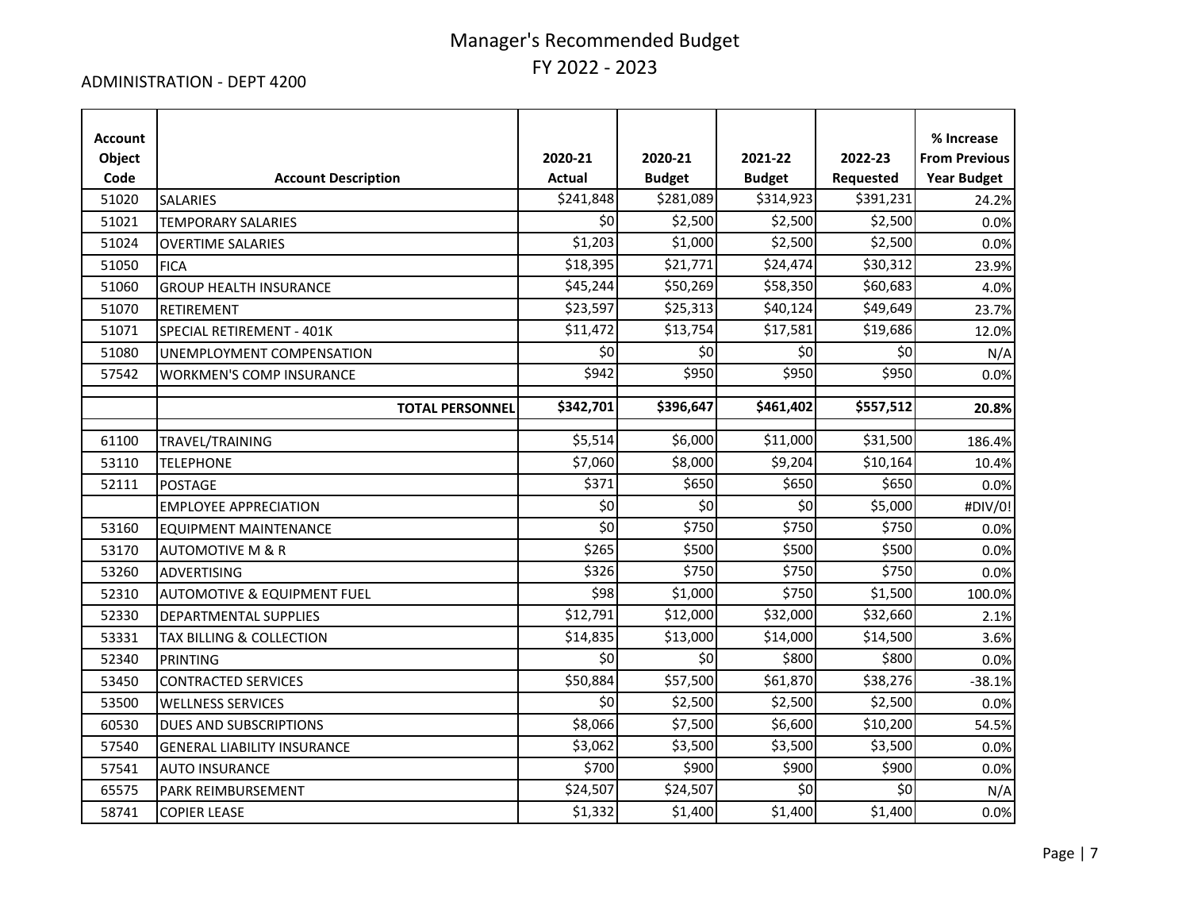#### ADMINISTRATION - DEPT 4200

| <b>Account</b><br>Object<br>Code | <b>Account Description</b>             | 2020-21<br><b>Actual</b> | 2020-21<br><b>Budget</b> | 2021-22<br><b>Budget</b> | 2022-23<br>Requested | % Increase<br><b>From Previous</b><br><b>Year Budget</b> |
|----------------------------------|----------------------------------------|--------------------------|--------------------------|--------------------------|----------------------|----------------------------------------------------------|
| 51020                            | <b>SALARIES</b>                        | \$241,848                | \$281,089                | \$314,923                | \$391,231            | 24.2%                                                    |
| 51021                            | <b>TEMPORARY SALARIES</b>              | \$0                      | \$2,500                  | \$2,500                  | \$2,500              | 0.0%                                                     |
| 51024                            | <b>OVERTIME SALARIES</b>               | \$1,203                  | \$1,000                  | \$2,500                  | \$2,500              | 0.0%                                                     |
| 51050                            | <b>FICA</b>                            | \$18,395                 | \$21,771                 | \$24,474                 | \$30,312             | 23.9%                                                    |
| 51060                            | <b>GROUP HEALTH INSURANCE</b>          | \$45,244                 | \$50,269                 | \$58,350                 | \$60,683             | 4.0%                                                     |
| 51070                            | <b>RETIREMENT</b>                      | \$23,597                 | \$25,313                 | \$40,124                 | \$49,649             | 23.7%                                                    |
| 51071                            | SPECIAL RETIREMENT - 401K              | \$11,472                 | \$13,754                 | \$17,581                 | \$19,686             | 12.0%                                                    |
| 51080                            | UNEMPLOYMENT COMPENSATION              | \$0                      | \$0                      | \$0                      | 50                   | N/A                                                      |
| 57542                            | <b>WORKMEN'S COMP INSURANCE</b>        | \$942                    | \$950                    | \$950                    | \$950                | 0.0%                                                     |
|                                  | <b>TOTAL PERSONNEL</b>                 | \$342,701                | \$396,647                | \$461,402                | \$557,512            | 20.8%                                                    |
| 61100                            | TRAVEL/TRAINING                        | \$5,514                  | \$6,000                  | \$11,000                 | \$31,500             | 186.4%                                                   |
| 53110                            | <b>TELEPHONE</b>                       | \$7,060                  | \$8,000                  | \$9,204                  | \$10,164             | 10.4%                                                    |
| 52111                            | <b>POSTAGE</b>                         | \$371                    | \$650                    | \$650                    | \$650                | 0.0%                                                     |
|                                  | <b>EMPLOYEE APPRECIATION</b>           | \$0                      | \$0                      | \$0                      | \$5,000              | #DIV/0!                                                  |
| 53160                            | <b>EQUIPMENT MAINTENANCE</b>           | \$0                      | \$750                    | \$750                    | \$750                | 0.0%                                                     |
| 53170                            | <b>AUTOMOTIVE M &amp; R</b>            | \$265                    | \$500                    | \$500                    | \$500                | 0.0%                                                     |
| 53260                            | <b>ADVERTISING</b>                     | \$326                    | \$750                    | \$750                    | \$750                | 0.0%                                                     |
| 52310                            | <b>AUTOMOTIVE &amp; EQUIPMENT FUEL</b> | \$98                     | \$1,000                  | \$750                    | \$1,500              | 100.0%                                                   |
| 52330                            | DEPARTMENTAL SUPPLIES                  | \$12,791                 | \$12,000                 | \$32,000                 | \$32,660             | 2.1%                                                     |
| 53331                            | TAX BILLING & COLLECTION               | \$14,835                 | \$13,000                 | \$14,000                 | \$14,500             | 3.6%                                                     |
| 52340                            | <b>PRINTING</b>                        | \$0                      | \$0                      | \$800                    | \$800                | 0.0%                                                     |
| 53450                            | <b>CONTRACTED SERVICES</b>             | \$50,884                 | \$57,500                 | \$61,870                 | \$38,276             | $-38.1%$                                                 |
| 53500                            | <b>WELLNESS SERVICES</b>               | \$0                      | \$2,500                  | \$2,500                  | \$2,500              | 0.0%                                                     |
| 60530                            | <b>DUES AND SUBSCRIPTIONS</b>          | \$8,066                  | \$7,500                  | \$6,600                  | \$10,200             | 54.5%                                                    |
| 57540                            | <b>GENERAL LIABILITY INSURANCE</b>     | \$3,062                  | \$3,500                  | \$3,500                  | \$3,500              | 0.0%                                                     |
| 57541                            | <b>AUTO INSURANCE</b>                  | \$700                    | \$900                    | \$900                    | \$900                | 0.0%                                                     |
| 65575                            | PARK REIMBURSEMENT                     | \$24,507                 | \$24,507                 | \$0                      | \$0                  | N/A                                                      |
| 58741                            | <b>COPIER LEASE</b>                    | \$1,332                  | \$1,400                  | \$1,400                  | \$1,400              | 0.0%                                                     |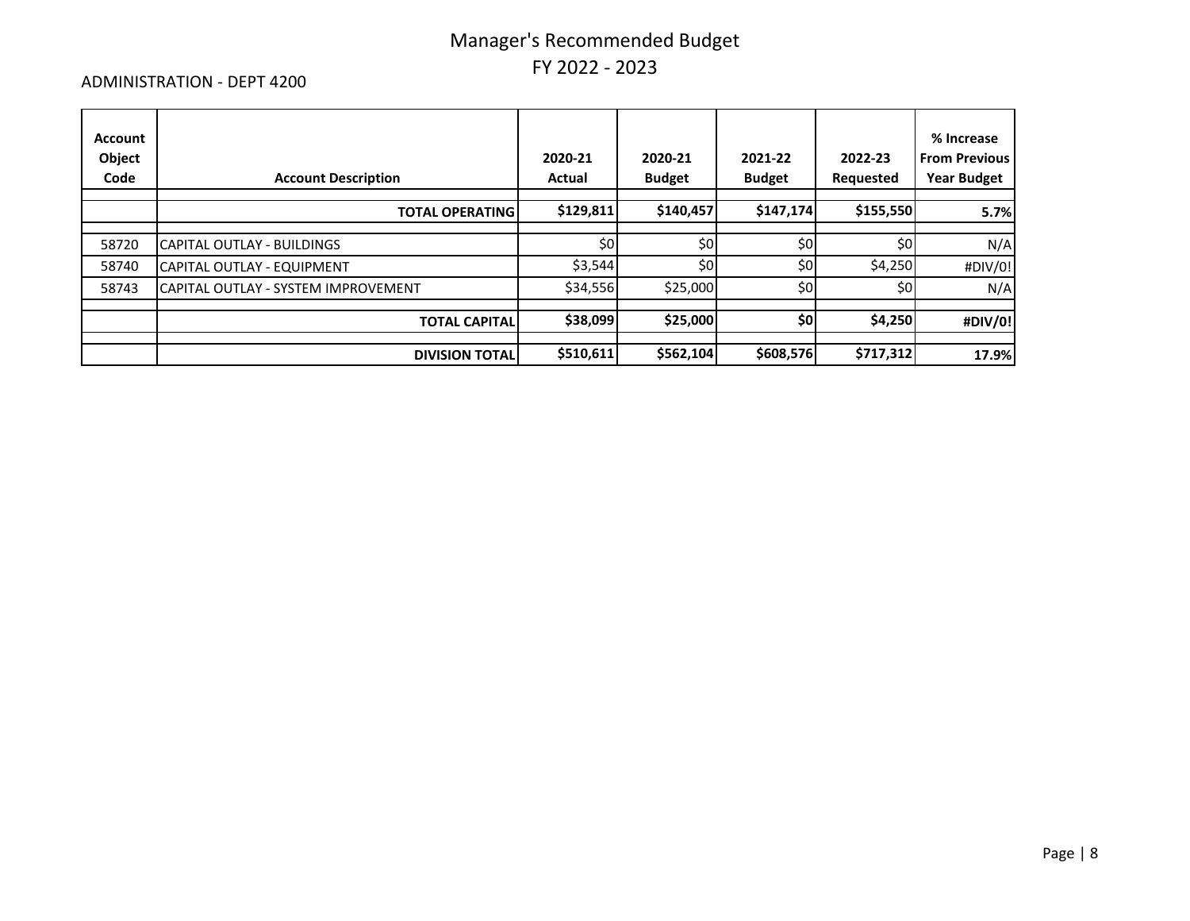#### ADMINISTRATION - DEPT 4200

| Account<br>Object<br>Code | <b>Account Description</b>          | 2020-21<br>Actual | 2020-21<br><b>Budget</b> | 2021-22<br><b>Budget</b> | 2022-23<br>Requested | % Increase<br><b>From Previous</b><br><b>Year Budget</b> |
|---------------------------|-------------------------------------|-------------------|--------------------------|--------------------------|----------------------|----------------------------------------------------------|
|                           | <b>TOTAL OPERATING</b>              | \$129,811         | \$140,457                | \$147,174                | \$155,550            | 5.7%                                                     |
| 58720                     | CAPITAL OUTLAY - BUILDINGS          | \$0               | \$0                      | \$0                      | \$0                  | N/A                                                      |
| 58740                     | CAPITAL OUTLAY - EQUIPMENT          | \$3,544           | \$0                      | \$0                      | \$4,250              | #DIV/0!                                                  |
| 58743                     | CAPITAL OUTLAY - SYSTEM IMPROVEMENT | \$34,556          | \$25,000                 | \$0                      | \$0                  | N/A                                                      |
|                           | <b>TOTAL CAPITAL</b>                | \$38,099          | \$25,000                 | \$0                      | \$4,250              | #DIV/0!                                                  |
|                           |                                     |                   |                          |                          |                      |                                                          |
|                           | <b>DIVISION TOTAL</b>               | \$510,611         | \$562,104                | \$608,576                | \$717,312            | 17.9%                                                    |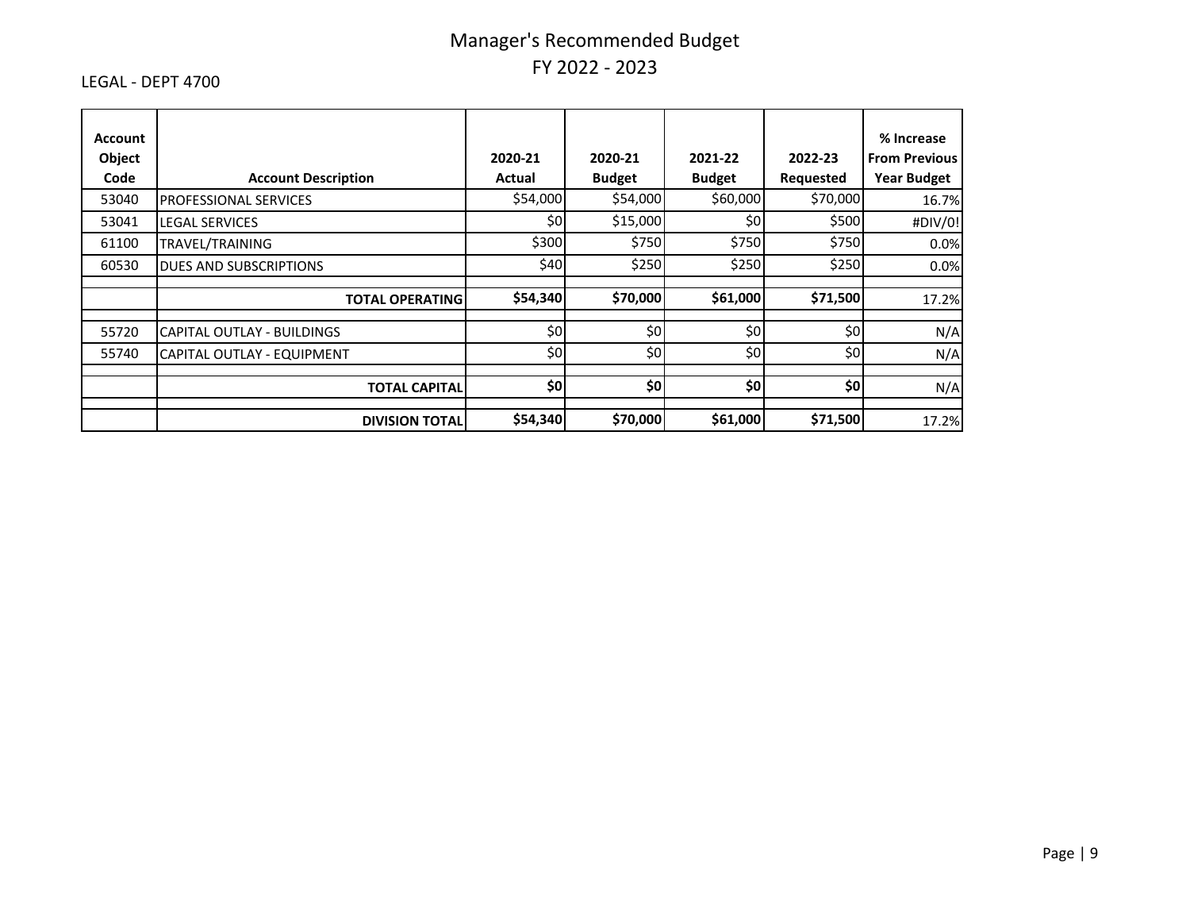#### LEGAL - DEPT 4700

| Account<br>Object<br>Code | <b>Account Description</b>    | 2020-21<br>Actual | 2020-21<br><b>Budget</b> | 2021-22<br><b>Budget</b> | 2022-23<br>Requested | % Increase<br><b>From Previous</b><br><b>Year Budget</b> |
|---------------------------|-------------------------------|-------------------|--------------------------|--------------------------|----------------------|----------------------------------------------------------|
| 53040                     | PROFESSIONAL SERVICES         | \$54,000          | \$54,000                 | \$60,000                 | \$70,000             | 16.7%                                                    |
| 53041                     | LEGAL SERVICES                | \$0               | \$15,000                 | \$0l                     | \$500                | #DIV/0!                                                  |
| 61100                     | <b>TRAVEL/TRAINING</b>        | \$300             | \$750                    | \$750                    | \$750                | 0.0%                                                     |
| 60530                     | <b>DUES AND SUBSCRIPTIONS</b> | \$40              | \$250                    | \$250                    | \$250                | 0.0%                                                     |
|                           | <b>TOTAL OPERATING</b>        | \$54,340          | \$70,000                 | \$61,000                 | \$71,500             | 17.2%                                                    |
| 55720                     | CAPITAL OUTLAY - BUILDINGS    | \$0               | \$0                      | \$0                      | \$0                  | N/A                                                      |
| 55740                     | CAPITAL OUTLAY - EQUIPMENT    | \$0               | \$0                      | \$0                      | \$0                  | N/A                                                      |
|                           | <b>TOTAL CAPITALI</b>         | \$0               | \$0                      | \$0                      | \$0                  | N/A                                                      |
|                           | <b>DIVISION TOTAL</b>         | \$54,340          | \$70,000                 | \$61,000                 | \$71,500             | 17.2%                                                    |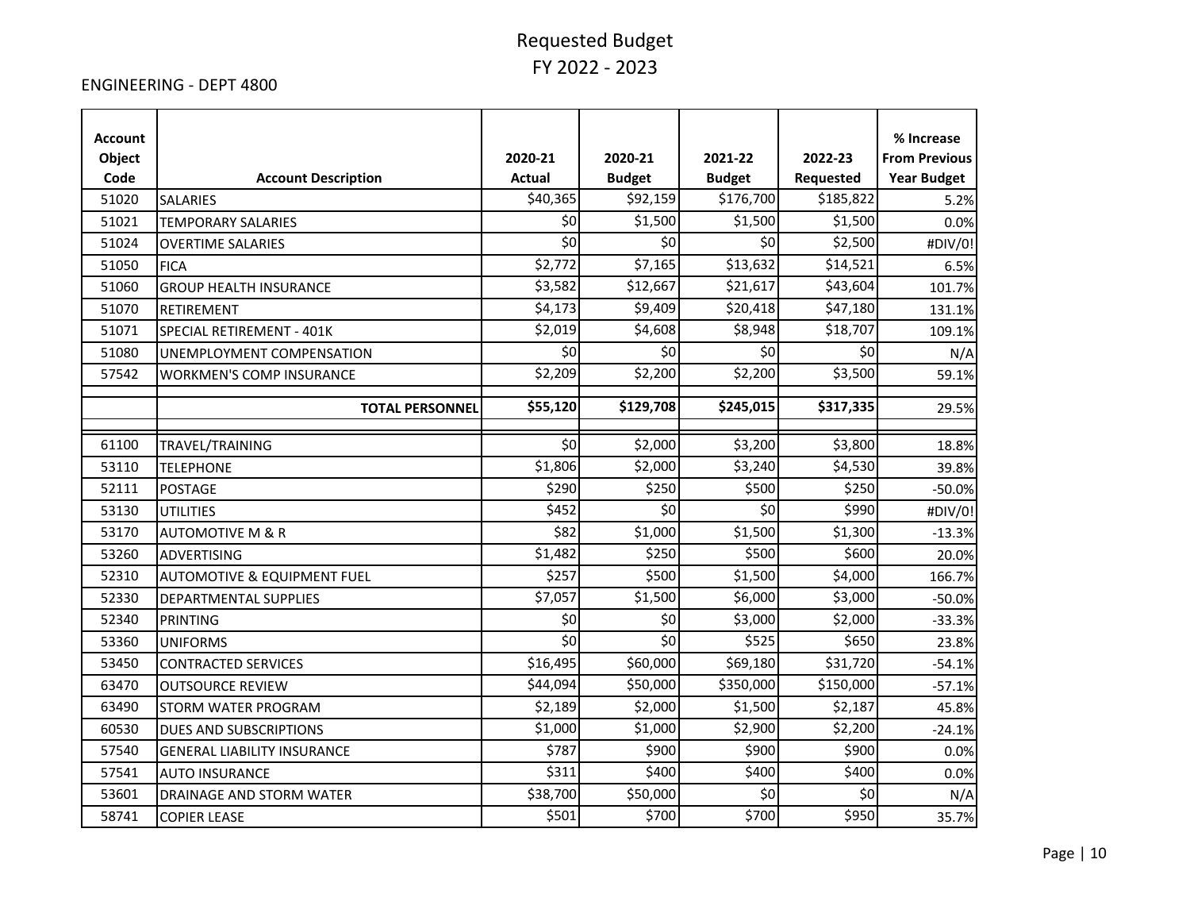#### ENGINEERING - DEPT 4800

| <b>Account</b><br>Object<br>Code | <b>Account Description</b>             | 2020-21<br><b>Actual</b> | 2020-21<br><b>Budget</b> | 2021-22<br><b>Budget</b> | 2022-23<br>Requested | % Increase<br><b>From Previous</b><br><b>Year Budget</b> |
|----------------------------------|----------------------------------------|--------------------------|--------------------------|--------------------------|----------------------|----------------------------------------------------------|
| 51020                            | <b>SALARIES</b>                        | \$40,365                 | \$92,159                 | \$176,700                | \$185,822            | 5.2%                                                     |
| 51021                            | <b>TEMPORARY SALARIES</b>              | \$0                      | \$1,500                  | \$1,500                  | \$1,500              | 0.0%                                                     |
| 51024                            | <b>OVERTIME SALARIES</b>               | \$0                      | \$0                      | \$0                      | \$2,500              | #DIV/0!                                                  |
| 51050                            | <b>FICA</b>                            | \$2,772                  | \$7,165                  | \$13,632                 | \$14,521             | 6.5%                                                     |
| 51060                            | <b>GROUP HEALTH INSURANCE</b>          | \$3,582                  | \$12,667                 | \$21,617                 | \$43,604             | 101.7%                                                   |
| 51070                            | <b>RETIREMENT</b>                      | \$4,173                  | \$9,409                  | \$20,418                 | \$47,180             | 131.1%                                                   |
| 51071                            | SPECIAL RETIREMENT - 401K              | \$2,019                  | \$4,608                  | \$8,948                  | \$18,707             | 109.1%                                                   |
| 51080                            | UNEMPLOYMENT COMPENSATION              | \$0                      | \$0                      | \$0                      | \$0                  | N/A                                                      |
| 57542                            | <b>WORKMEN'S COMP INSURANCE</b>        | \$2,209                  | \$2,200                  | \$2,200                  | \$3,500              | 59.1%                                                    |
|                                  | <b>TOTAL PERSONNEL</b>                 | \$55,120                 | \$129,708                | \$245,015                | \$317,335            | 29.5%                                                    |
|                                  |                                        |                          |                          |                          |                      |                                                          |
| 61100                            | TRAVEL/TRAINING                        | \$0                      | \$2,000                  | \$3,200                  | \$3,800              | 18.8%                                                    |
| 53110                            | <b>TELEPHONE</b>                       | \$1,806                  | \$2,000                  | \$3,240                  | \$4,530              | 39.8%                                                    |
| 52111                            | <b>POSTAGE</b>                         | \$290                    | \$250                    | \$500                    | \$250                | $-50.0%$                                                 |
| 53130                            | <b>UTILITIES</b>                       | \$452                    | \$0                      | \$0                      | \$990                | #DIV/0!                                                  |
| 53170                            | <b>AUTOMOTIVE M &amp; R</b>            | \$82                     | \$1,000                  | \$1,500                  | \$1,300              | $-13.3%$                                                 |
| 53260                            | ADVERTISING                            | \$1,482                  | \$250                    | \$500                    | \$600                | 20.0%                                                    |
| 52310                            | <b>AUTOMOTIVE &amp; EQUIPMENT FUEL</b> | \$257                    | \$500                    | \$1,500                  | \$4,000              | 166.7%                                                   |
| 52330                            | DEPARTMENTAL SUPPLIES                  | \$7,057                  | \$1,500                  | \$6,000                  | \$3,000              | $-50.0%$                                                 |
| 52340                            | <b>PRINTING</b>                        | \$0                      | \$0                      | \$3,000                  | \$2,000              | $-33.3%$                                                 |
| 53360                            | <b>UNIFORMS</b>                        | \$0                      | \$0                      | \$525                    | \$650                | 23.8%                                                    |
| 53450                            | <b>CONTRACTED SERVICES</b>             | \$16,495                 | \$60,000                 | \$69,180                 | \$31,720             | $-54.1%$                                                 |
| 63470                            | <b>OUTSOURCE REVIEW</b>                | \$44,094                 | \$50,000                 | \$350,000                | \$150,000            | $-57.1%$                                                 |
| 63490                            | <b>STORM WATER PROGRAM</b>             | \$2,189                  | \$2,000                  | \$1,500                  | \$2,187              | 45.8%                                                    |
| 60530                            | DUES AND SUBSCRIPTIONS                 | \$1,000                  | \$1,000                  | \$2,900                  | \$2,200              | $-24.1%$                                                 |
| 57540                            | <b>GENERAL LIABILITY INSURANCE</b>     | \$787                    | \$900                    | \$900                    | \$900                | 0.0%                                                     |
| 57541                            | <b>AUTO INSURANCE</b>                  | \$311                    | \$400                    | \$400                    | \$400                | 0.0%                                                     |
| 53601                            | DRAINAGE AND STORM WATER               | \$38,700                 | \$50,000                 | \$0                      | \$0                  | N/A                                                      |
| 58741                            | <b>COPIER LEASE</b>                    | \$501                    | \$700                    | \$700                    | \$950                | 35.7%                                                    |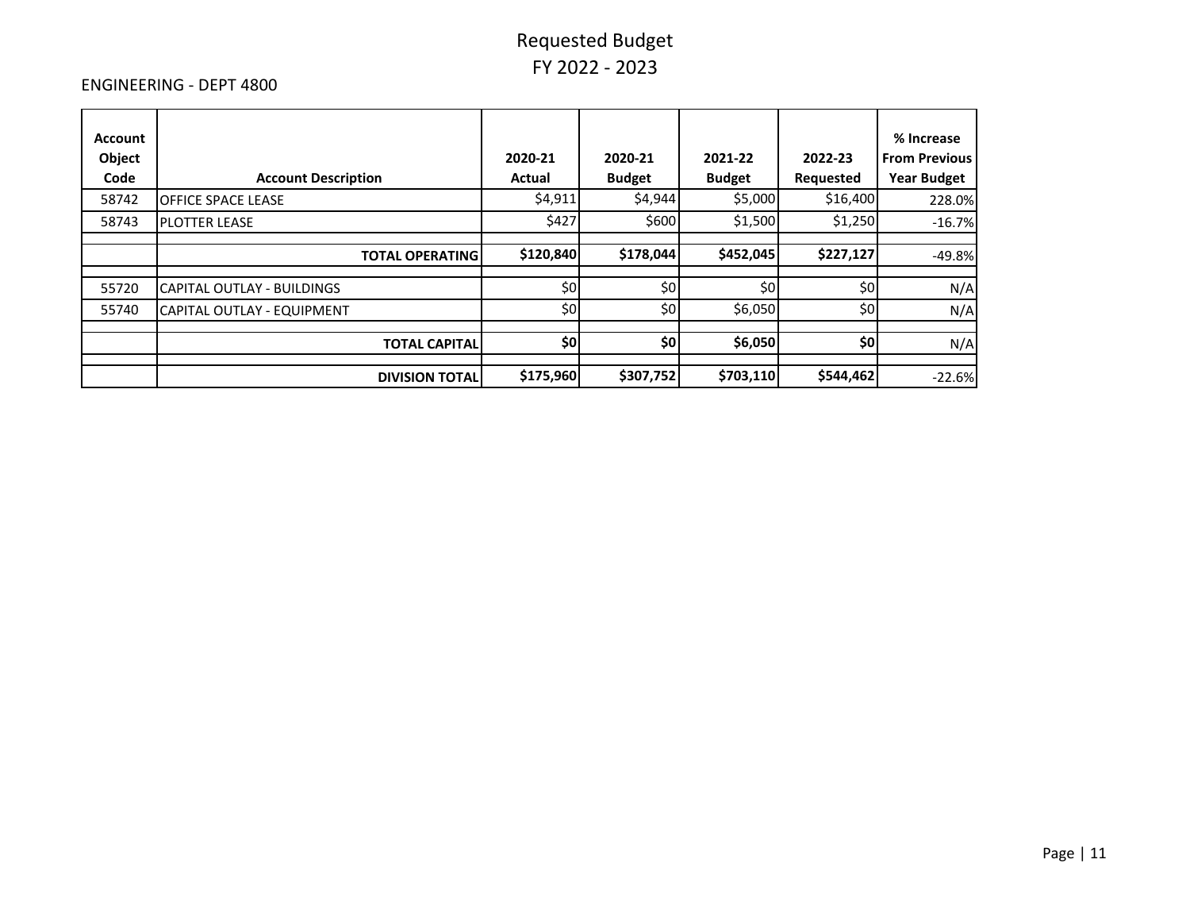#### ENGINEERING - DEPT 4800

| Account<br>Object<br>Code | <b>Account Description</b> | 2020-21<br>Actual | 2020-21<br><b>Budget</b> | 2021-22<br><b>Budget</b> | 2022-23<br><b>Requested</b> | % Increase<br><b>From Previous</b><br><b>Year Budget</b> |
|---------------------------|----------------------------|-------------------|--------------------------|--------------------------|-----------------------------|----------------------------------------------------------|
| 58742                     | <b>OFFICE SPACE LEASE</b>  | \$4,911           | \$4,944                  | \$5,000                  | \$16,400                    | 228.0%                                                   |
| 58743                     | <b>PLOTTER LEASE</b>       | \$427             | \$600                    | \$1,500                  | \$1,250                     | $-16.7%$                                                 |
|                           | <b>TOTAL OPERATING</b>     | \$120,840         | \$178,044                | \$452,045                | \$227,127                   | $-49.8%$                                                 |
| 55720                     | CAPITAL OUTLAY - BUILDINGS | \$0               | \$0                      | \$0                      | \$0                         | N/A                                                      |
| 55740                     | CAPITAL OUTLAY - EQUIPMENT | \$0               | \$0                      | \$6,050                  | \$0                         | N/A                                                      |
|                           | <b>TOTAL CAPITAL</b>       | \$0               | \$0                      | \$6,050                  | \$0                         | N/A                                                      |
|                           | <b>DIVISION TOTAL</b>      | \$175,960         | \$307,752                | \$703,110                | \$544,462                   | $-22.6%$                                                 |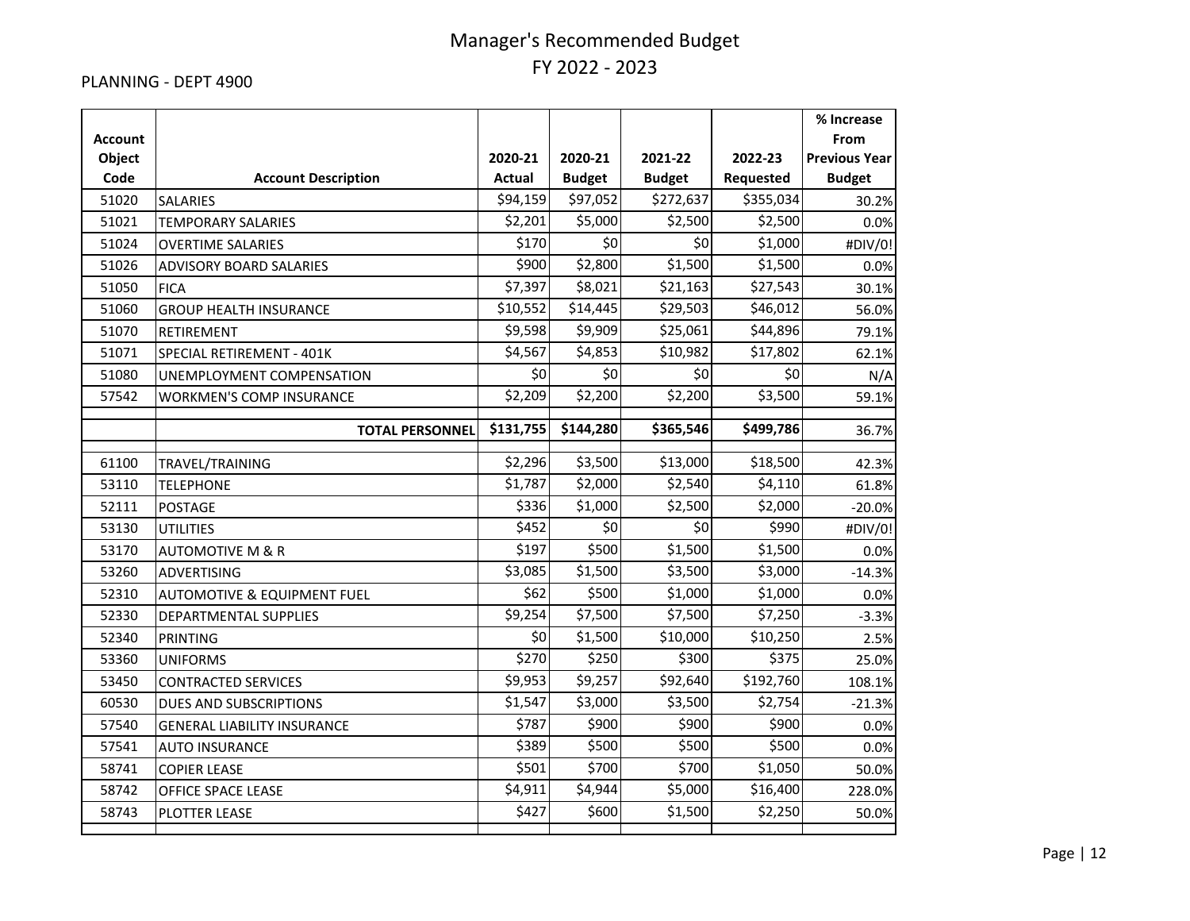#### PLANNING - DEPT 4900

|                          |                                        |               |               |               |           | % Increase                   |
|--------------------------|----------------------------------------|---------------|---------------|---------------|-----------|------------------------------|
| <b>Account</b><br>Object |                                        | 2020-21       | 2020-21       | 2021-22       | 2022-23   | From<br><b>Previous Year</b> |
| Code                     | <b>Account Description</b>             | <b>Actual</b> | <b>Budget</b> | <b>Budget</b> | Requested | <b>Budget</b>                |
| 51020                    | <b>SALARIES</b>                        | \$94,159      | \$97,052      | \$272,637     | \$355,034 | 30.2%                        |
| 51021                    | <b>TEMPORARY SALARIES</b>              | \$2,201       | \$5,000       | \$2,500       | \$2,500   | 0.0%                         |
| 51024                    | <b>OVERTIME SALARIES</b>               | \$170         | \$0           | \$0           | \$1,000   | #DIV/0!                      |
| 51026                    | <b>ADVISORY BOARD SALARIES</b>         | \$900         | \$2,800       | \$1,500       | \$1,500   | 0.0%                         |
| 51050                    | <b>FICA</b>                            | \$7,397       | \$8,021       | \$21,163      | \$27,543  | 30.1%                        |
| 51060                    | <b>GROUP HEALTH INSURANCE</b>          | \$10,552      | \$14,445      | \$29,503      | \$46,012  | 56.0%                        |
| 51070                    | <b>RETIREMENT</b>                      | \$9,598       | \$9,909       | \$25,061      | \$44,896  | 79.1%                        |
| 51071                    | SPECIAL RETIREMENT - 401K              | \$4,567       | \$4,853       | \$10,982      | \$17,802  | 62.1%                        |
| 51080                    | UNEMPLOYMENT COMPENSATION              | \$0           | \$0           | \$0           | \$0       | N/A                          |
| 57542                    | <b>WORKMEN'S COMP INSURANCE</b>        | \$2,209       | \$2,200       | \$2,200       | \$3,500   | 59.1%                        |
|                          |                                        | \$131,755     | \$144,280     | \$365,546     | \$499,786 |                              |
|                          | <b>TOTAL PERSONNEL</b>                 |               |               |               |           | 36.7%                        |
| 61100                    | TRAVEL/TRAINING                        | \$2,296       | \$3,500       | \$13,000      | \$18,500  | 42.3%                        |
| 53110                    | <b>TELEPHONE</b>                       | \$1,787       | \$2,000       | \$2,540       | \$4,110   | 61.8%                        |
| 52111                    | <b>POSTAGE</b>                         | \$336         | \$1,000       | \$2,500       | \$2,000   | $-20.0%$                     |
| 53130                    | <b>UTILITIES</b>                       | \$452         | \$0           | \$0           | \$990     | #DIV/0!                      |
| 53170                    | <b>AUTOMOTIVE M &amp; R</b>            | \$197         | \$500         | \$1,500       | \$1,500   | 0.0%                         |
| 53260                    | <b>ADVERTISING</b>                     | \$3,085       | \$1,500       | \$3,500       | \$3,000   | $-14.3%$                     |
| 52310                    | <b>AUTOMOTIVE &amp; EQUIPMENT FUEL</b> | \$62          | \$500         | \$1,000       | \$1,000   | 0.0%                         |
| 52330                    | DEPARTMENTAL SUPPLIES                  | \$9,254       | \$7,500       | \$7,500       | \$7,250   | $-3.3%$                      |
| 52340                    | <b>PRINTING</b>                        | \$0           | \$1,500       | \$10,000      | \$10,250  | 2.5%                         |
| 53360                    | <b>UNIFORMS</b>                        | \$270         | \$250         | \$300         | \$375     | 25.0%                        |
| 53450                    | <b>CONTRACTED SERVICES</b>             | \$9,953       | \$9,257       | \$92,640      | \$192,760 | 108.1%                       |
| 60530                    | DUES AND SUBSCRIPTIONS                 | \$1,547       | \$3,000       | \$3,500       | \$2,754   | $-21.3%$                     |
| 57540                    | <b>GENERAL LIABILITY INSURANCE</b>     | \$787         | \$900         | \$900         | \$900     | 0.0%                         |
| 57541                    | <b>AUTO INSURANCE</b>                  | \$389         | \$500         | \$500         | \$500     | 0.0%                         |
| 58741                    | <b>COPIER LEASE</b>                    | \$501         | \$700         | \$700         | \$1,050   | 50.0%                        |
| 58742                    | OFFICE SPACE LEASE                     | \$4,911       | \$4,944       | \$5,000       | \$16,400  | 228.0%                       |
| 58743                    | PLOTTER LEASE                          | \$427         | \$600         | \$1,500       | \$2,250   | 50.0%                        |
|                          |                                        |               |               |               |           |                              |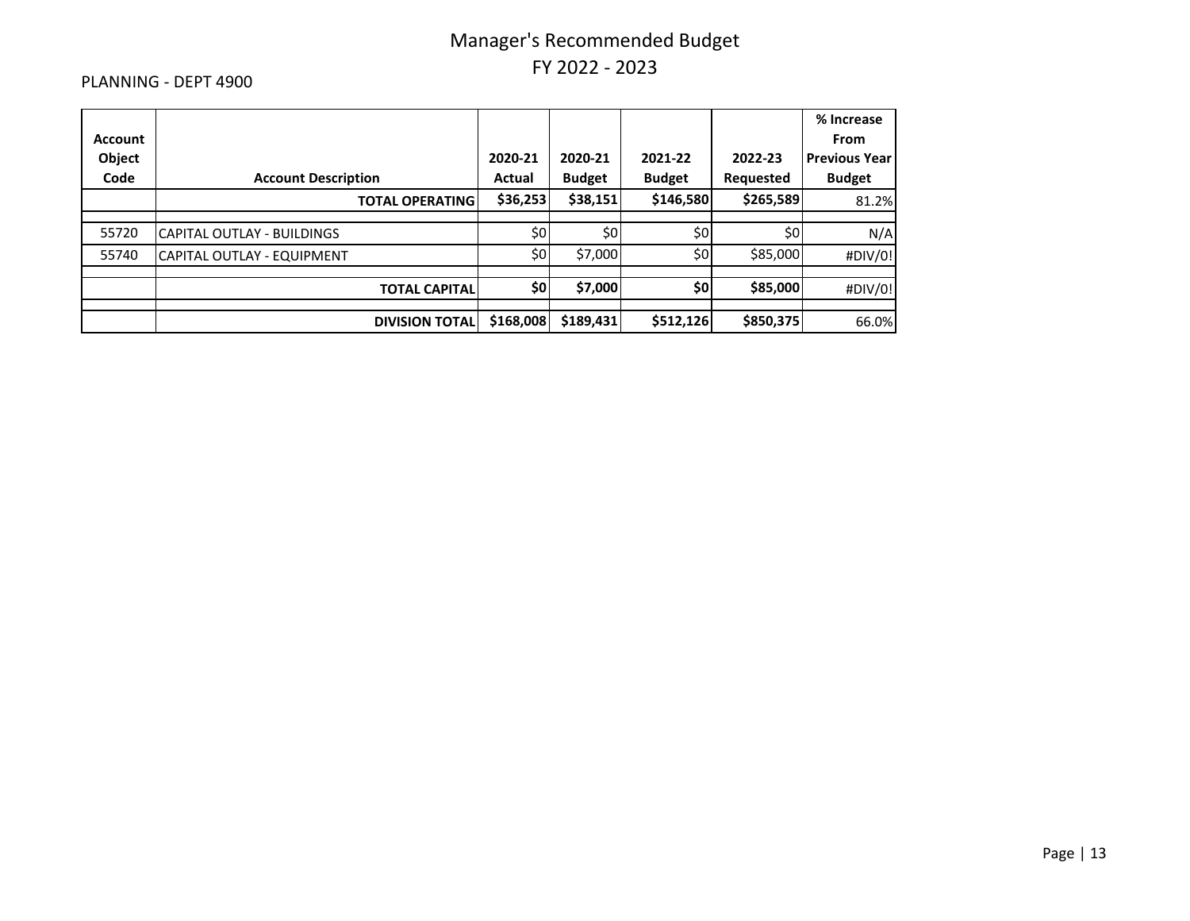#### PLANNING - DEPT 4900

|                |                            |           |               |               |           | % Increase           |
|----------------|----------------------------|-----------|---------------|---------------|-----------|----------------------|
| <b>Account</b> |                            |           |               |               |           | <b>From</b>          |
| Object         |                            | 2020-21   | 2020-21       | 2021-22       | 2022-23   | <b>Previous Year</b> |
| Code           | <b>Account Description</b> | Actual    | <b>Budget</b> | <b>Budget</b> | Requested | <b>Budget</b>        |
|                | <b>TOTAL OPERATING</b>     | \$36,253  | \$38,151      | \$146,580     | \$265,589 | 81.2%                |
|                |                            |           |               |               |           |                      |
| 55720          | CAPITAL OUTLAY - BUILDINGS | \$0       | \$0           | \$0           | \$0       | N/A                  |
| 55740          | CAPITAL OUTLAY - EQUIPMENT | \$0       | \$7,000       | \$0           | \$85,000  | #DIV/0!              |
|                | <b>TOTAL CAPITAL</b>       | \$0       | \$7,000       | \$0           | \$85,000  | #DIV/0!              |
|                | <b>DIVISION TOTAL</b>      | \$168,008 | \$189,431     | \$512,126     | \$850,375 | 66.0%                |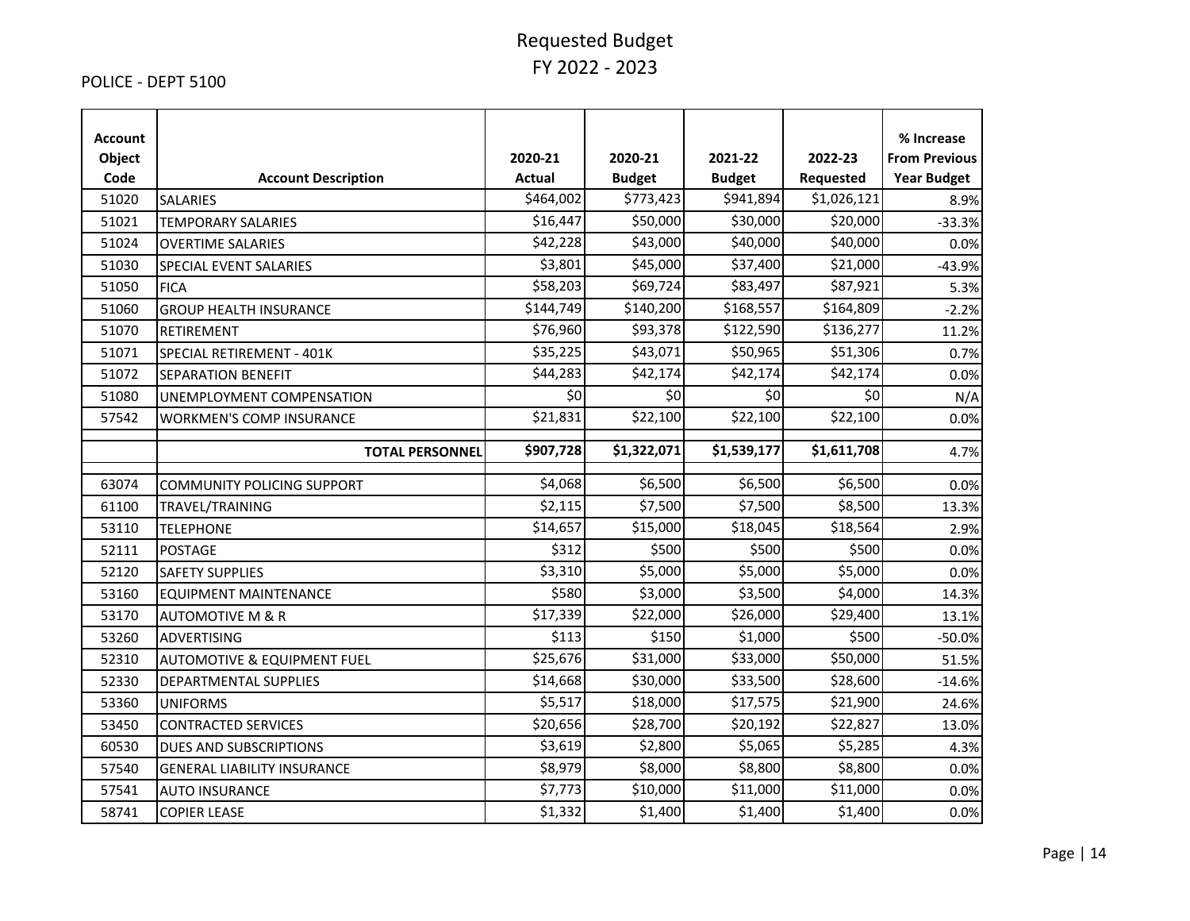#### POLICE - DEPT 5100

| <b>Account</b><br>Object<br>Code | <b>Account Description</b>             | 2020-21<br><b>Actual</b> | 2020-21<br><b>Budget</b> | 2021-22<br><b>Budget</b> | 2022-23<br>Requested | % Increase<br><b>From Previous</b><br><b>Year Budget</b> |
|----------------------------------|----------------------------------------|--------------------------|--------------------------|--------------------------|----------------------|----------------------------------------------------------|
| 51020                            | <b>SALARIES</b>                        | \$464,002                | \$773,423                | \$941,894                | \$1,026,121          | 8.9%                                                     |
| 51021                            | <b>TEMPORARY SALARIES</b>              | \$16,447                 | \$50,000                 | \$30,000                 | \$20,000             | $-33.3%$                                                 |
| 51024                            | <b>OVERTIME SALARIES</b>               | \$42,228                 | \$43,000                 | \$40,000                 | \$40,000             | 0.0%                                                     |
| 51030                            | SPECIAL EVENT SALARIES                 | \$3,801                  | \$45,000                 | \$37,400                 | \$21,000             | $-43.9%$                                                 |
| 51050                            | <b>FICA</b>                            | \$58,203                 | \$69,724                 | \$83,497                 | \$87,921             | 5.3%                                                     |
| 51060                            | <b>GROUP HEALTH INSURANCE</b>          | \$144,749                | \$140,200                | \$168,557                | \$164,809            | $-2.2%$                                                  |
| 51070                            | RETIREMENT                             | \$76,960                 | \$93,378                 | \$122,590                | \$136,277            | 11.2%                                                    |
| 51071                            | SPECIAL RETIREMENT - 401K              | \$35,225                 | \$43,071                 | \$50,965                 | \$51,306             | 0.7%                                                     |
| 51072                            | <b>SEPARATION BENEFIT</b>              | \$44,283                 | \$42,174                 | \$42,174                 | \$42,174             | 0.0%                                                     |
| 51080                            | UNEMPLOYMENT COMPENSATION              | \$0                      | \$0                      | \$0                      | \$0                  | N/A                                                      |
| 57542                            | <b>WORKMEN'S COMP INSURANCE</b>        | \$21,831                 | \$22,100                 | \$22,100                 | \$22,100             | 0.0%                                                     |
|                                  | <b>TOTAL PERSONNEL</b>                 | \$907,728                | \$1,322,071              | \$1,539,177              | \$1,611,708          | 4.7%                                                     |
| 63074                            | <b>COMMUNITY POLICING SUPPORT</b>      | \$4,068                  | \$6,500                  | \$6,500                  | \$6,500              | 0.0%                                                     |
| 61100                            | TRAVEL/TRAINING                        | \$2,115                  | \$7,500                  | \$7,500                  | \$8,500              | 13.3%                                                    |
| 53110                            | <b>TELEPHONE</b>                       | \$14,657                 | \$15,000                 | \$18,045                 | \$18,564             | 2.9%                                                     |
| 52111                            | <b>POSTAGE</b>                         | \$312                    | \$500                    | \$500                    | \$500                | 0.0%                                                     |
| 52120                            | <b>SAFETY SUPPLIES</b>                 | \$3,310                  | \$5,000                  | \$5,000                  | \$5,000              | 0.0%                                                     |
| 53160                            | <b>EQUIPMENT MAINTENANCE</b>           | \$580                    | \$3,000                  | \$3,500                  | \$4,000              | 14.3%                                                    |
| 53170                            | <b>AUTOMOTIVE M &amp; R</b>            | \$17,339                 | \$22,000                 | \$26,000                 | \$29,400             | 13.1%                                                    |
| 53260                            | ADVERTISING                            | \$113                    | \$150                    | \$1,000                  | \$500                | $-50.0%$                                                 |
| 52310                            | <b>AUTOMOTIVE &amp; EQUIPMENT FUEL</b> | \$25,676                 | \$31,000                 | \$33,000                 | \$50,000             | 51.5%                                                    |
| 52330                            | <b>DEPARTMENTAL SUPPLIES</b>           | \$14,668                 | \$30,000                 | \$33,500                 | \$28,600             | $-14.6%$                                                 |
| 53360                            | <b>UNIFORMS</b>                        | \$5,517                  | \$18,000                 | \$17,575                 | \$21,900             | 24.6%                                                    |
| 53450                            | <b>CONTRACTED SERVICES</b>             | \$20,656                 | \$28,700                 | \$20,192                 | \$22,827             | 13.0%                                                    |
| 60530                            | <b>DUES AND SUBSCRIPTIONS</b>          | \$3,619                  | \$2,800                  | \$5,065                  | \$5,285              | 4.3%                                                     |
| 57540                            | <b>GENERAL LIABILITY INSURANCE</b>     | \$8,979                  | \$8,000                  | \$8,800                  | \$8,800              | 0.0%                                                     |
| 57541                            | <b>AUTO INSURANCE</b>                  | \$7,773                  | \$10,000                 | \$11,000                 | \$11,000             | 0.0%                                                     |
| 58741                            | <b>COPIER LEASE</b>                    | \$1,332                  | \$1,400                  | \$1,400                  | \$1,400              | 0.0%                                                     |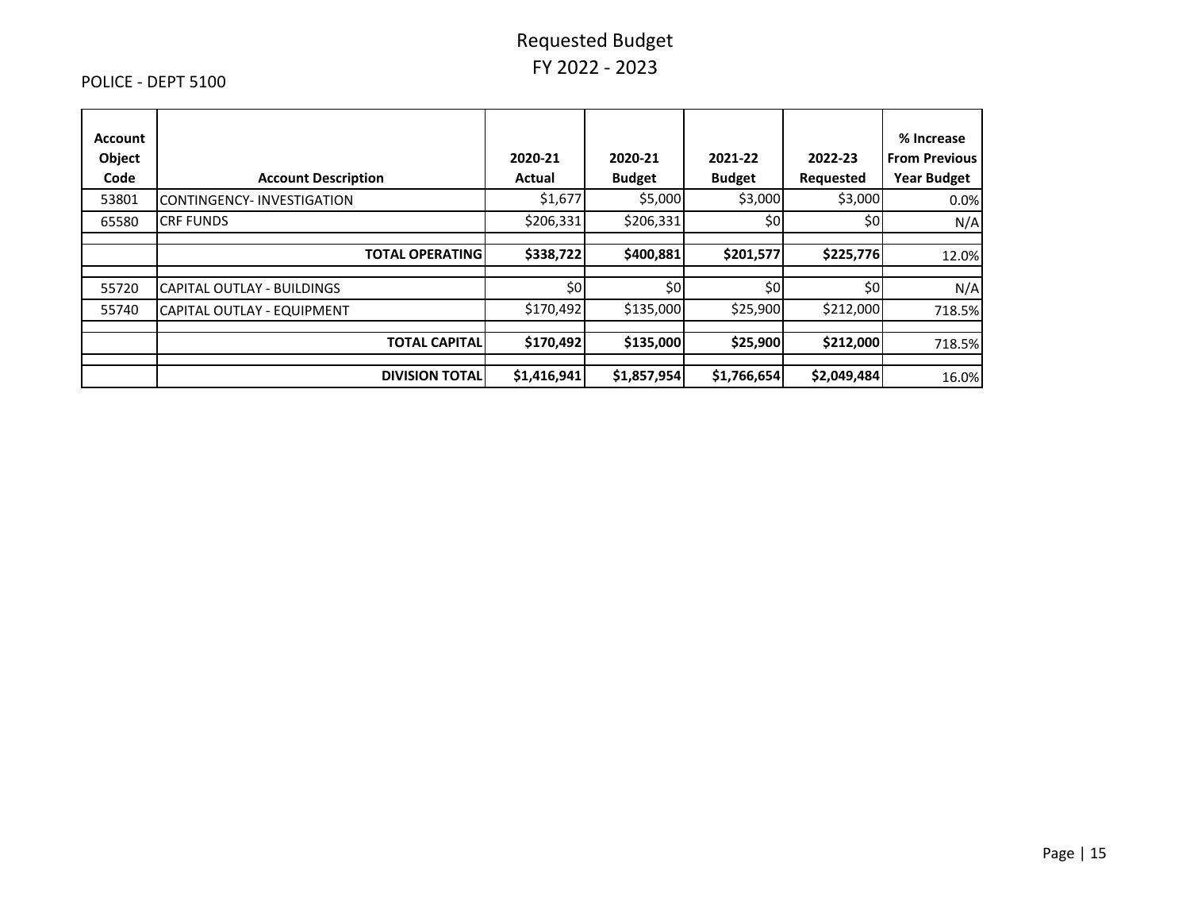#### POLICE - DEPT 5100

| <b>Account</b><br>Object<br>Code | <b>Account Description</b>        | 2020-21<br>Actual | 2020-21<br><b>Budget</b> | 2021-22<br><b>Budget</b> | 2022-23<br>Requested | % Increase<br><b>From Previous</b><br><b>Year Budget</b> |
|----------------------------------|-----------------------------------|-------------------|--------------------------|--------------------------|----------------------|----------------------------------------------------------|
| 53801                            | CONTINGENCY-INVESTIGATION         | \$1,677           | \$5,000                  | \$3,000                  | \$3,000              | 0.0%                                                     |
| 65580                            | <b>CRF FUNDS</b>                  | \$206,331         | \$206,331                | \$0                      | \$0                  | N/A                                                      |
|                                  | <b>TOTAL OPERATING</b>            | \$338,722         | \$400,881                | \$201,577                | \$225,776            | 12.0%                                                    |
| 55720                            | <b>CAPITAL OUTLAY - BUILDINGS</b> | \$0               | \$٥                      | \$0                      | \$0                  | N/A                                                      |
| 55740                            | <b>CAPITAL OUTLAY - EQUIPMENT</b> | \$170,492         | \$135,000                | \$25,900                 | \$212,000            | 718.5%                                                   |
|                                  | <b>TOTAL CAPITALI</b>             | \$170,492         | \$135,000                | \$25,900                 | \$212,000            | 718.5%                                                   |
|                                  | <b>DIVISION TOTALI</b>            | \$1,416,941       | \$1,857,954              | \$1,766,654              | \$2,049,484          | 16.0%                                                    |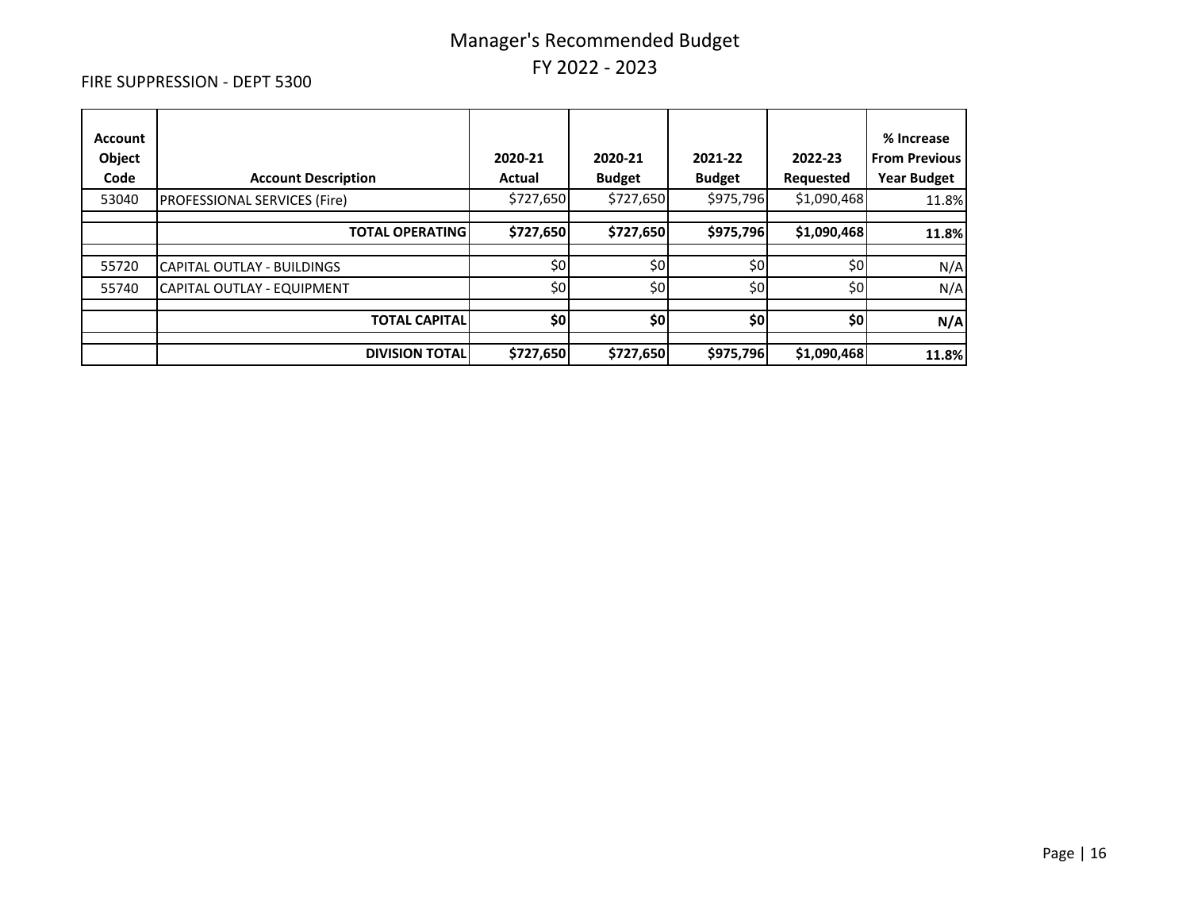#### FIRE SUPPRESSION - DEPT 5300

| <b>Account</b><br>Object<br>Code | <b>Account Description</b>          | 2020-21<br>Actual | 2020-21<br><b>Budget</b> | 2021-22<br><b>Budget</b> | 2022-23<br><b>Requested</b> | % Increase<br><b>From Previous</b><br><b>Year Budget</b> |
|----------------------------------|-------------------------------------|-------------------|--------------------------|--------------------------|-----------------------------|----------------------------------------------------------|
| 53040                            | <b>PROFESSIONAL SERVICES (Fire)</b> | \$727,650         | \$727,650                | \$975,796                | \$1,090,468                 | 11.8%                                                    |
|                                  | <b>TOTAL OPERATING</b>              | \$727,650         | \$727,650                | \$975,796                | \$1,090,468                 | 11.8%                                                    |
| 55720                            | CAPITAL OUTLAY - BUILDINGS          | \$0               | \$0                      | \$0                      | \$0                         | N/A                                                      |
| 55740                            | CAPITAL OUTLAY - EQUIPMENT          | \$0               | \$0                      | \$0                      | \$0                         | N/A                                                      |
|                                  | <b>TOTAL CAPITAL</b>                | \$0               | \$0                      | \$0                      | \$0                         | N/A                                                      |
|                                  | <b>DIVISION TOTAL</b>               | \$727,650         | \$727,650                | \$975,796                | \$1,090,468                 | 11.8%                                                    |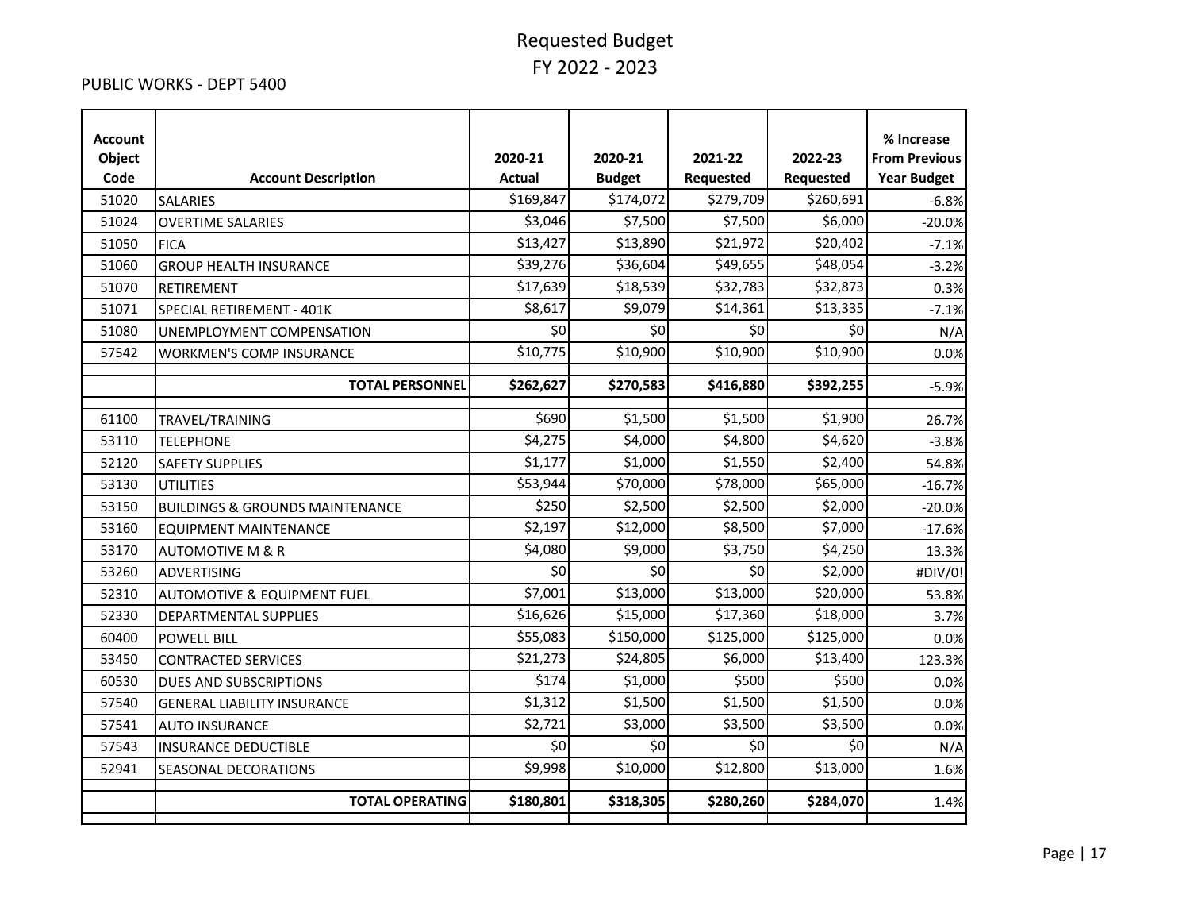#### PUBLIC WORKS - DEPT 5400

| <b>Account</b><br>Object<br>Code | <b>Account Description</b>                 | 2020-21<br><b>Actual</b> | 2020-21<br><b>Budget</b> | 2021-22<br>Requested | 2022-23<br>Requested | % Increase<br><b>From Previous</b><br><b>Year Budget</b> |
|----------------------------------|--------------------------------------------|--------------------------|--------------------------|----------------------|----------------------|----------------------------------------------------------|
| 51020                            | <b>SALARIES</b>                            | \$169,847                | \$174,072                | \$279,709            | \$260,691            | $-6.8%$                                                  |
| 51024                            | <b>OVERTIME SALARIES</b>                   | \$3,046                  | \$7,500                  | \$7,500              | \$6,000              | $-20.0%$                                                 |
| 51050                            | <b>FICA</b>                                | \$13,427                 | \$13,890                 | \$21,972             | \$20,402             | $-7.1%$                                                  |
| 51060                            | <b>GROUP HEALTH INSURANCE</b>              | \$39,276                 | \$36,604                 | \$49,655             | \$48,054             | $-3.2%$                                                  |
| 51070                            | RETIREMENT                                 | \$17,639                 | \$18,539                 | \$32,783             | \$32,873             | 0.3%                                                     |
| 51071                            | SPECIAL RETIREMENT - 401K                  | \$8,617                  | \$9,079                  | \$14,361             | \$13,335             | $-7.1%$                                                  |
| 51080                            | UNEMPLOYMENT COMPENSATION                  | \$0                      | \$0                      | \$0                  | \$0                  | N/A                                                      |
| 57542                            | <b>WORKMEN'S COMP INSURANCE</b>            | \$10,775                 | \$10,900                 | \$10,900             | \$10,900             | 0.0%                                                     |
|                                  | <b>TOTAL PERSONNEL</b>                     | \$262,627                | \$270,583                | \$416,880            | \$392,255            | $-5.9%$                                                  |
| 61100                            | TRAVEL/TRAINING                            | \$690                    | \$1,500                  | \$1,500              | \$1,900              | 26.7%                                                    |
| 53110                            | <b>TELEPHONE</b>                           | \$4,275                  | \$4,000                  | \$4,800              | \$4,620              | $-3.8%$                                                  |
| 52120                            | <b>SAFETY SUPPLIES</b>                     | \$1,177                  | \$1,000                  | \$1,550              | \$2,400              | 54.8%                                                    |
| 53130                            | <b>UTILITIES</b>                           | \$53,944                 | \$70,000                 | \$78,000             | \$65,000             | $-16.7%$                                                 |
| 53150                            | <b>BUILDINGS &amp; GROUNDS MAINTENANCE</b> | \$250                    | \$2,500                  | \$2,500              | \$2,000              | $-20.0%$                                                 |
| 53160                            | <b>EQUIPMENT MAINTENANCE</b>               | \$2,197                  | \$12,000                 | \$8,500              | \$7,000              | $-17.6%$                                                 |
| 53170                            | <b>AUTOMOTIVE M &amp; R</b>                | \$4,080                  | \$9,000                  | \$3,750              | \$4,250              | 13.3%                                                    |
| 53260                            | <b>ADVERTISING</b>                         | \$0                      | \$0                      | \$0                  | \$2,000              | #DIV/0!                                                  |
| 52310                            | <b>AUTOMOTIVE &amp; EQUIPMENT FUEL</b>     | \$7,001                  | \$13,000                 | \$13,000             | \$20,000             | 53.8%                                                    |
| 52330                            | DEPARTMENTAL SUPPLIES                      | \$16,626                 | \$15,000                 | \$17,360             | \$18,000             | 3.7%                                                     |
| 60400                            | <b>POWELL BILL</b>                         | \$55,083                 | \$150,000                | \$125,000            | \$125,000            | 0.0%                                                     |
| 53450                            | <b>CONTRACTED SERVICES</b>                 | \$21,273                 | \$24,805                 | \$6,000              | \$13,400             | 123.3%                                                   |
| 60530                            | <b>DUES AND SUBSCRIPTIONS</b>              | \$174                    | \$1,000                  | \$500                | \$500                | 0.0%                                                     |
| 57540                            | <b>GENERAL LIABILITY INSURANCE</b>         | \$1,312                  | \$1,500                  | \$1,500              | \$1,500              | 0.0%                                                     |
| 57541                            | <b>AUTO INSURANCE</b>                      | \$2,721                  | \$3,000                  | \$3,500              | \$3,500              | 0.0%                                                     |
| 57543                            | <b>INSURANCE DEDUCTIBLE</b>                | \$0                      | 50                       | \$0                  | \$0                  | N/A                                                      |
| 52941                            | SEASONAL DECORATIONS                       | \$9,998                  | \$10,000                 | \$12,800             | \$13,000             | 1.6%                                                     |
|                                  | <b>TOTAL OPERATING</b>                     | \$180,801                | \$318,305                | \$280,260            | \$284,070            | 1.4%                                                     |
|                                  |                                            |                          |                          |                      |                      |                                                          |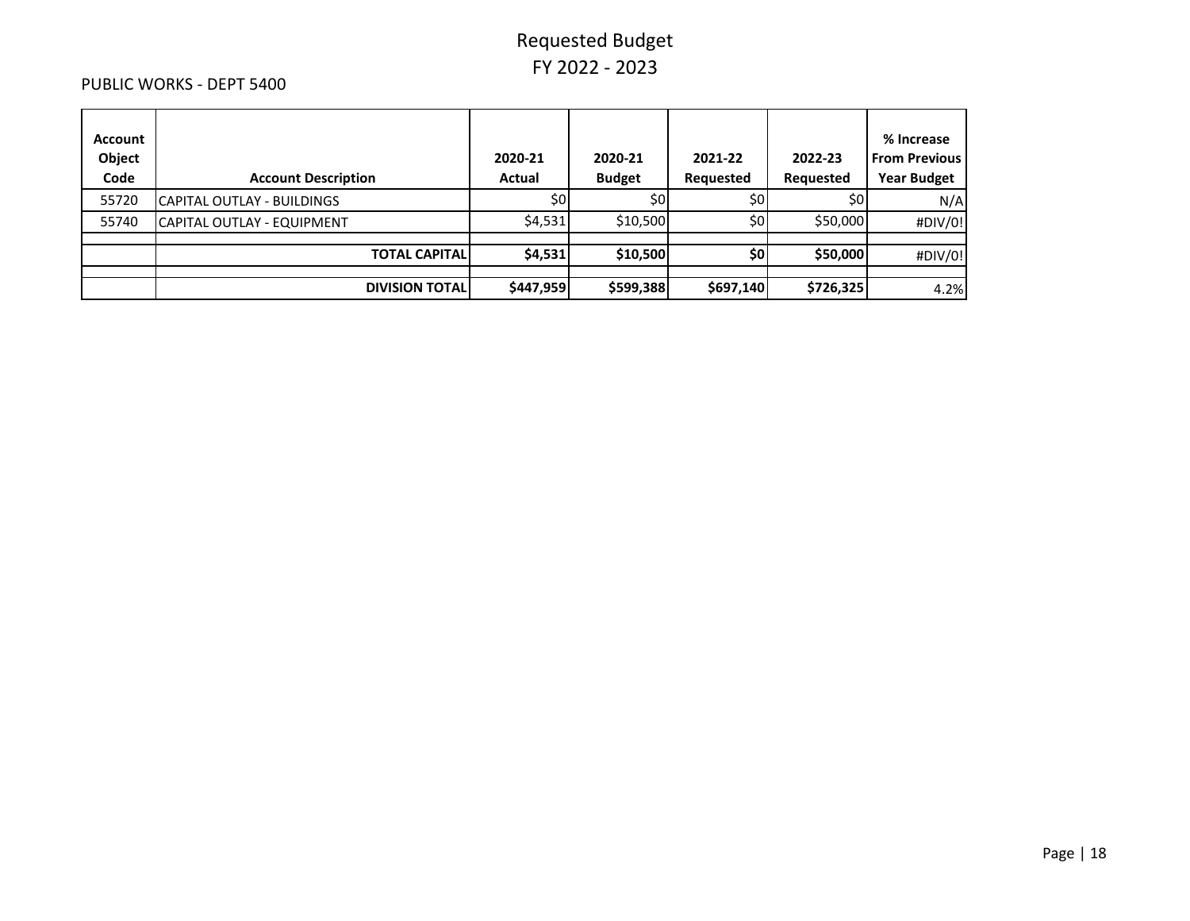#### PUBLIC WORKS - DEPT 5400

| Account<br>Object<br>Code | <b>Account Description</b> | 2020-21<br>Actual | 2020-21<br><b>Budget</b> | 2021-22<br>Requested | 2022-23<br>Requested | % Increase<br><b>From Previous</b><br><b>Year Budget</b> |
|---------------------------|----------------------------|-------------------|--------------------------|----------------------|----------------------|----------------------------------------------------------|
| 55720                     | CAPITAL OUTLAY - BUILDINGS | \$0l              | \$0l                     | SOI                  | S0                   | N/A                                                      |
| 55740                     | CAPITAL OUTLAY - EQUIPMENT | \$4,531           | \$10,500                 | \$0l                 | \$50,000             | #DIV/0!                                                  |
|                           | <b>TOTAL CAPITALI</b>      | \$4,531           | \$10,500                 | \$0                  | \$50,000             | #DIV/0!                                                  |
|                           |                            |                   |                          |                      |                      |                                                          |
|                           | <b>DIVISION TOTAL</b>      | \$447,959         | \$599,388                | \$697,140            | \$726,325            | 4.2%                                                     |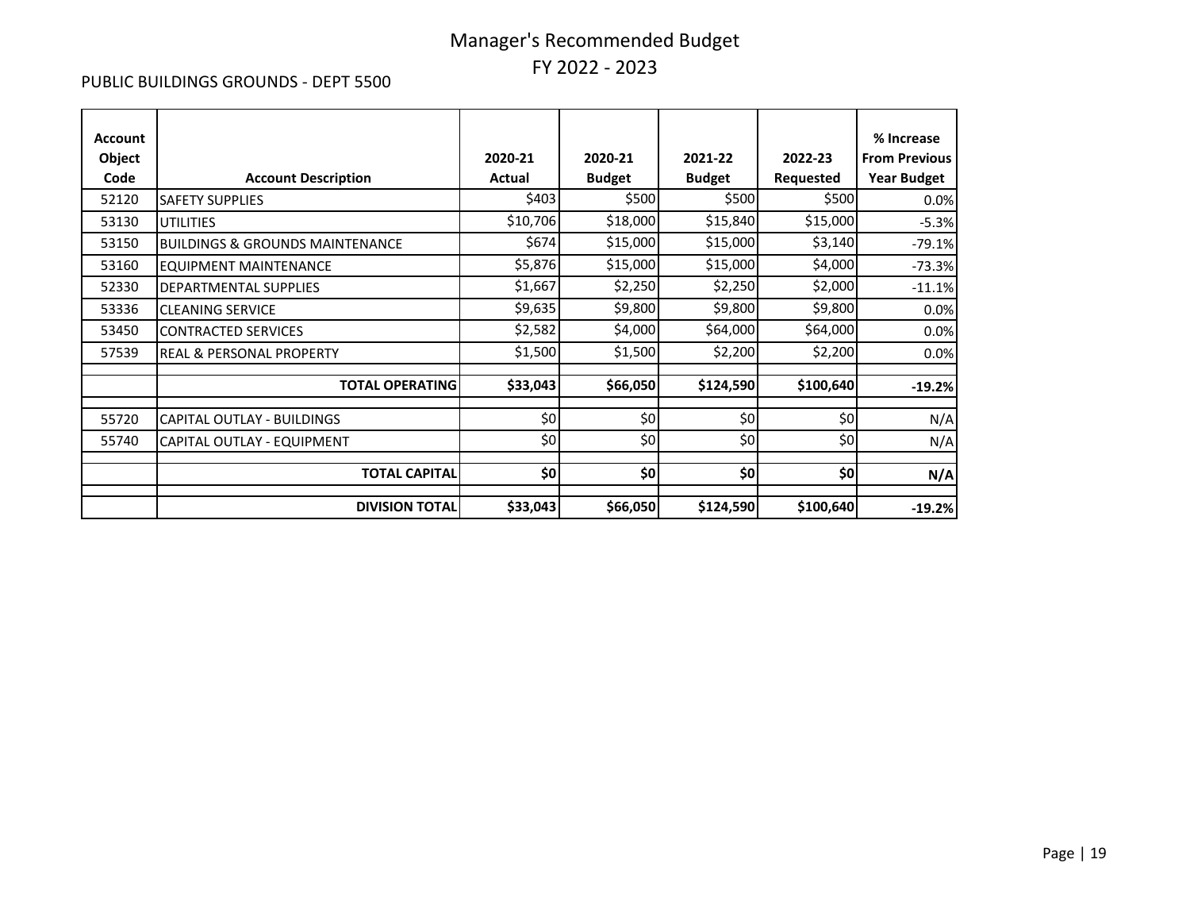#### PUBLIC BUILDINGS GROUNDS - DEPT 5500

| <b>Account</b><br>Object<br>Code | <b>Account Description</b>                 | 2020-21<br>Actual | 2020-21<br><b>Budget</b> | 2021-22<br><b>Budget</b> | 2022-23<br>Requested | % Increase<br><b>From Previous</b><br><b>Year Budget</b> |
|----------------------------------|--------------------------------------------|-------------------|--------------------------|--------------------------|----------------------|----------------------------------------------------------|
| 52120                            | <b>SAFETY SUPPLIES</b>                     | \$403             | \$500                    | \$500                    | \$500                | 0.0%                                                     |
| 53130                            | <b>UTILITIES</b>                           | \$10,706          | \$18,000                 | \$15,840                 | \$15,000             | $-5.3%$                                                  |
| 53150                            | <b>BUILDINGS &amp; GROUNDS MAINTENANCE</b> | \$674             | \$15,000                 | \$15,000                 | \$3,140              | $-79.1%$                                                 |
| 53160                            | <b>EQUIPMENT MAINTENANCE</b>               | \$5,876           | \$15,000                 | \$15,000                 | \$4,000              | $-73.3%$                                                 |
| 52330                            | <b>DEPARTMENTAL SUPPLIES</b>               | \$1,667           | \$2,250                  | \$2,250                  | \$2,000              | $-11.1%$                                                 |
| 53336                            | <b>CLEANING SERVICE</b>                    | \$9,635           | \$9,800                  | \$9,800                  | \$9,800              | 0.0%                                                     |
| 53450                            | <b>CONTRACTED SERVICES</b>                 | \$2,582           | \$4,000                  | \$64,000                 | \$64,000             | 0.0%                                                     |
| 57539                            | <b>REAL &amp; PERSONAL PROPERTY</b>        | \$1,500           | \$1,500                  | \$2,200                  | \$2,200              | 0.0%                                                     |
|                                  | <b>TOTAL OPERATING</b>                     | \$33,043          | \$66,050                 | \$124,590                | \$100,640            | $-19.2%$                                                 |
| 55720                            | CAPITAL OUTLAY - BUILDINGS                 | \$0               | \$0                      | \$0                      | \$0                  | N/A                                                      |
| 55740                            | CAPITAL OUTLAY - EQUIPMENT                 | \$0               | \$0                      | \$0                      | \$0                  | N/A                                                      |
|                                  | <b>TOTAL CAPITAL</b>                       | \$0               | \$0                      | \$0                      | \$0]                 | N/A                                                      |
|                                  | <b>DIVISION TOTAL</b>                      | \$33,043          | \$66,050                 | \$124,590                | \$100,640            | $-19.2%$                                                 |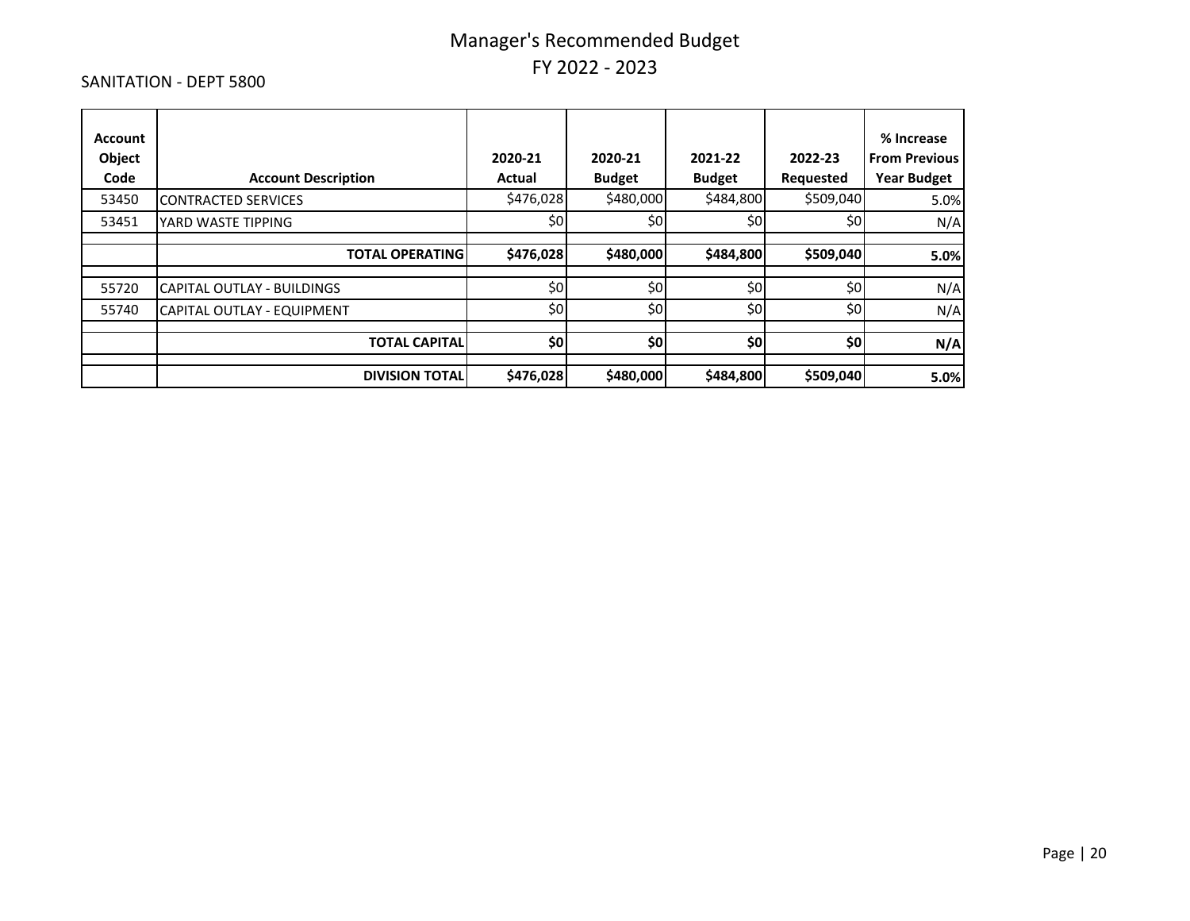#### SANITATION - DEPT 5800

| <b>Account</b><br>Object<br>Code | <b>Account Description</b>        | 2020-21<br>Actual | 2020-21<br><b>Budget</b> | 2021-22<br><b>Budget</b> | 2022-23<br>Requested | % Increase<br><b>From Previous</b><br><b>Year Budget</b> |
|----------------------------------|-----------------------------------|-------------------|--------------------------|--------------------------|----------------------|----------------------------------------------------------|
| 53450                            | <b>CONTRACTED SERVICES</b>        | \$476,028         | \$480,000                | \$484,800                | \$509,040            | 5.0%                                                     |
| 53451                            | YARD WASTE TIPPING                | \$0               | \$0                      | \$0                      | \$0                  | N/A                                                      |
|                                  | <b>TOTAL OPERATING</b>            | \$476,028         | \$480,000                | \$484,800                | \$509,040            | 5.0%                                                     |
| 55720                            | <b>CAPITAL OUTLAY - BUILDINGS</b> | \$0               | \$0                      | \$0                      | \$0                  | N/A                                                      |
| 55740                            | CAPITAL OUTLAY - EQUIPMENT        | \$0               | \$0                      | \$0                      | \$0                  | N/A                                                      |
|                                  | <b>TOTAL CAPITAL</b>              | \$0               | \$0                      | \$0                      | \$0                  | N/A                                                      |
|                                  | <b>DIVISION TOTAL</b>             | \$476,028         | \$480,000                | \$484,800                | \$509,040            | 5.0%                                                     |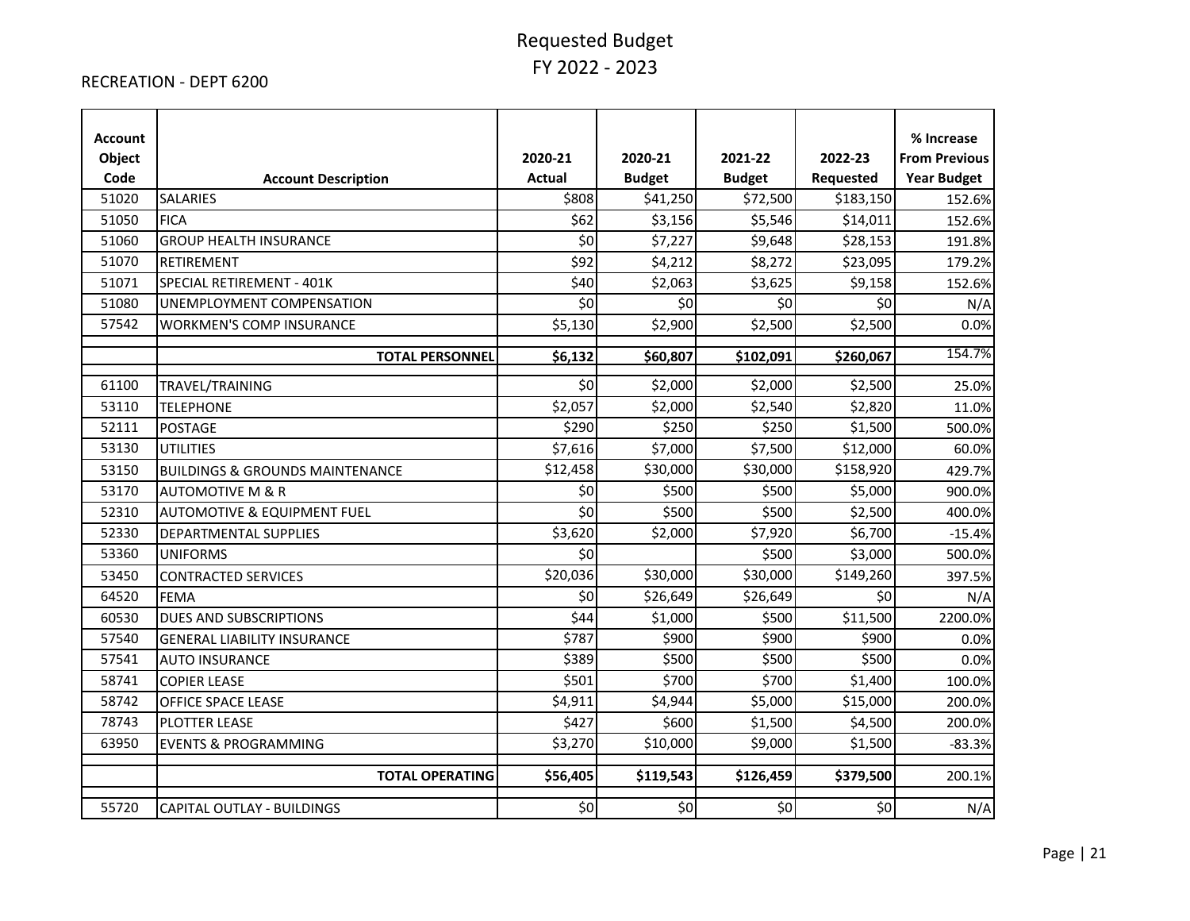#### RECREATION - DEPT 6200

| <b>Account</b><br>Object<br>Code | <b>Account Description</b>                 | 2020-21<br><b>Actual</b> | 2020-21<br><b>Budget</b> | 2021-22<br><b>Budget</b> | 2022-23<br>Requested | % Increase<br><b>From Previous</b><br><b>Year Budget</b> |
|----------------------------------|--------------------------------------------|--------------------------|--------------------------|--------------------------|----------------------|----------------------------------------------------------|
| 51020                            | <b>SALARIES</b>                            | \$808                    | \$41,250                 | \$72,500                 | \$183,150            | 152.6%                                                   |
| 51050                            | <b>FICA</b>                                | \$62                     | \$3,156                  | \$5,546                  | \$14,011             | 152.6%                                                   |
| 51060                            | <b>GROUP HEALTH INSURANCE</b>              | \$0                      | \$7,227                  | \$9,648                  | \$28,153             | 191.8%                                                   |
| 51070                            | RETIREMENT                                 | \$92                     | \$4,212                  | \$8,272                  | \$23,095             | 179.2%                                                   |
| 51071                            | SPECIAL RETIREMENT - 401K                  | \$40                     | \$2,063                  | \$3,625                  | \$9,158              | 152.6%                                                   |
| 51080                            | UNEMPLOYMENT COMPENSATION                  | \$0                      | \$0                      | \$0                      | \$0                  | N/A                                                      |
| 57542                            | <b>WORKMEN'S COMP INSURANCE</b>            | \$5,130                  | \$2,900                  | \$2,500                  | \$2,500              | 0.0%                                                     |
|                                  | <b>TOTAL PERSONNEL</b>                     | \$6,132                  | \$60,807                 | \$102,091                | \$260,067            | 154.7%                                                   |
| 61100                            | TRAVEL/TRAINING                            | \$0                      | \$2,000                  | \$2,000                  | \$2,500              | 25.0%                                                    |
| 53110                            | <b>TELEPHONE</b>                           | \$2,057                  | \$2,000                  | \$2,540                  | \$2,820              | 11.0%                                                    |
| 52111                            | <b>POSTAGE</b>                             | \$290                    | \$250                    | \$250                    | \$1,500              | 500.0%                                                   |
| 53130                            | <b>UTILITIES</b>                           | \$7,616                  | \$7,000                  | \$7,500                  | \$12,000             | 60.0%                                                    |
| 53150                            | <b>BUILDINGS &amp; GROUNDS MAINTENANCE</b> | \$12,458                 | \$30,000                 | \$30,000                 | \$158,920            | 429.7%                                                   |
| 53170                            | <b>AUTOMOTIVE M &amp; R</b>                | \$0                      | \$500                    | \$500                    | \$5,000              | 900.0%                                                   |
| 52310                            | <b>AUTOMOTIVE &amp; EQUIPMENT FUEL</b>     | \$0                      | \$500                    | \$500                    | \$2,500              | 400.0%                                                   |
| 52330                            | <b>DEPARTMENTAL SUPPLIES</b>               | \$3,620                  | \$2,000                  | \$7,920                  | \$6,700              | $-15.4%$                                                 |
| 53360                            | <b>UNIFORMS</b>                            | \$0                      |                          | \$500                    | \$3,000              | 500.0%                                                   |
| 53450                            | <b>CONTRACTED SERVICES</b>                 | \$20,036                 | \$30,000                 | \$30,000                 | \$149,260            | 397.5%                                                   |
| 64520                            | <b>FEMA</b>                                | \$0                      | \$26,649                 | \$26,649                 | \$0                  | N/A                                                      |
| 60530                            | DUES AND SUBSCRIPTIONS                     | \$44                     | \$1,000                  | \$500                    | \$11,500             | 2200.0%                                                  |
| 57540                            | <b>GENERAL LIABILITY INSURANCE</b>         | \$787                    | \$900                    | \$900                    | \$900                | 0.0%                                                     |
| 57541                            | <b>AUTO INSURANCE</b>                      | \$389                    | \$500                    | \$500                    | \$500                | 0.0%                                                     |
| 58741                            | <b>COPIER LEASE</b>                        | \$501                    | \$700                    | \$700                    | \$1,400              | 100.0%                                                   |
| 58742                            | <b>OFFICE SPACE LEASE</b>                  | \$4,911                  | \$4,944                  | \$5,000                  | \$15,000             | 200.0%                                                   |
| 78743                            | PLOTTER LEASE                              | \$427                    | \$600                    | \$1,500                  | \$4,500              | 200.0%                                                   |
| 63950                            | <b>EVENTS &amp; PROGRAMMING</b>            | \$3,270                  | \$10,000                 | \$9,000                  | \$1,500              | $-83.3%$                                                 |
|                                  | <b>TOTAL OPERATING</b>                     | \$56,405                 | \$119,543                | \$126,459                | \$379,500            | 200.1%                                                   |
| 55720                            | CAPITAL OUTLAY - BUILDINGS                 | \$0                      | \$0                      | \$0                      | \$0                  | N/A                                                      |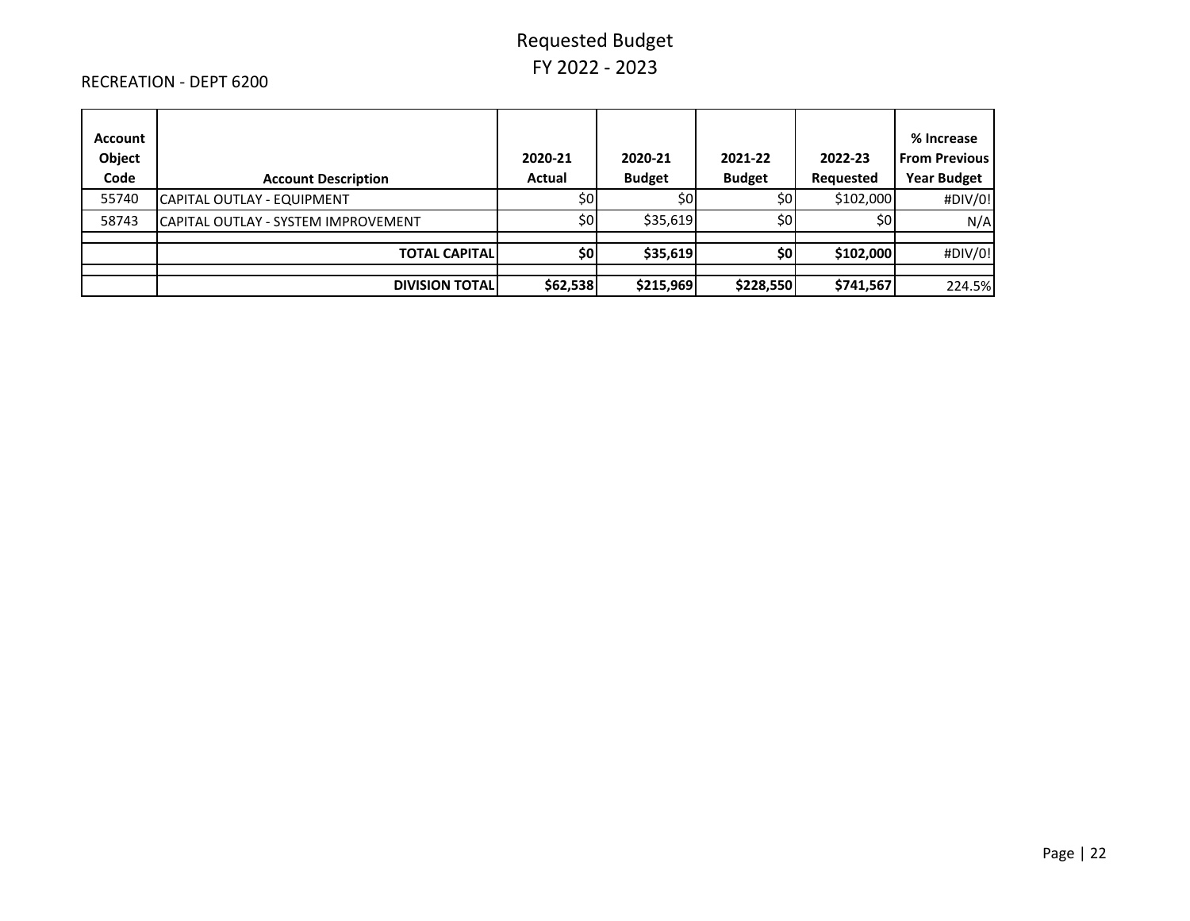#### RECREATION - DEPT 6200

| Account<br>Object<br>Code | <b>Account Description</b>           | 2020-21<br>Actual | 2020-21<br><b>Budget</b> | 2021-22<br><b>Budget</b> | 2022-23<br>Requested | % Increase<br><b>From Previous</b><br><b>Year Budget</b> |
|---------------------------|--------------------------------------|-------------------|--------------------------|--------------------------|----------------------|----------------------------------------------------------|
| 55740                     | CAPITAL OUTLAY - EQUIPMENT           | \$0               | \$0                      | \$0 <sub>1</sub>         | \$102,000            | #DIV/0!                                                  |
| 58743                     | ICAPITAL OUTLAY - SYSTEM IMPROVEMENT | 50 <sub>l</sub>   | \$35,619                 | \$0                      | \$0                  | N/A                                                      |
|                           | <b>TOTAL CAPITAL</b>                 | \$0               | \$35,619                 | \$0 <sub>1</sub>         | \$102,000            | #DIV/0!                                                  |
|                           |                                      |                   |                          |                          |                      |                                                          |
|                           | <b>DIVISION TOTALI</b>               | \$62,538          | \$215,969                | \$228,550                | \$741,567            | 224.5%                                                   |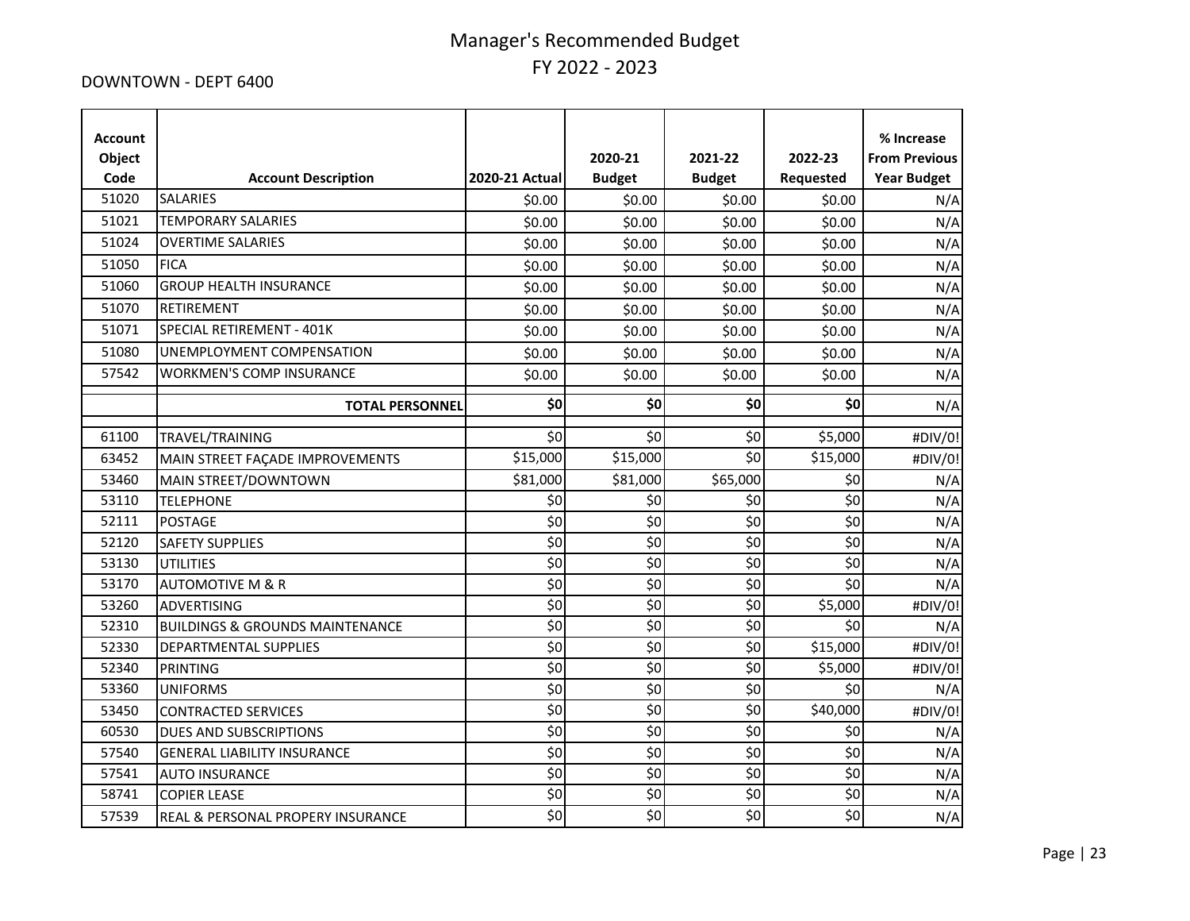#### DOWNTOWN - DEPT 6400

| <b>Account</b><br>Object<br>Code | <b>Account Description</b>                 | 2020-21 Actual     | 2020-21<br><b>Budget</b> | 2021-22<br><b>Budget</b> | 2022-23<br>Requested | % Increase<br><b>From Previous</b><br><b>Year Budget</b> |
|----------------------------------|--------------------------------------------|--------------------|--------------------------|--------------------------|----------------------|----------------------------------------------------------|
| 51020                            | <b>SALARIES</b>                            | \$0.00             | \$0.00                   | \$0.00                   | \$0.00               | N/A                                                      |
| 51021                            | <b>TEMPORARY SALARIES</b>                  | \$0.00             | \$0.00                   | \$0.00                   | \$0.00               | N/A                                                      |
| 51024                            | <b>OVERTIME SALARIES</b>                   | \$0.00             | \$0.00                   | \$0.00                   | \$0.00               | N/A                                                      |
| 51050                            | <b>FICA</b>                                | \$0.00             | \$0.00                   | \$0.00                   | \$0.00               | N/A                                                      |
| 51060                            | <b>GROUP HEALTH INSURANCE</b>              | \$0.00             | \$0.00                   | \$0.00                   | \$0.00               | N/A                                                      |
| 51070                            | RETIREMENT                                 | \$0.00             | \$0.00                   | \$0.00                   | \$0.00               | N/A                                                      |
| 51071                            | SPECIAL RETIREMENT - 401K                  | \$0.00             | \$0.00                   | \$0.00                   | \$0.00               | N/A                                                      |
| 51080                            | UNEMPLOYMENT COMPENSATION                  | \$0.00             | \$0.00                   | \$0.00                   | \$0.00               | N/A                                                      |
| 57542                            | <b>WORKMEN'S COMP INSURANCE</b>            | \$0.00             | \$0.00                   | \$0.00                   | \$0.00               | N/A                                                      |
|                                  | <b>TOTAL PERSONNEL</b>                     | \$0                | \$0                      | \$0                      | \$0                  | N/A                                                      |
|                                  |                                            |                    |                          |                          |                      |                                                          |
| 61100                            | TRAVEL/TRAINING                            | \$0                | \$0                      | \$0                      | \$5,000              | #DIV/0!                                                  |
| 63452                            | MAIN STREET FAÇADE IMPROVEMENTS            | \$15,000           | \$15,000                 | \$0                      | \$15,000             | #DIV/0!                                                  |
| 53460                            | MAIN STREET/DOWNTOWN                       | \$81,000           | \$81,000                 | \$65,000                 | \$0                  | N/A                                                      |
| 53110                            | <b>TELEPHONE</b>                           | \$0                | \$0                      | \$0                      | \$0                  | N/A                                                      |
| 52111                            | <b>POSTAGE</b>                             | \$0                | \$0                      | \$0                      | \$0                  | N/A                                                      |
| 52120                            | <b>SAFETY SUPPLIES</b>                     | $\overline{\xi_0}$ | $\overline{\xi_0}$       | $\overline{\xi_0}$       | $\overline{\xi}$     | N/A                                                      |
| 53130                            | <b>UTILITIES</b>                           | \$0                | \$0                      | \$0                      | \$0                  | N/A                                                      |
| 53170                            | <b>AUTOMOTIVE M &amp; R</b>                | \$0                | \$0                      | \$0                      | \$0                  | N/A                                                      |
| 53260                            | <b>ADVERTISING</b>                         | \$0                | \$0                      | $\overline{\xi_0}$       | \$5,000              | #DIV/0!                                                  |
| 52310                            | <b>BUILDINGS &amp; GROUNDS MAINTENANCE</b> | \$0                | \$0                      | \$0                      | \$0                  | N/A                                                      |
| 52330                            | DEPARTMENTAL SUPPLIES                      | \$0                | \$0                      | \$0                      | \$15,000             | #DIV/0!                                                  |
| 52340                            | <b>PRINTING</b>                            | \$0                | \$0                      | \$0                      | \$5,000              | #DIV/0!                                                  |
| 53360                            | <b>UNIFORMS</b>                            | \$0                | \$0                      | \$0                      | \$0                  | N/A                                                      |
| 53450                            | <b>CONTRACTED SERVICES</b>                 | \$0                | \$0                      | \$0                      | \$40,000             | #DIV/0!                                                  |
| 60530                            | <b>DUES AND SUBSCRIPTIONS</b>              | \$0                | \$0                      | \$0                      | \$0                  | N/A                                                      |
| 57540                            | <b>GENERAL LIABILITY INSURANCE</b>         | \$0                | \$0                      | \$0                      | \$0                  | N/A                                                      |
| 57541                            | <b>AUTO INSURANCE</b>                      | \$0                | $\overline{\xi_0}$       | $\overline{\xi_0}$       | $\overline{\xi_0}$   | N/A                                                      |
| 58741                            | <b>COPIER LEASE</b>                        | \$0                | \$0                      | \$0                      | \$0                  | N/A                                                      |
| 57539                            | REAL & PERSONAL PROPERY INSURANCE          | \$0                | \$0                      | \$0                      | \$0                  | N/A                                                      |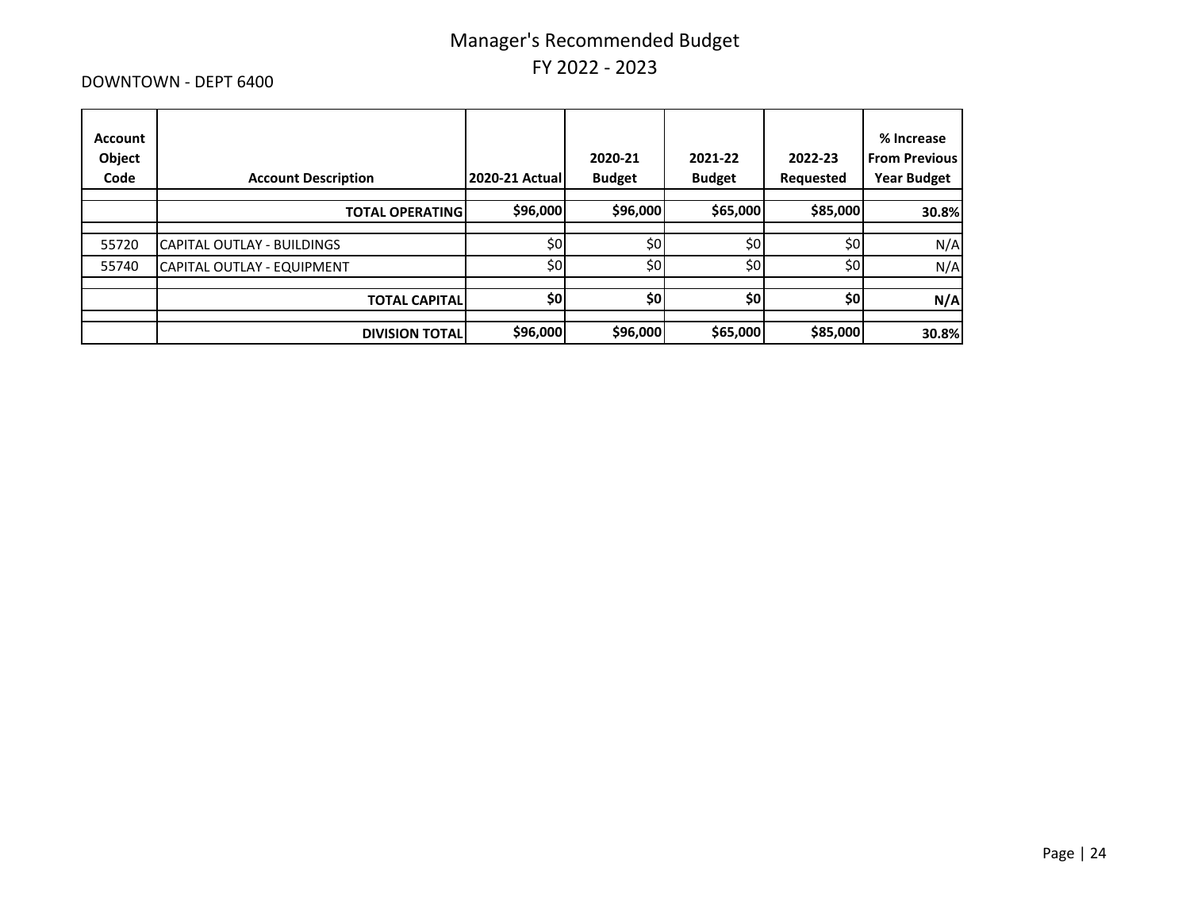#### DOWNTOWN - DEPT 6400

| Account<br>Object<br>Code | <b>Account Description</b> | <b>2020-21 Actual</b> | 2020-21<br><b>Budget</b> | 2021-22<br><b>Budget</b> | 2022-23<br>Requested | % Increase<br><b>From Previous</b><br><b>Year Budget</b> |
|---------------------------|----------------------------|-----------------------|--------------------------|--------------------------|----------------------|----------------------------------------------------------|
|                           | <b>TOTAL OPERATING</b>     | \$96,000              | \$96,000                 | \$65,000                 | \$85,000             | 30.8%                                                    |
| 55720                     | CAPITAL OUTLAY - BUILDINGS | \$0                   | \$0                      | \$0                      | \$0                  | N/A                                                      |
| 55740                     | CAPITAL OUTLAY - EQUIPMENT | \$0                   | \$0                      | \$0                      | \$0                  | N/A                                                      |
|                           | <b>TOTAL CAPITALI</b>      | \$0                   | \$0                      | \$0                      | \$0                  | N/A                                                      |
|                           | <b>DIVISION TOTAL</b>      | \$96,000              | \$96,000                 | \$65,000                 | \$85,000             | 30.8%                                                    |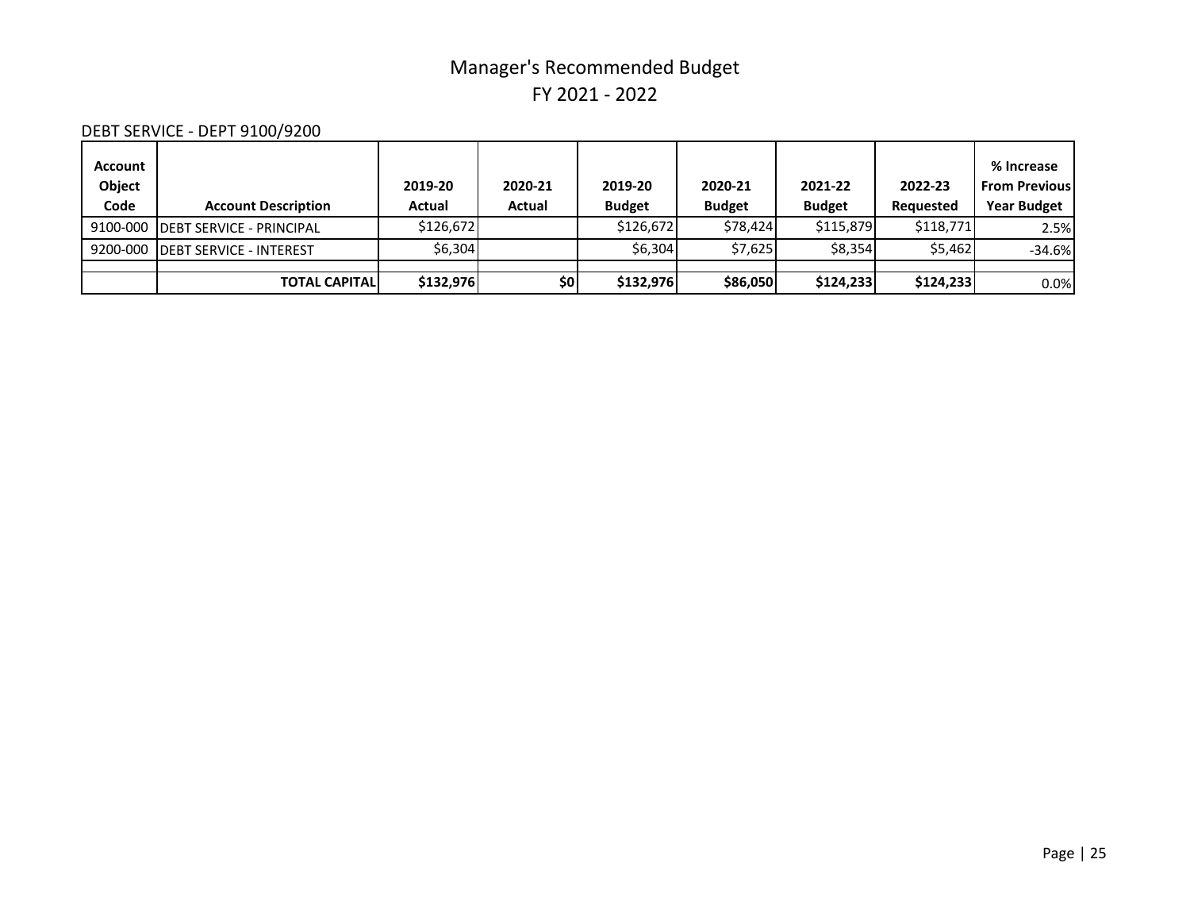### DEBT SERVICE - DEPT 9100/9200

| <b>Account</b><br>Object<br>Code | <b>Account Description</b>        | 2019-20<br>Actual | 2020-21<br>Actual | 2019-20<br><b>Budget</b> | 2020-21<br><b>Budget</b> | 2021-22<br><b>Budget</b> | 2022-23<br>Requested | % Increase<br><b>From Previous</b><br><b>Year Budget</b> |
|----------------------------------|-----------------------------------|-------------------|-------------------|--------------------------|--------------------------|--------------------------|----------------------|----------------------------------------------------------|
|                                  | 9100-000 DEBT SERVICE - PRINCIPAL | \$126.672         |                   | \$126.672                | \$78.424                 | \$115.879                | \$118,771            | 2.5%                                                     |
|                                  | 9200-000 DEBT SERVICE - INTEREST  | \$6,304           |                   | \$6.304                  | \$7,625                  | \$8,354                  | \$5.462              | $-34.6%$                                                 |
|                                  |                                   |                   |                   |                          |                          |                          |                      |                                                          |
|                                  | <b>TOTAL CAPITALI</b>             | \$132,976         | \$0               | \$132,976                | \$86,050                 | \$124,233                | \$124,233            | 0.0%                                                     |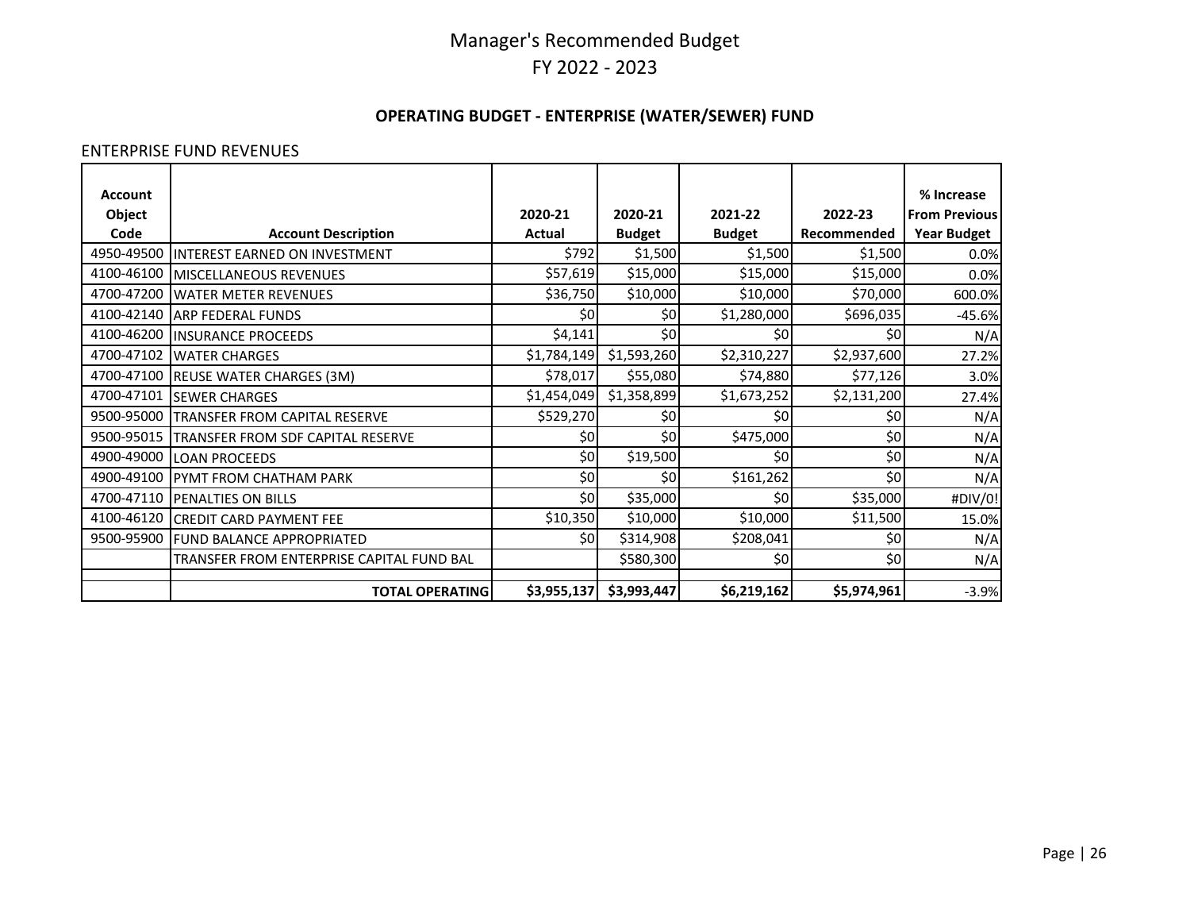### **OPERATING BUDGET - ENTERPRISE (WATER/SEWER) FUND**

#### ENTERPRISE FUND REVENUES

| <b>Account</b> |                                           |             |               |               |             | % Increase           |
|----------------|-------------------------------------------|-------------|---------------|---------------|-------------|----------------------|
| Object         |                                           | 2020-21     | 2020-21       | 2021-22       | 2022-23     | <b>From Previous</b> |
| Code           | <b>Account Description</b>                | Actual      | <b>Budget</b> | <b>Budget</b> | Recommended | <b>Year Budget</b>   |
| 4950-49500     | <b>INTEREST EARNED ON INVESTMENT</b>      | \$792       | \$1,500       | \$1,500       | \$1,500     | 0.0%                 |
| 4100-46100     | MISCELLANEOUS REVENUES                    | \$57,619    | \$15,000      | \$15,000      | \$15,000    | 0.0%                 |
| 4700-47200     | <b>WATER METER REVENUES</b>               | \$36,750    | \$10,000      | \$10,000      | \$70,000    | 600.0%               |
| 4100-42140     | <b>ARP FEDERAL FUNDS</b>                  | \$0         | \$0           | \$1,280,000   | \$696,035   | $-45.6%$             |
| 4100-46200     | <b>INSURANCE PROCEEDS</b>                 | \$4,141     | \$0           | \$0           | \$0         | N/A                  |
| 4700-47102     | <b>WATER CHARGES</b>                      | \$1,784,149 | \$1,593,260   | \$2,310,227   | \$2,937,600 | 27.2%                |
| 4700-47100     | REUSE WATER CHARGES (3M)                  | \$78,017    | \$55,080      | \$74,880      | \$77,126    | 3.0%                 |
| 4700-47101     | <b>SEWER CHARGES</b>                      | \$1,454,049 | \$1,358,899   | \$1,673,252   | \$2,131,200 | 27.4%                |
| 9500-95000     | TRANSFER FROM CAPITAL RESERVE             | \$529,270   | \$0           | \$0           | \$0         | N/A                  |
| 9500-95015     | TRANSFER FROM SDF CAPITAL RESERVE         | \$0         | \$0           | \$475,000     | \$0         | N/A                  |
| 4900-49000     | <b>LOAN PROCEEDS</b>                      | \$0         | \$19,500      | \$0           | \$0         | N/A                  |
| 4900-49100     | PYMT FROM CHATHAM PARK                    | \$0         | \$0           | \$161,262     | \$0         | N/A                  |
| 4700-47110     | PENALTIES ON BILLS                        | \$0         | \$35,000      | \$0           | \$35,000    | #DIV/0!              |
| 4100-46120     | <b>CREDIT CARD PAYMENT FEE</b>            | \$10,350    | \$10,000      | \$10,000      | \$11,500    | 15.0%                |
| 9500-95900     | <b>FUND BALANCE APPROPRIATED</b>          | \$0l        | \$314,908     | \$208,041     | \$0         | N/A                  |
|                | TRANSFER FROM ENTERPRISE CAPITAL FUND BAL |             | \$580,300     | \$0           | \$0         | N/A                  |
|                |                                           |             |               |               |             |                      |
|                | <b>TOTAL OPERATING</b>                    | \$3,955,137 | \$3,993,447   | \$6,219,162   | \$5,974,961 | $-3.9%$              |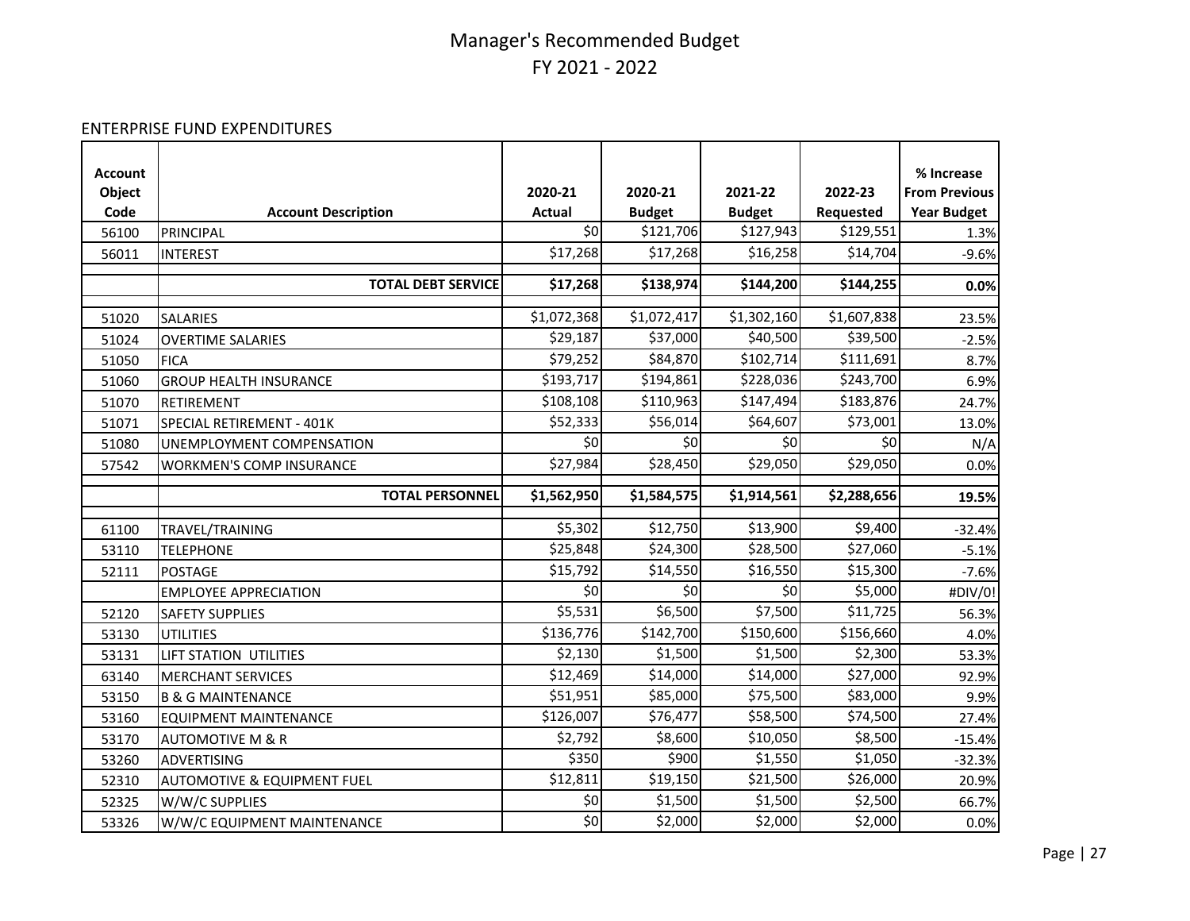#### ENTERPRISE FUND EXPENDITURES

| <b>Account</b> |                                        |               |               |               |             | % Increase           |
|----------------|----------------------------------------|---------------|---------------|---------------|-------------|----------------------|
| Object         |                                        | 2020-21       | 2020-21       | 2021-22       | 2022-23     | <b>From Previous</b> |
| Code           | <b>Account Description</b>             | <b>Actual</b> | <b>Budget</b> | <b>Budget</b> | Requested   | <b>Year Budget</b>   |
| 56100          | PRINCIPAL                              | \$0           | \$121,706     | \$127,943     | \$129,551   | 1.3%                 |
| 56011          | <b>INTEREST</b>                        | \$17,268      | \$17,268      | \$16,258      | \$14,704    | $-9.6%$              |
|                | <b>TOTAL DEBT SERVICE</b>              | \$17,268      | \$138,974     | \$144,200     | \$144,255   | 0.0%                 |
|                |                                        |               |               |               |             |                      |
| 51020          | SALARIES                               | \$1,072,368   | \$1,072,417   | \$1,302,160   | \$1,607,838 | 23.5%                |
| 51024          | <b>OVERTIME SALARIES</b>               | \$29,187      | \$37,000      | \$40,500      | \$39,500    | $-2.5%$              |
| 51050          | <b>FICA</b>                            | \$79,252      | \$84,870      | \$102,714     | \$111,691   | 8.7%                 |
| 51060          | <b>GROUP HEALTH INSURANCE</b>          | \$193,717     | \$194,861     | \$228,036     | \$243,700   | 6.9%                 |
| 51070          | RETIREMENT                             | \$108,108     | \$110,963     | \$147,494     | \$183,876   | 24.7%                |
| 51071          | SPECIAL RETIREMENT - 401K              | \$52,333      | \$56,014      | \$64,607      | \$73,001    | 13.0%                |
| 51080          | UNEMPLOYMENT COMPENSATION              | \$0           | \$0           | \$0           | \$0         | N/A                  |
| 57542          | <b>WORKMEN'S COMP INSURANCE</b>        | \$27,984      | \$28,450      | \$29,050      | \$29,050    | 0.0%                 |
|                | <b>TOTAL PERSONNEL</b>                 | \$1,562,950   | \$1,584,575   | \$1,914,561   | \$2,288,656 | 19.5%                |
|                |                                        |               |               |               |             |                      |
| 61100          | TRAVEL/TRAINING                        | \$5,302       | \$12,750      | \$13,900      | \$9,400     | $-32.4%$             |
| 53110          | <b>TELEPHONE</b>                       | \$25,848      | \$24,300      | \$28,500      | \$27,060    | $-5.1%$              |
| 52111          | <b>POSTAGE</b>                         | \$15,792      | \$14,550      | \$16,550      | \$15,300    | $-7.6%$              |
|                | <b>EMPLOYEE APPRECIATION</b>           | \$0           | \$0           | \$0           | \$5,000     | #DIV/0!              |
| 52120          | <b>SAFETY SUPPLIES</b>                 | \$5,531       | \$6,500       | \$7,500       | \$11,725    | 56.3%                |
| 53130          | <b>UTILITIES</b>                       | \$136,776     | \$142,700     | \$150,600     | \$156,660   | 4.0%                 |
| 53131          | LIFT STATION UTILITIES                 | \$2,130       | \$1,500       | \$1,500       | \$2,300     | 53.3%                |
| 63140          | <b>MERCHANT SERVICES</b>               | \$12,469      | \$14,000      | \$14,000      | \$27,000    | 92.9%                |
| 53150          | <b>B &amp; G MAINTENANCE</b>           | \$51,951      | \$85,000      | \$75,500      | \$83,000    | 9.9%                 |
| 53160          | <b>EQUIPMENT MAINTENANCE</b>           | \$126,007     | \$76,477      | \$58,500      | \$74,500    | 27.4%                |
| 53170          | <b>AUTOMOTIVE M &amp; R</b>            | \$2,792       | \$8,600       | \$10,050      | \$8,500     | $-15.4%$             |
| 53260          | <b>ADVERTISING</b>                     | \$350         | \$900         | \$1,550       | \$1,050     | $-32.3%$             |
| 52310          | <b>AUTOMOTIVE &amp; EQUIPMENT FUEL</b> | \$12,811      | \$19,150      | \$21,500      | \$26,000    | 20.9%                |
| 52325          | W/W/C SUPPLIES                         | \$0           | \$1,500       | \$1,500       | \$2,500     | 66.7%                |
| 53326          | W/W/C EQUIPMENT MAINTENANCE            | \$0           | \$2,000       | \$2,000       | \$2,000     | 0.0%                 |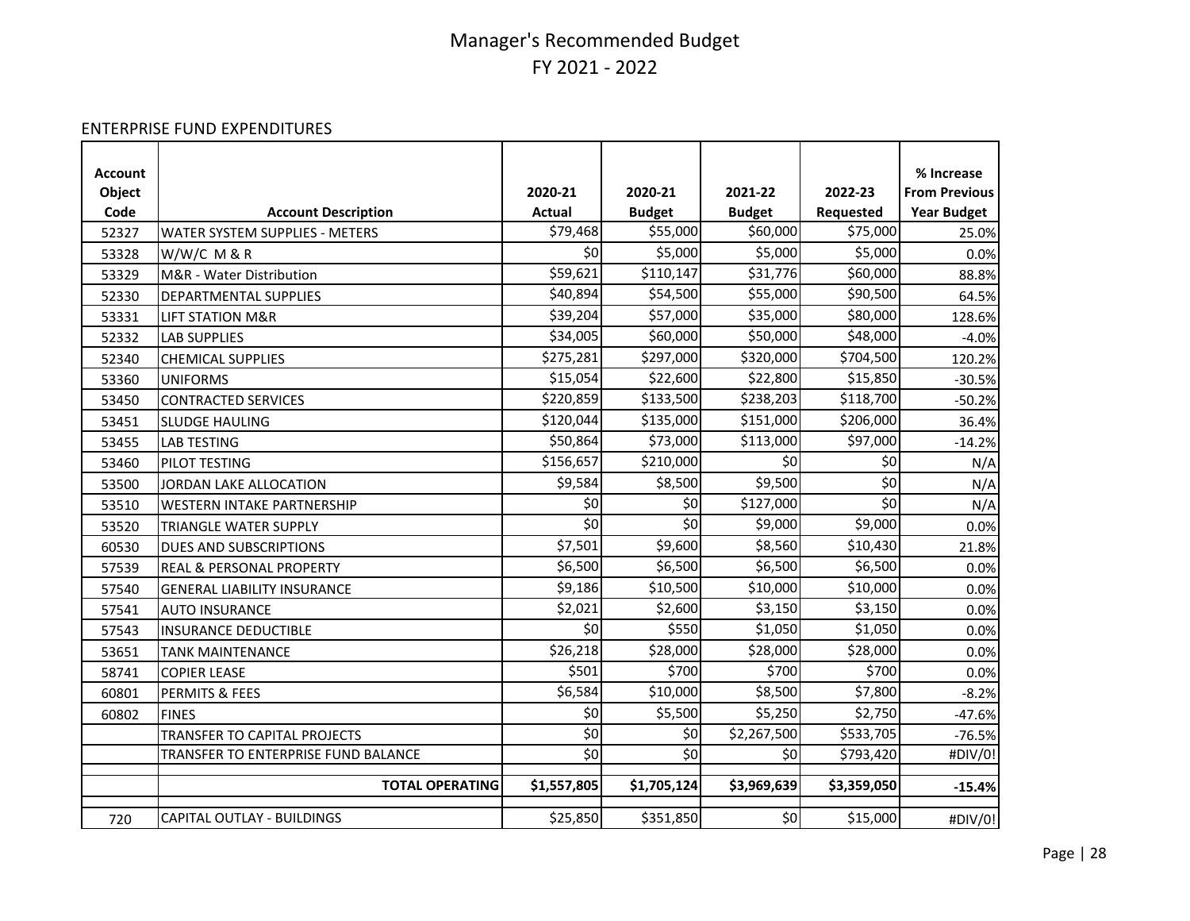#### ENTERPRISE FUND EXPENDITURES

| <b>Account</b><br>Object |                                     | 2020-21       | 2020-21       | 2021-22       | 2022-23     | % Increase<br><b>From Previous</b> |
|--------------------------|-------------------------------------|---------------|---------------|---------------|-------------|------------------------------------|
| Code                     | <b>Account Description</b>          | <b>Actual</b> | <b>Budget</b> | <b>Budget</b> | Requested   | <b>Year Budget</b>                 |
| 52327                    | WATER SYSTEM SUPPLIES - METERS      | \$79,468      | \$55,000      | \$60,000      | \$75,000    | 25.0%                              |
| 53328                    | W/W/C M & R                         | \$0           | \$5,000       | \$5,000       | \$5,000     | 0.0%                               |
| 53329                    | M&R - Water Distribution            | \$59,621      | \$110,147     | \$31,776      | \$60,000    | 88.8%                              |
| 52330                    | DEPARTMENTAL SUPPLIES               | \$40,894      | \$54,500      | \$55,000      | \$90,500    | 64.5%                              |
| 53331                    | <b>LIFT STATION M&amp;R</b>         | \$39,204      | \$57,000      | \$35,000      | \$80,000    | 128.6%                             |
| 52332                    | <b>LAB SUPPLIES</b>                 | \$34,005      | \$60,000      | \$50,000      | \$48,000    | $-4.0%$                            |
| 52340                    | <b>CHEMICAL SUPPLIES</b>            | \$275,281     | \$297,000     | \$320,000     | \$704,500   | 120.2%                             |
| 53360                    | <b>UNIFORMS</b>                     | \$15,054      | \$22,600      | \$22,800      | \$15,850    | $-30.5%$                           |
| 53450                    | <b>CONTRACTED SERVICES</b>          | \$220,859     | \$133,500     | \$238,203     | \$118,700   | $-50.2%$                           |
| 53451                    | <b>SLUDGE HAULING</b>               | \$120,044     | \$135,000     | \$151,000     | \$206,000   | 36.4%                              |
| 53455                    | <b>LAB TESTING</b>                  | \$50,864      | \$73,000      | \$113,000     | \$97,000    | $-14.2%$                           |
| 53460                    | PILOT TESTING                       | \$156,657     | \$210,000     | \$0           | \$0         | N/A                                |
| 53500                    | JORDAN LAKE ALLOCATION              | \$9,584       | \$8,500       | \$9,500       | \$0         | N/A                                |
| 53510                    | <b>WESTERN INTAKE PARTNERSHIP</b>   | \$0           | \$0           | \$127,000     | \$0         | N/A                                |
| 53520                    | TRIANGLE WATER SUPPLY               | \$0           | \$0           | \$9,000       | \$9,000     | 0.0%                               |
| 60530                    | DUES AND SUBSCRIPTIONS              | \$7,501       | \$9,600       | \$8,560       | \$10,430    | 21.8%                              |
| 57539                    | REAL & PERSONAL PROPERTY            | \$6,500       | \$6,500       | \$6,500       | \$6,500     | 0.0%                               |
| 57540                    | <b>GENERAL LIABILITY INSURANCE</b>  | \$9,186       | \$10,500      | \$10,000      | \$10,000    | 0.0%                               |
| 57541                    | <b>AUTO INSURANCE</b>               | \$2,021       | \$2,600       | \$3,150       | \$3,150     | 0.0%                               |
| 57543                    | <b>INSURANCE DEDUCTIBLE</b>         | \$0           | \$550         | \$1,050       | \$1,050     | 0.0%                               |
| 53651                    | <b>TANK MAINTENANCE</b>             | \$26,218      | \$28,000      | \$28,000      | \$28,000    | 0.0%                               |
| 58741                    | <b>COPIER LEASE</b>                 | \$501         | \$700         | \$700         | \$700       | 0.0%                               |
| 60801                    | PERMITS & FEES                      | \$6,584       | \$10,000      | \$8,500       | \$7,800     | $-8.2%$                            |
| 60802                    | <b>FINES</b>                        | \$0           | \$5,500       | \$5,250       | \$2,750     | $-47.6%$                           |
|                          | TRANSFER TO CAPITAL PROJECTS        | \$0           | \$0           | \$2,267,500   | \$533,705   | $-76.5%$                           |
|                          | TRANSFER TO ENTERPRISE FUND BALANCE | \$0           | \$0           | \$0           | \$793,420   | #DIV/0!                            |
|                          | <b>TOTAL OPERATING</b>              | \$1,557,805   | \$1,705,124   | \$3,969,639   | \$3,359,050 | $-15.4%$                           |
| 720                      | <b>CAPITAL OUTLAY - BUILDINGS</b>   | \$25,850      | \$351,850     | \$0           | \$15,000    | #DIV/0!                            |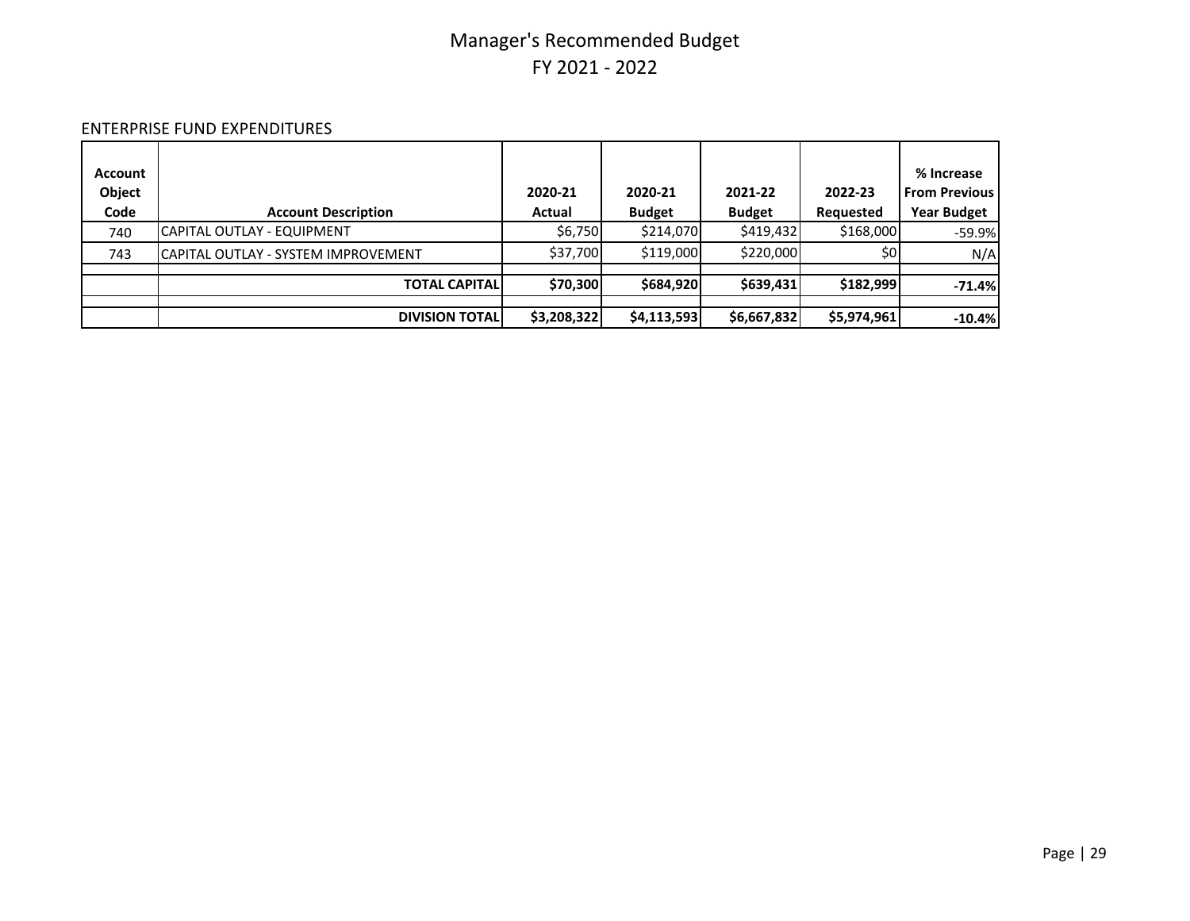#### ENTERPRISE FUND EXPENDITURES

| <b>Account</b><br>Object<br>Code | <b>Account Description</b>           | 2020-21<br>Actual | 2020-21<br><b>Budget</b> | 2021-22<br><b>Budget</b> | 2022-23<br>Requested | % Increase<br><b>From Previous</b><br><b>Year Budget</b> |
|----------------------------------|--------------------------------------|-------------------|--------------------------|--------------------------|----------------------|----------------------------------------------------------|
| 740                              | CAPITAL OUTLAY - EQUIPMENT           | \$6,750           | \$214,070                | \$419,432                | \$168,000            | $-59.9%$                                                 |
| 743                              | ICAPITAL OUTLAY - SYSTEM IMPROVEMENT | \$37,700          | \$119,000                | \$220,000                | \$0                  | N/A                                                      |
|                                  | <b>TOTAL CAPITAL</b>                 | \$70,300          | \$684,920                | \$639,431                | \$182,999            | $-71.4%$                                                 |
|                                  | <b>DIVISION TOTAL</b>                | \$3,208,322       | \$4,113,593              | \$6,667,832              | \$5,974,961          | $-10.4%$                                                 |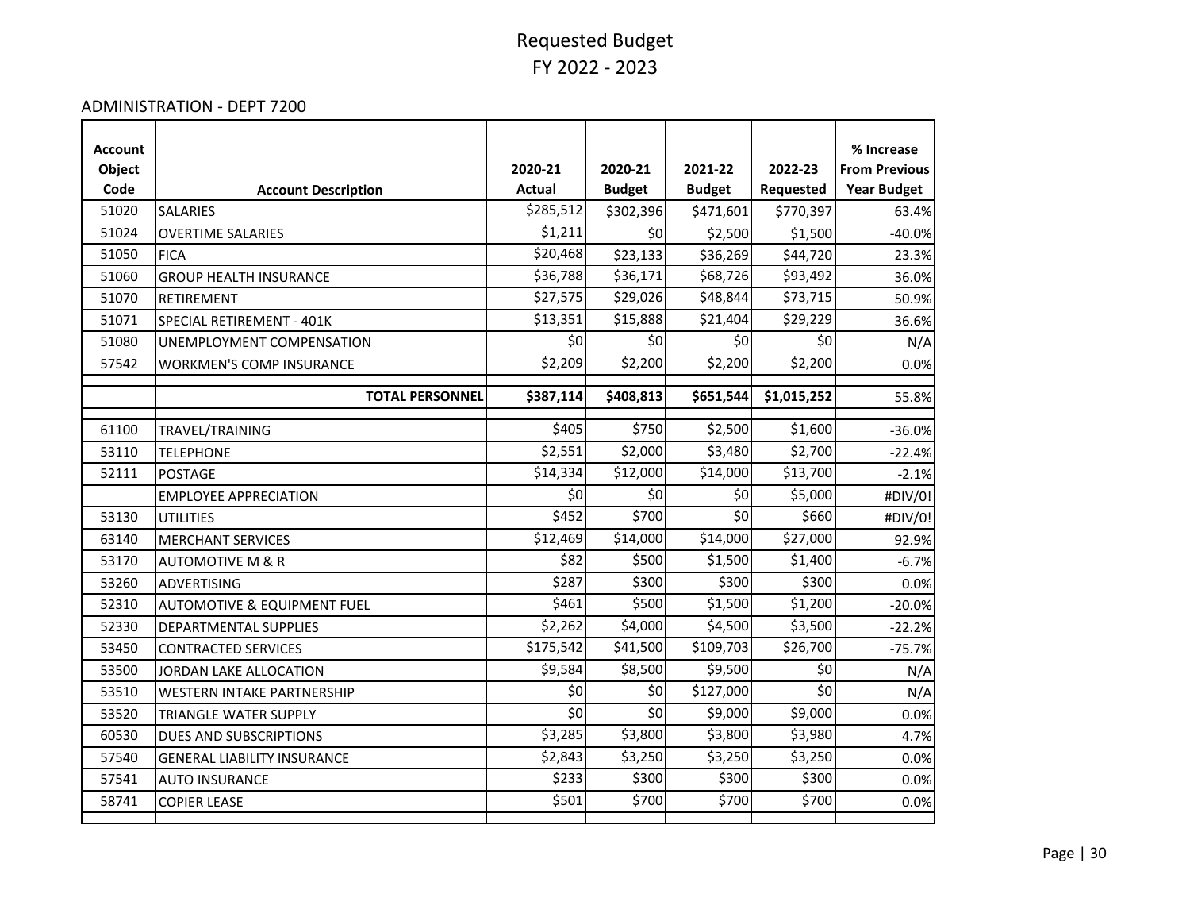#### ADMINISTRATION - DEPT 7200

| Account |                                        |               |               |               |             | % Increase           |
|---------|----------------------------------------|---------------|---------------|---------------|-------------|----------------------|
| Object  |                                        | 2020-21       | 2020-21       | 2021-22       | 2022-23     | <b>From Previous</b> |
| Code    | <b>Account Description</b>             | <b>Actual</b> | <b>Budget</b> | <b>Budget</b> | Requested   | <b>Year Budget</b>   |
| 51020   | <b>SALARIES</b>                        | \$285,512     | \$302,396     | \$471,601     | \$770,397   | 63.4%                |
| 51024   | <b>OVERTIME SALARIES</b>               | \$1,211       | \$0           | \$2,500       | \$1,500     | $-40.0%$             |
| 51050   | <b>FICA</b>                            | \$20,468      | \$23,133      | \$36,269      | \$44,720    | 23.3%                |
| 51060   | <b>GROUP HEALTH INSURANCE</b>          | \$36,788      | \$36,171      | \$68,726      | \$93,492    | 36.0%                |
| 51070   | RETIREMENT                             | \$27,575      | \$29,026      | \$48,844      | \$73,715    | 50.9%                |
| 51071   | SPECIAL RETIREMENT - 401K              | \$13,351      | \$15,888      | \$21,404      | \$29,229    | 36.6%                |
| 51080   | UNEMPLOYMENT COMPENSATION              | \$0           | \$0           | \$0           | \$0         | N/A                  |
| 57542   | <b>WORKMEN'S COMP INSURANCE</b>        | \$2,209       | \$2,200       | \$2,200       | \$2,200     | 0.0%                 |
|         | <b>TOTAL PERSONNEL</b>                 | \$387,114     | \$408,813     | \$651,544     | \$1,015,252 | 55.8%                |
| 61100   | TRAVEL/TRAINING                        | \$405         | \$750         | \$2,500       | \$1,600     | $-36.0%$             |
| 53110   | <b>TELEPHONE</b>                       | \$2,551       | \$2,000       | \$3,480       | \$2,700     | $-22.4%$             |
| 52111   | <b>POSTAGE</b>                         | \$14,334      | \$12,000      | \$14,000      | \$13,700    | $-2.1%$              |
|         | <b>EMPLOYEE APPRECIATION</b>           | \$0           | \$0           | \$0           | \$5,000     | #DIV/0!              |
| 53130   | <b>UTILITIES</b>                       | \$452         | \$700         | \$0           | \$660       | #DIV/0!              |
| 63140   | <b>MERCHANT SERVICES</b>               | \$12,469      | \$14,000      | \$14,000      | \$27,000    | 92.9%                |
| 53170   | <b>AUTOMOTIVE M &amp; R</b>            | \$82          | \$500         | \$1,500       | \$1,400     | $-6.7%$              |
| 53260   | <b>ADVERTISING</b>                     | \$287         | \$300         | \$300         | \$300       | 0.0%                 |
| 52310   | <b>AUTOMOTIVE &amp; EQUIPMENT FUEL</b> | \$461         | \$500         | \$1,500       | \$1,200     | $-20.0%$             |
| 52330   | DEPARTMENTAL SUPPLIES                  | \$2,262       | \$4,000       | \$4,500       | \$3,500     | $-22.2%$             |
| 53450   | <b>CONTRACTED SERVICES</b>             | \$175,542     | \$41,500      | \$109,703     | \$26,700    | $-75.7%$             |
| 53500   | JORDAN LAKE ALLOCATION                 | \$9,584       | \$8,500       | \$9,500       | 50          | N/A                  |
| 53510   | <b>WESTERN INTAKE PARTNERSHIP</b>      | \$0           | \$0           | \$127,000     | 50          | N/A                  |
| 53520   | TRIANGLE WATER SUPPLY                  | \$0           | \$0           | \$9,000       | \$9,000     | 0.0%                 |
| 60530   | <b>DUES AND SUBSCRIPTIONS</b>          | \$3,285       | \$3,800       | \$3,800       | \$3,980     | 4.7%                 |
| 57540   | <b>GENERAL LIABILITY INSURANCE</b>     | \$2,843       | \$3,250       | \$3,250       | \$3,250     | 0.0%                 |
| 57541   | <b>AUTO INSURANCE</b>                  | \$233         | \$300         | \$300         | \$300       | 0.0%                 |
| 58741   | <b>COPIER LEASE</b>                    | \$501         | \$700         | \$700         | \$700       | 0.0%                 |
|         |                                        |               |               |               |             |                      |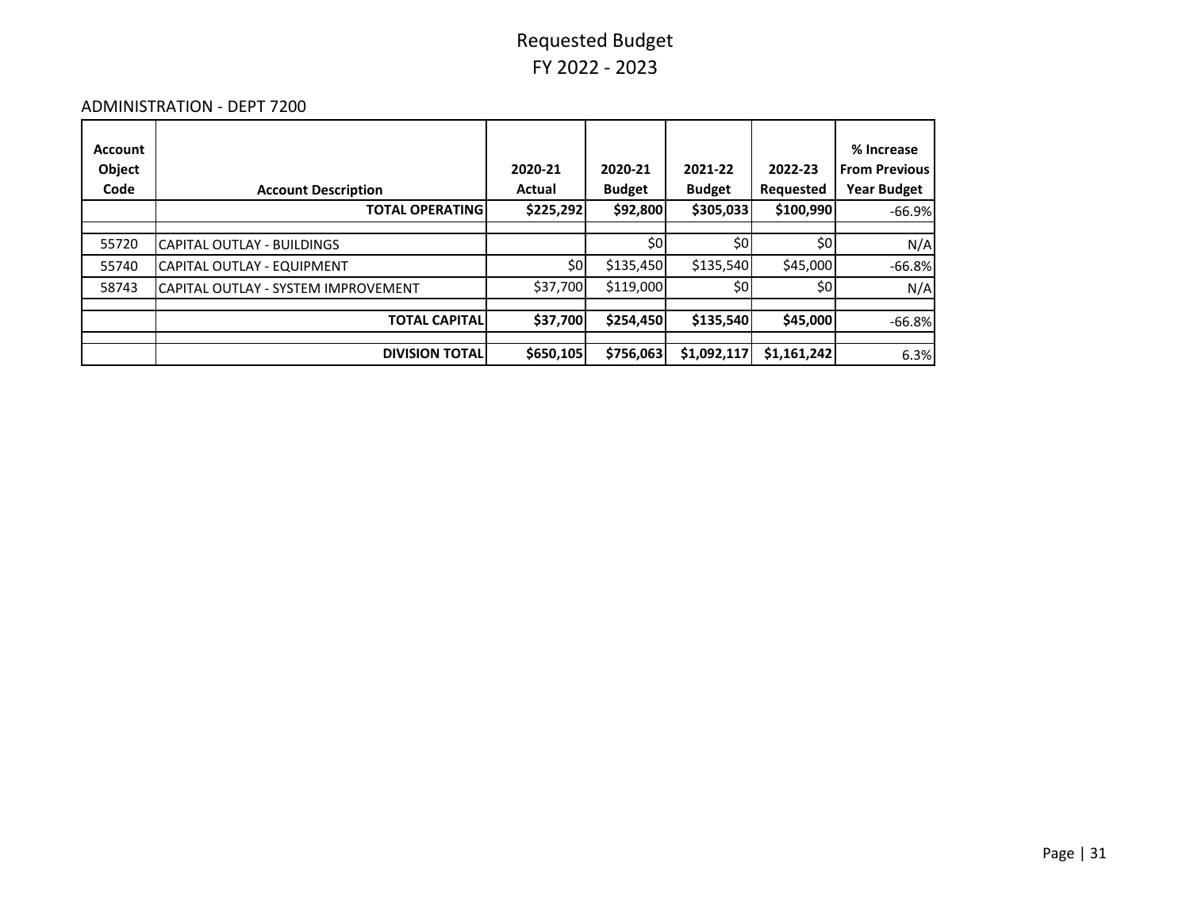#### ADMINISTRATION - DEPT 7200

| <b>Account</b><br>Object<br>Code | <b>Account Description</b>          | 2020-21<br>Actual | 2020-21<br><b>Budget</b> | 2021-22<br><b>Budget</b> | 2022-23<br>Requested | % Increase<br><b>From Previous</b><br><b>Year Budget</b> |
|----------------------------------|-------------------------------------|-------------------|--------------------------|--------------------------|----------------------|----------------------------------------------------------|
|                                  | <b>TOTAL OPERATING</b>              | \$225,292         | \$92,800                 | \$305,033                | \$100,990            | $-66.9%$                                                 |
| 55720                            | CAPITAL OUTLAY - BUILDINGS          |                   | \$0                      | \$0                      | \$0                  | N/A                                                      |
| 55740                            | CAPITAL OUTLAY - EQUIPMENT          | \$0               | \$135,450                | \$135,540                | \$45,000             | $-66.8%$                                                 |
| 58743                            | CAPITAL OUTLAY - SYSTEM IMPROVEMENT | \$37,700          | \$119,000                | \$0                      | \$0                  | N/A                                                      |
|                                  | <b>TOTAL CAPITAL</b>                | \$37,700          | \$254,450                | \$135,540                | \$45,000             | $-66.8%$                                                 |
|                                  | <b>DIVISION TOTAL</b>               | \$650,105         | \$756,063                | \$1,092,117              | \$1,161,242          | 6.3%                                                     |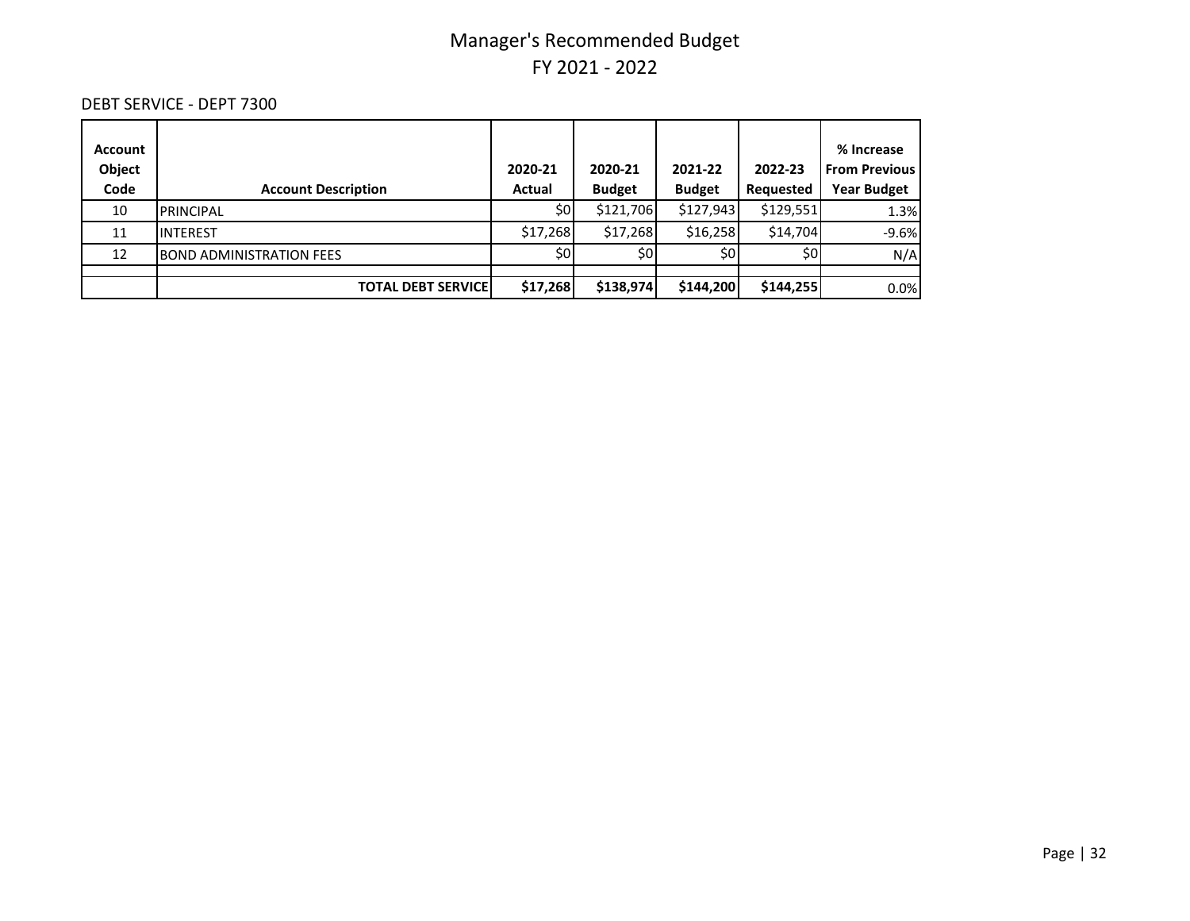#### DEBT SERVICE - DEPT 7300

| <b>Account</b><br>Object<br>Code | <b>Account Description</b>       | 2020-21<br>Actual | 2020-21<br><b>Budget</b> | 2021-22<br><b>Budget</b> | 2022-23<br>Requested | % Increase<br><b>From Previous</b><br><b>Year Budget</b> |
|----------------------------------|----------------------------------|-------------------|--------------------------|--------------------------|----------------------|----------------------------------------------------------|
| 10                               | <b>PRINCIPAL</b>                 | \$0               | \$121,706                | \$127,943                | \$129,551            | 1.3%                                                     |
| 11                               | <b>INTEREST</b>                  | \$17,268          | \$17,268                 | \$16,258                 | \$14,704             | $-9.6%$                                                  |
| 12                               | <b>IBOND ADMINISTRATION FEES</b> | \$0               | \$0                      | \$0l                     | \$0                  | N/A                                                      |
|                                  |                                  |                   |                          |                          |                      |                                                          |
|                                  | <b>TOTAL DEBT SERVICEI</b>       | \$17,268          | \$138,974                | \$144,200                | \$144,255            | 0.0%                                                     |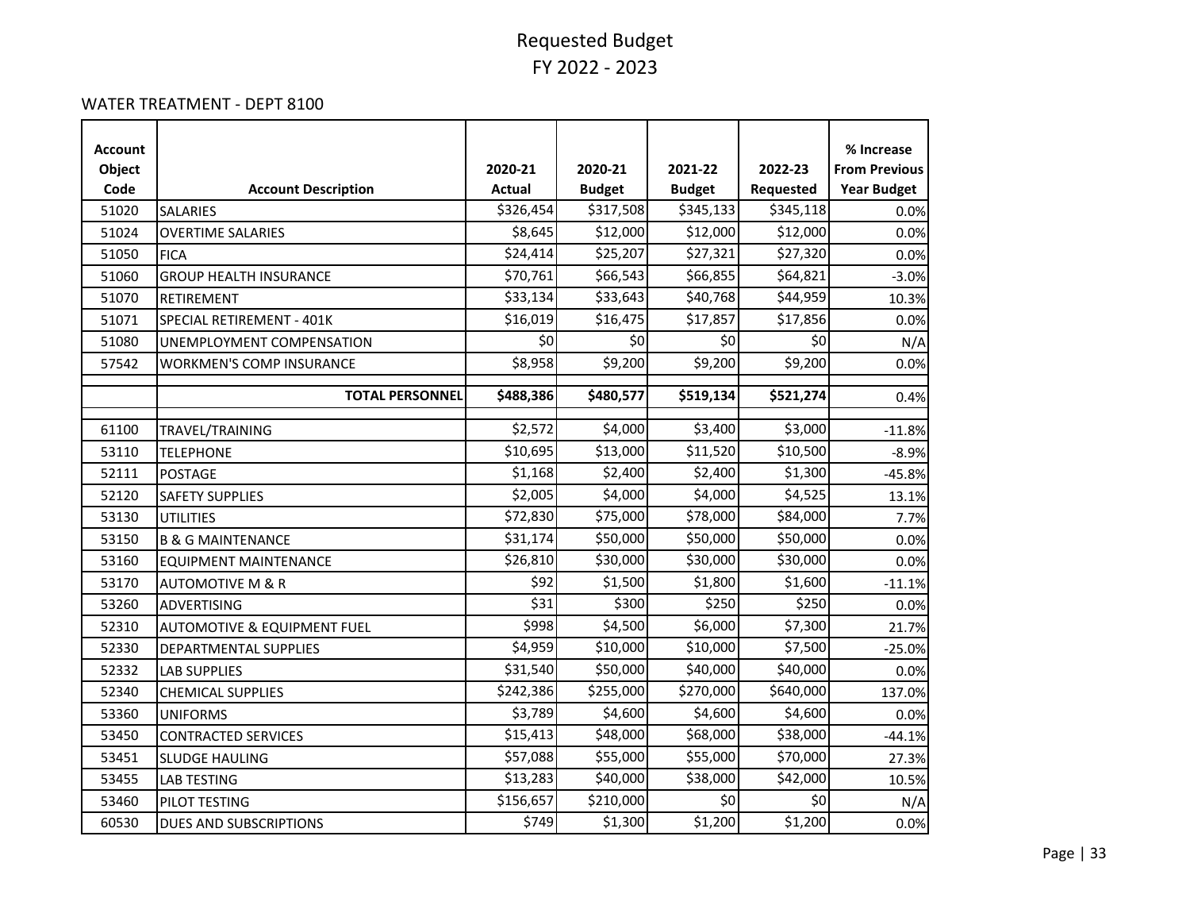#### WATER TREATMENT - DEPT 8100

| <b>Account</b> |                                        |               |               |               |           | % Increase           |
|----------------|----------------------------------------|---------------|---------------|---------------|-----------|----------------------|
| Object         |                                        | 2020-21       | 2020-21       | 2021-22       | 2022-23   | <b>From Previous</b> |
| Code           | <b>Account Description</b>             | <b>Actual</b> | <b>Budget</b> | <b>Budget</b> | Requested | <b>Year Budget</b>   |
| 51020          | <b>SALARIES</b>                        | \$326,454     | \$317,508     | \$345,133     | \$345,118 | 0.0%                 |
| 51024          | <b>OVERTIME SALARIES</b>               | \$8,645       | \$12,000      | \$12,000      | \$12,000  | 0.0%                 |
| 51050          | <b>FICA</b>                            | \$24,414      | \$25,207      | \$27,321      | \$27,320  | 0.0%                 |
| 51060          | <b>GROUP HEALTH INSURANCE</b>          | \$70,761      | \$66,543      | \$66,855      | \$64,821  | $-3.0%$              |
| 51070          | <b>RETIREMENT</b>                      | \$33,134      | \$33,643      | \$40,768      | \$44,959  | 10.3%                |
| 51071          | SPECIAL RETIREMENT - 401K              | \$16,019      | \$16,475      | \$17,857      | \$17,856  | 0.0%                 |
| 51080          | UNEMPLOYMENT COMPENSATION              | \$0           | \$0           | \$0           | \$0       | N/A                  |
| 57542          | <b>WORKMEN'S COMP INSURANCE</b>        | \$8,958       | \$9,200       | \$9,200       | \$9,200   | 0.0%                 |
|                | <b>TOTAL PERSONNEL</b>                 | \$488,386     | \$480,577     | \$519,134     | \$521,274 | 0.4%                 |
| 61100          | TRAVEL/TRAINING                        | \$2,572       | \$4,000       | \$3,400       | \$3,000   | $-11.8%$             |
| 53110          | <b>TELEPHONE</b>                       | \$10,695      | \$13,000      | \$11,520      | \$10,500  | $-8.9%$              |
| 52111          | <b>POSTAGE</b>                         | \$1,168       | \$2,400       | \$2,400       | \$1,300   | $-45.8%$             |
| 52120          | <b>SAFETY SUPPLIES</b>                 | \$2,005       | \$4,000       | \$4,000       | \$4,525   | 13.1%                |
| 53130          | <b>UTILITIES</b>                       | \$72,830      | \$75,000      | \$78,000      | \$84,000  | 7.7%                 |
| 53150          | <b>B &amp; G MAINTENANCE</b>           | \$31,174      | \$50,000      | \$50,000      | \$50,000  | 0.0%                 |
| 53160          | <b>EQUIPMENT MAINTENANCE</b>           | \$26,810      | \$30,000      | \$30,000      | \$30,000  | 0.0%                 |
| 53170          | <b>AUTOMOTIVE M &amp; R</b>            | \$92          | \$1,500       | \$1,800       | \$1,600   | $-11.1%$             |
| 53260          | <b>ADVERTISING</b>                     | \$31          | \$300         | \$250         | \$250     | 0.0%                 |
| 52310          | <b>AUTOMOTIVE &amp; EQUIPMENT FUEL</b> | \$998         | \$4,500       | \$6,000       | \$7,300   | 21.7%                |
| 52330          | DEPARTMENTAL SUPPLIES                  | \$4,959       | \$10,000      | \$10,000      | \$7,500   | $-25.0%$             |
| 52332          | <b>LAB SUPPLIES</b>                    | \$31,540      | \$50,000      | \$40,000      | \$40,000  | 0.0%                 |
| 52340          | <b>CHEMICAL SUPPLIES</b>               | \$242,386     | \$255,000     | \$270,000     | \$640,000 | 137.0%               |
| 53360          | <b>UNIFORMS</b>                        | \$3,789       | \$4,600       | \$4,600       | \$4,600   | 0.0%                 |
| 53450          | <b>CONTRACTED SERVICES</b>             | \$15,413      | \$48,000      | \$68,000      | \$38,000  | $-44.1%$             |
| 53451          | <b>SLUDGE HAULING</b>                  | \$57,088      | \$55,000      | \$55,000      | \$70,000  | 27.3%                |
| 53455          | <b>LAB TESTING</b>                     | \$13,283      | \$40,000      | \$38,000      | \$42,000  | 10.5%                |
| 53460          | PILOT TESTING                          | \$156,657     | \$210,000     | \$0           | \$0       | N/A                  |
| 60530          | DUES AND SUBSCRIPTIONS                 | \$749         | \$1,300       | \$1,200       | \$1,200   | 0.0%                 |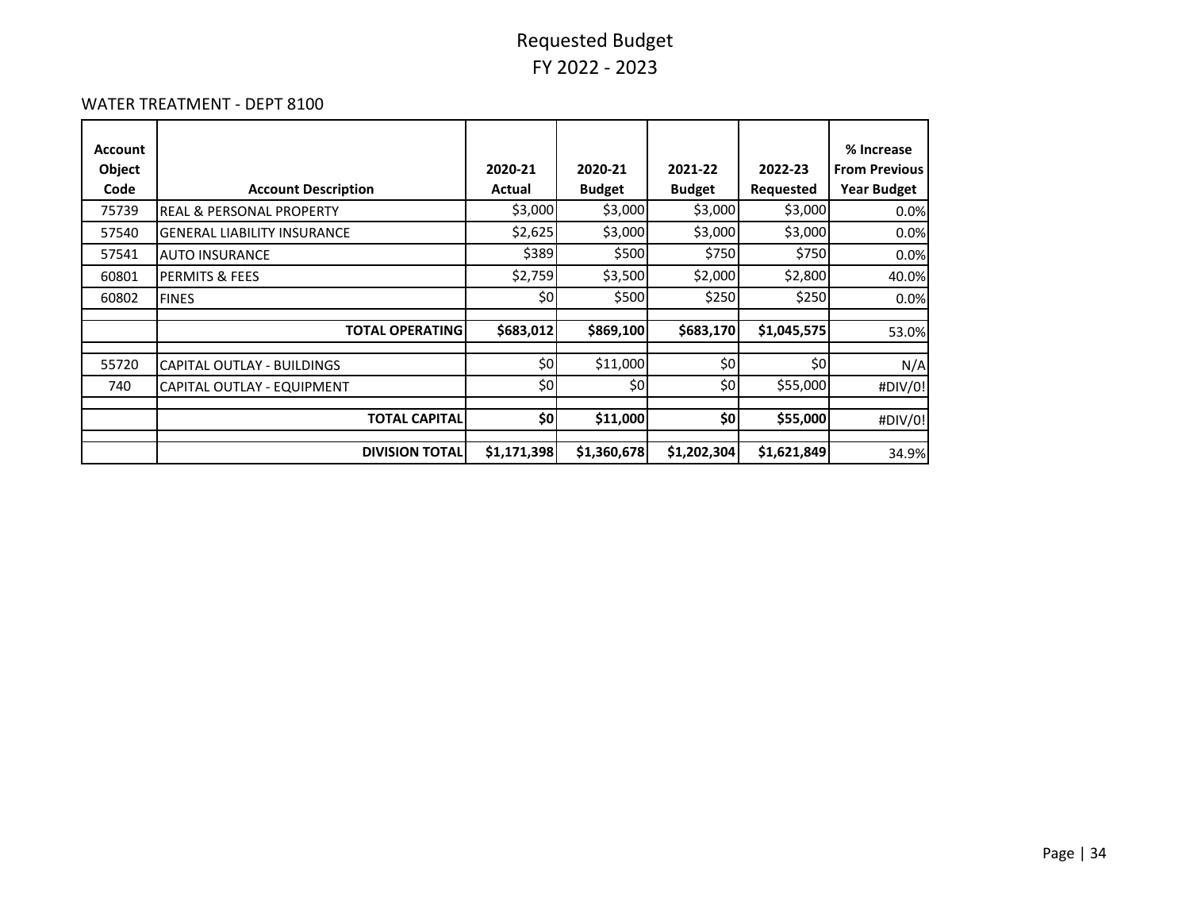#### WATER TREATMENT - DEPT 8100

| <b>Account</b> |                                     |             |               |               |             | % Increase           |
|----------------|-------------------------------------|-------------|---------------|---------------|-------------|----------------------|
| Object         |                                     | 2020-21     | 2020-21       | 2021-22       | 2022-23     | <b>From Previous</b> |
| Code           | <b>Account Description</b>          | Actual      | <b>Budget</b> | <b>Budget</b> | Requested   | <b>Year Budget</b>   |
| 75739          | <b>REAL &amp; PERSONAL PROPERTY</b> | \$3,000     | \$3,000       | \$3,000       | \$3,000     | 0.0%                 |
| 57540          | <b>GENERAL LIABILITY INSURANCE</b>  | \$2,625     | \$3,000       | \$3,000       | \$3,000     | 0.0%                 |
| 57541          | <b>AUTO INSURANCE</b>               | \$389       | \$500         | \$750         | \$750       | 0.0%                 |
| 60801          | <b>PERMITS &amp; FEES</b>           | \$2,759     | \$3,500       | \$2,000       | \$2,800     | 40.0%                |
| 60802          | <b>FINES</b>                        | \$0         | \$500         | \$250         | \$250       | 0.0%                 |
|                |                                     |             |               |               |             |                      |
|                | <b>TOTAL OPERATING</b>              | \$683,012   | \$869,100     | \$683,170     | \$1,045,575 | 53.0%                |
| 55720          | CAPITAL OUTLAY - BUILDINGS          | \$0         | \$11,000      | \$0           | \$0         | N/A                  |
| 740            | CAPITAL OUTLAY - EQUIPMENT          | \$0         | \$0           | \$0           | \$55,000    | #DIV/0!              |
|                |                                     |             |               |               |             |                      |
|                | <b>TOTAL CAPITAL</b>                | \$٥         | \$11,000      | \$0           | \$55,000    | #DIV/0!              |
|                | <b>DIVISION TOTAL</b>               | \$1,171,398 | \$1,360,678   | \$1,202,304   | \$1,621,849 | 34.9%                |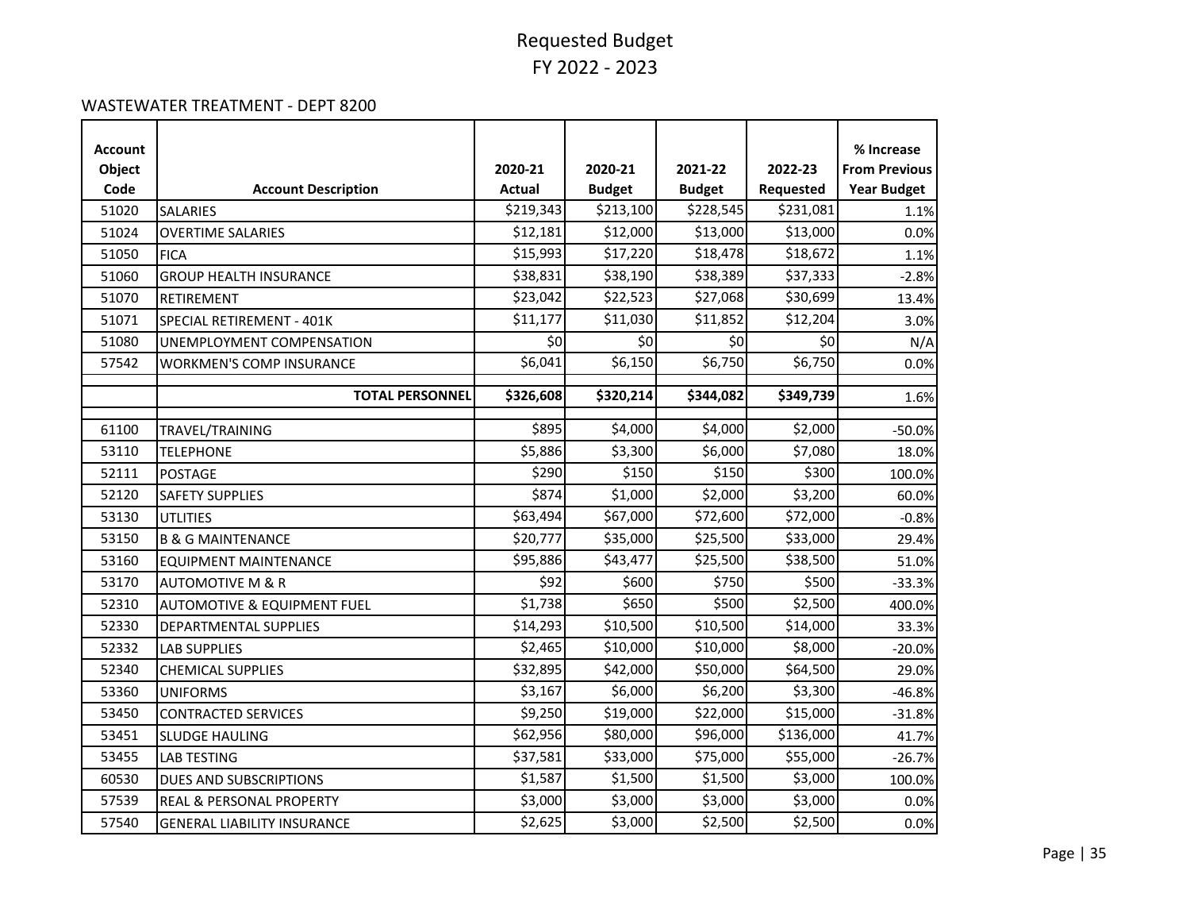#### WASTEWATER TREATMENT - DEPT 8200

| <b>Account</b><br>Object<br>Code | <b>Account Description</b>             | 2020-21<br><b>Actual</b> | 2020-21<br><b>Budget</b> | 2021-22<br><b>Budget</b> | 2022-23<br>Requested | % Increase<br><b>From Previous</b><br><b>Year Budget</b> |
|----------------------------------|----------------------------------------|--------------------------|--------------------------|--------------------------|----------------------|----------------------------------------------------------|
| 51020                            | <b>SALARIES</b>                        | \$219,343                | \$213,100                | \$228,545                | \$231,081            | 1.1%                                                     |
| 51024                            | <b>OVERTIME SALARIES</b>               | \$12,181                 | \$12,000                 | \$13,000                 | \$13,000             | 0.0%                                                     |
| 51050                            | <b>FICA</b>                            | \$15,993                 | \$17,220                 | \$18,478                 | \$18,672             | 1.1%                                                     |
| 51060                            | <b>GROUP HEALTH INSURANCE</b>          | \$38,831                 | \$38,190                 | \$38,389                 | \$37,333             | $-2.8%$                                                  |
| 51070                            | <b>RETIREMENT</b>                      | \$23,042                 | \$22,523                 | \$27,068                 | \$30,699             | 13.4%                                                    |
| 51071                            | SPECIAL RETIREMENT - 401K              | \$11,177                 | \$11,030                 | \$11,852                 | \$12,204             | 3.0%                                                     |
| 51080                            | UNEMPLOYMENT COMPENSATION              | \$0                      | \$0                      | \$0                      | \$0                  | N/A                                                      |
| 57542                            | <b>WORKMEN'S COMP INSURANCE</b>        | \$6,041                  | \$6,150                  | \$6,750                  | \$6,750              | 0.0%                                                     |
|                                  | <b>TOTAL PERSONNEL</b>                 | \$326,608                | \$320,214                | \$344,082                | \$349,739            | 1.6%                                                     |
| 61100                            |                                        | \$895                    | \$4,000                  | \$4,000                  | \$2,000              |                                                          |
| 53110                            | TRAVEL/TRAINING<br><b>TELEPHONE</b>    | \$5,886                  | \$3,300                  | \$6,000                  | \$7,080              | $-50.0%$<br>18.0%                                        |
| 52111                            | <b>POSTAGE</b>                         | \$290                    | \$150                    | \$150                    | \$300                | 100.0%                                                   |
| 52120                            | <b>SAFETY SUPPLIES</b>                 | \$874                    | \$1,000                  | \$2,000                  | \$3,200              | 60.0%                                                    |
| 53130                            | <b>UTLITIES</b>                        | \$63,494                 | \$67,000                 | \$72,600                 | \$72,000             | $-0.8%$                                                  |
| 53150                            | <b>B &amp; G MAINTENANCE</b>           | \$20,777                 | \$35,000                 | \$25,500                 | \$33,000             | 29.4%                                                    |
| 53160                            | <b>EQUIPMENT MAINTENANCE</b>           | \$95,886                 | \$43,477                 | \$25,500                 | \$38,500             | 51.0%                                                    |
| 53170                            | <b>AUTOMOTIVE M &amp; R</b>            | \$92                     | \$600                    | \$750                    | \$500                | $-33.3%$                                                 |
| 52310                            | <b>AUTOMOTIVE &amp; EQUIPMENT FUEL</b> | \$1,738                  | \$650                    | \$500                    | \$2,500              | 400.0%                                                   |
| 52330                            | DEPARTMENTAL SUPPLIES                  | \$14,293                 | \$10,500                 | \$10,500                 | \$14,000             | 33.3%                                                    |
| 52332                            | <b>LAB SUPPLIES</b>                    | \$2,465                  | \$10,000                 | \$10,000                 | \$8,000              | $-20.0%$                                                 |
| 52340                            | <b>CHEMICAL SUPPLIES</b>               | \$32,895                 | \$42,000                 | \$50,000                 | \$64,500             | 29.0%                                                    |
| 53360                            | <b>UNIFORMS</b>                        | \$3,167                  | \$6,000                  | \$6,200                  | \$3,300              | $-46.8%$                                                 |
| 53450                            | <b>CONTRACTED SERVICES</b>             | \$9,250                  | \$19,000                 | \$22,000                 | \$15,000             | $-31.8%$                                                 |
| 53451                            | <b>SLUDGE HAULING</b>                  | \$62,956                 | \$80,000                 | \$96,000                 | \$136,000            | 41.7%                                                    |
| 53455                            | <b>LAB TESTING</b>                     | \$37,581                 | \$33,000                 | \$75,000                 | \$55,000             | $-26.7%$                                                 |
| 60530                            | DUES AND SUBSCRIPTIONS                 | \$1,587                  | \$1,500                  | \$1,500                  | \$3,000              | 100.0%                                                   |
| 57539                            | <b>REAL &amp; PERSONAL PROPERTY</b>    | \$3,000                  | \$3,000                  | \$3,000                  | \$3,000              | 0.0%                                                     |
| 57540                            | <b>GENERAL LIABILITY INSURANCE</b>     | \$2,625                  | \$3,000                  | \$2,500                  | \$2,500              | 0.0%                                                     |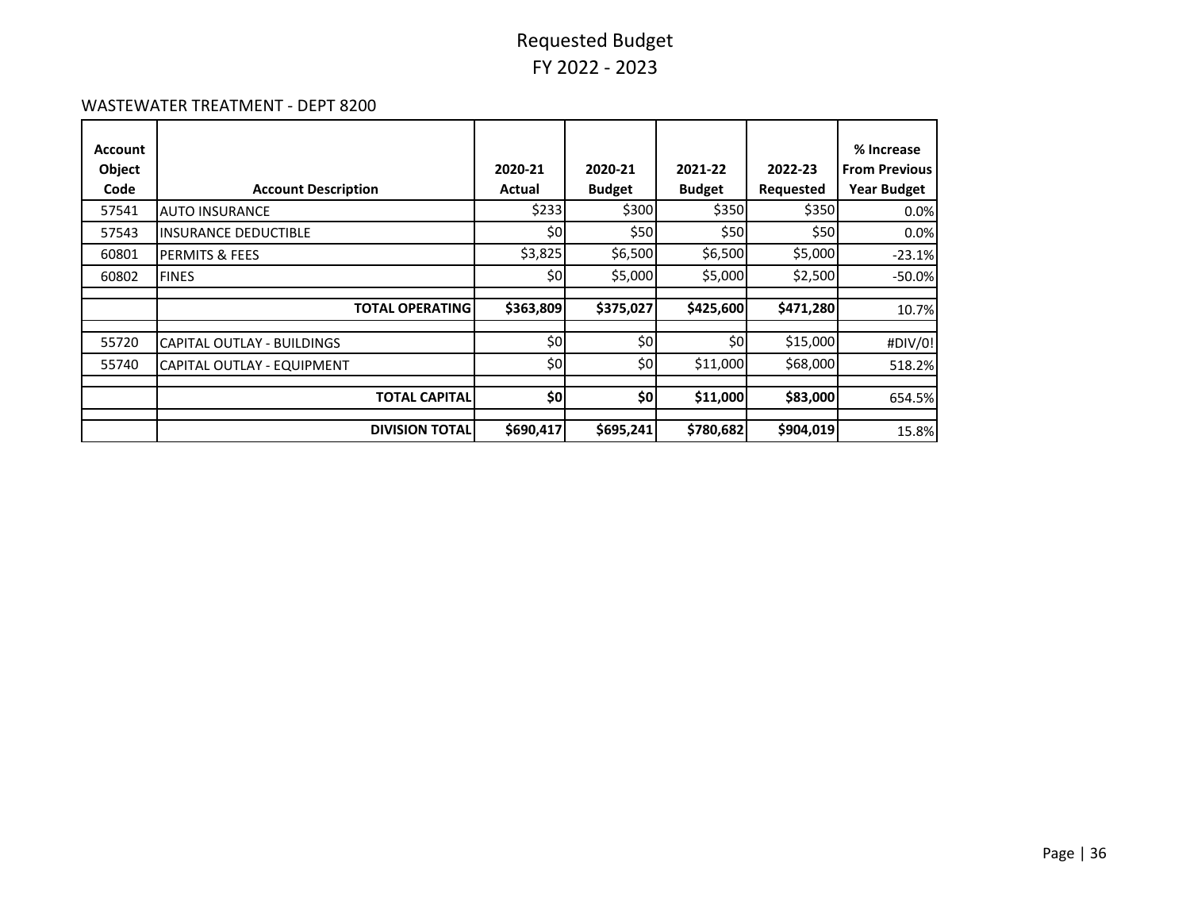#### WASTEWATER TREATMENT - DEPT 8200

| Account<br>Object<br>Code | <b>Account Description</b>        | 2020-21<br>Actual | 2020-21<br><b>Budget</b> | 2021-22<br><b>Budget</b> | 2022-23<br>Requested | % Increase<br><b>From Previous</b><br><b>Year Budget</b> |
|---------------------------|-----------------------------------|-------------------|--------------------------|--------------------------|----------------------|----------------------------------------------------------|
| 57541                     | <b>AUTO INSURANCE</b>             | \$233             | \$300                    | \$350                    | \$350                | 0.0%                                                     |
| 57543                     | <b>INSURANCE DEDUCTIBLE</b>       | \$0               | \$50                     | \$50                     | \$50                 | 0.0%                                                     |
| 60801                     | PERMITS & FEES                    | \$3,825           | \$6,500                  | \$6,500                  | \$5,000              | $-23.1%$                                                 |
| 60802                     | <b>FINES</b>                      | \$0               | \$5,000                  | \$5,000                  | \$2,500              | $-50.0%$                                                 |
|                           | <b>TOTAL OPERATING</b>            | \$363,809         | \$375,027                | \$425,600                | \$471,280            | 10.7%                                                    |
| 55720                     | <b>CAPITAL OUTLAY - BUILDINGS</b> | \$0               | \$0                      | \$0                      | \$15,000             | #DIV/0!                                                  |
| 55740                     | CAPITAL OUTLAY - EQUIPMENT        | \$0               | \$0                      | \$11,000                 | \$68,000             | 518.2%                                                   |
|                           | <b>TOTAL CAPITAL</b>              | \$0               | \$0                      | \$11,000                 | \$83,000             | 654.5%                                                   |
|                           | <b>DIVISION TOTAL</b>             | \$690,417         | \$695,241                | \$780,682                | \$904,019            | 15.8%                                                    |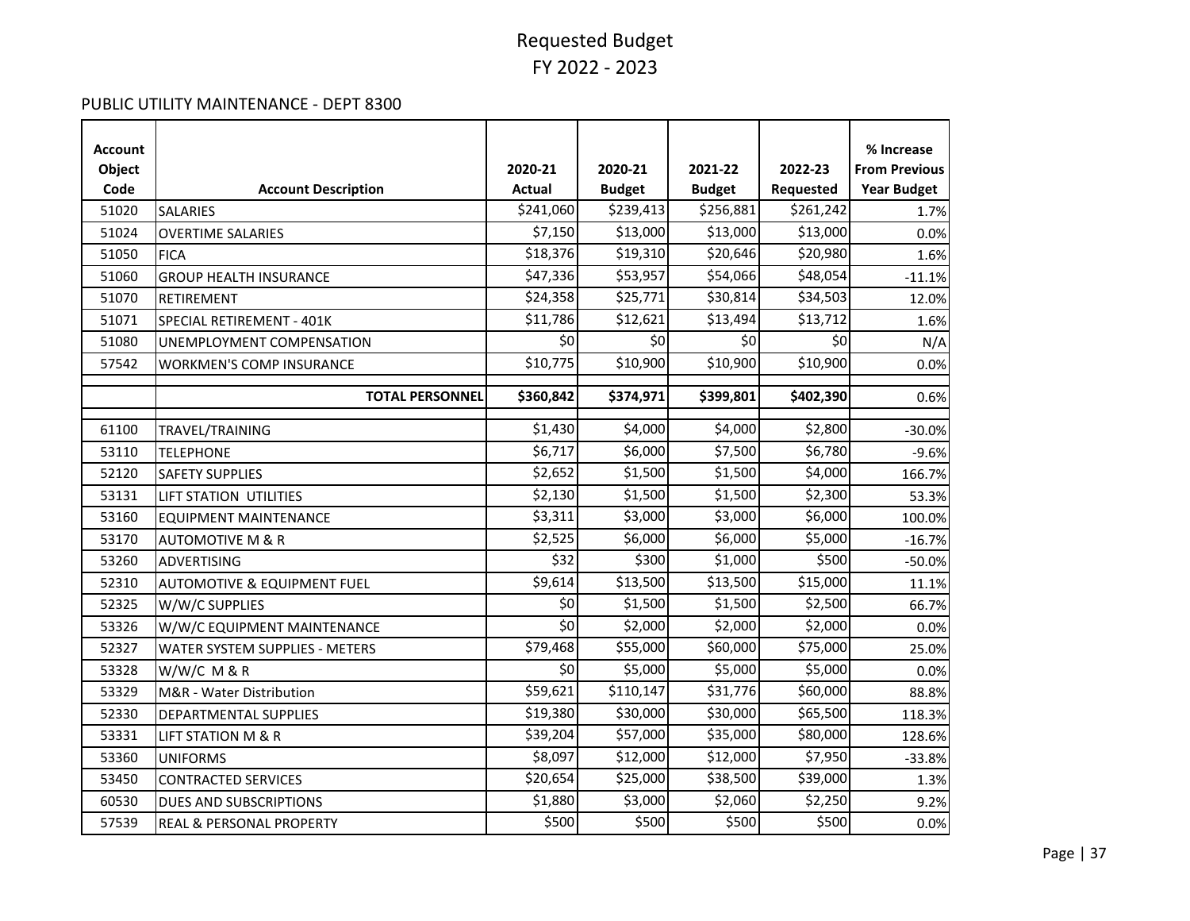#### PUBLIC UTILITY MAINTENANCE - DEPT 8300

| <b>Account</b> |                                        |                            |               |               |           | % Increase           |
|----------------|----------------------------------------|----------------------------|---------------|---------------|-----------|----------------------|
| Object         |                                        | 2020-21                    | 2020-21       | 2021-22       | 2022-23   | <b>From Previous</b> |
| Code           | <b>Account Description</b>             | <b>Actual</b>              | <b>Budget</b> | <b>Budget</b> | Requested | <b>Year Budget</b>   |
| 51020          | <b>SALARIES</b>                        | \$241,060                  | \$239,413     | \$256,881     | \$261,242 | 1.7%                 |
| 51024          | <b>OVERTIME SALARIES</b>               | \$7,150                    | \$13,000      | \$13,000      | \$13,000  | 0.0%                 |
| 51050          | <b>FICA</b>                            | \$18,376                   | \$19,310      | \$20,646      | \$20,980  | 1.6%                 |
| 51060          | <b>GROUP HEALTH INSURANCE</b>          | \$47,336                   | \$53,957      | \$54,066      | \$48,054  | $-11.1%$             |
| 51070          | RETIREMENT                             | \$24,358                   | \$25,771      | \$30,814      | \$34,503  | 12.0%                |
| 51071          | SPECIAL RETIREMENT - 401K              | \$11,786                   | \$12,621      | \$13,494      | \$13,712  | 1.6%                 |
| 51080          | UNEMPLOYMENT COMPENSATION              | \$0                        | \$0           | \$0           | \$0       | N/A                  |
| 57542          | <b>WORKMEN'S COMP INSURANCE</b>        | \$10,775                   | \$10,900      | \$10,900      | \$10,900  | 0.0%                 |
|                | <b>TOTAL PERSONNEL</b>                 | \$360,842                  | \$374,971     | \$399,801     | \$402,390 | 0.6%                 |
| 61100          | TRAVEL/TRAINING                        | \$1,430                    | \$4,000       | \$4,000       | \$2,800   | $-30.0%$             |
| 53110          | <b>TELEPHONE</b>                       | \$6,717                    | \$6,000       | \$7,500       | \$6,780   | $-9.6%$              |
| 52120          | <b>SAFETY SUPPLIES</b>                 | \$2,652                    | \$1,500       | \$1,500       | \$4,000   | 166.7%               |
| 53131          | LIFT STATION UTILITIES                 | \$2,130                    | \$1,500       | \$1,500       | \$2,300   | 53.3%                |
| 53160          | <b>EQUIPMENT MAINTENANCE</b>           | \$3,311                    | \$3,000       | \$3,000       | \$6,000   | 100.0%               |
| 53170          | <b>AUTOMOTIVE M &amp; R</b>            | \$2,525                    | \$6,000       | \$6,000       | \$5,000   | $-16.7%$             |
| 53260          | <b>ADVERTISING</b>                     | \$32                       | \$300         | \$1,000       | \$500     | $-50.0%$             |
| 52310          | <b>AUTOMOTIVE &amp; EQUIPMENT FUEL</b> | \$9,614                    | \$13,500      | \$13,500      | \$15,000  | 11.1%                |
| 52325          | W/W/C SUPPLIES                         | \$0                        | \$1,500       | \$1,500       | \$2,500   | 66.7%                |
| 53326          | W/W/C EQUIPMENT MAINTENANCE            | $\overline{\overline{50}}$ | \$2,000       | \$2,000       | \$2,000   | 0.0%                 |
| 52327          | <b>WATER SYSTEM SUPPLIES - METERS</b>  | \$79,468                   | \$55,000      | \$60,000      | \$75,000  | 25.0%                |
| 53328          | $W/W/C$ M & R                          | \$0                        | \$5,000       | \$5,000       | \$5,000   | 0.0%                 |
| 53329          | M&R - Water Distribution               | \$59,621                   | \$110,147     | \$31,776      | \$60,000  | 88.8%                |
| 52330          | DEPARTMENTAL SUPPLIES                  | \$19,380                   | \$30,000      | \$30,000      | \$65,500  | 118.3%               |
| 53331          | <b>LIFT STATION M &amp; R</b>          | \$39,204                   | \$57,000      | \$35,000      | \$80,000  | 128.6%               |
| 53360          | <b>UNIFORMS</b>                        | \$8,097                    | \$12,000      | \$12,000      | \$7,950   | $-33.8%$             |
| 53450          | <b>CONTRACTED SERVICES</b>             | \$20,654                   | \$25,000      | \$38,500      | \$39,000  | 1.3%                 |
| 60530          | DUES AND SUBSCRIPTIONS                 | \$1,880                    | \$3,000       | \$2,060       | \$2,250   | 9.2%                 |
| 57539          | REAL & PERSONAL PROPERTY               | \$500                      | \$500         | \$500         | \$500     | 0.0%                 |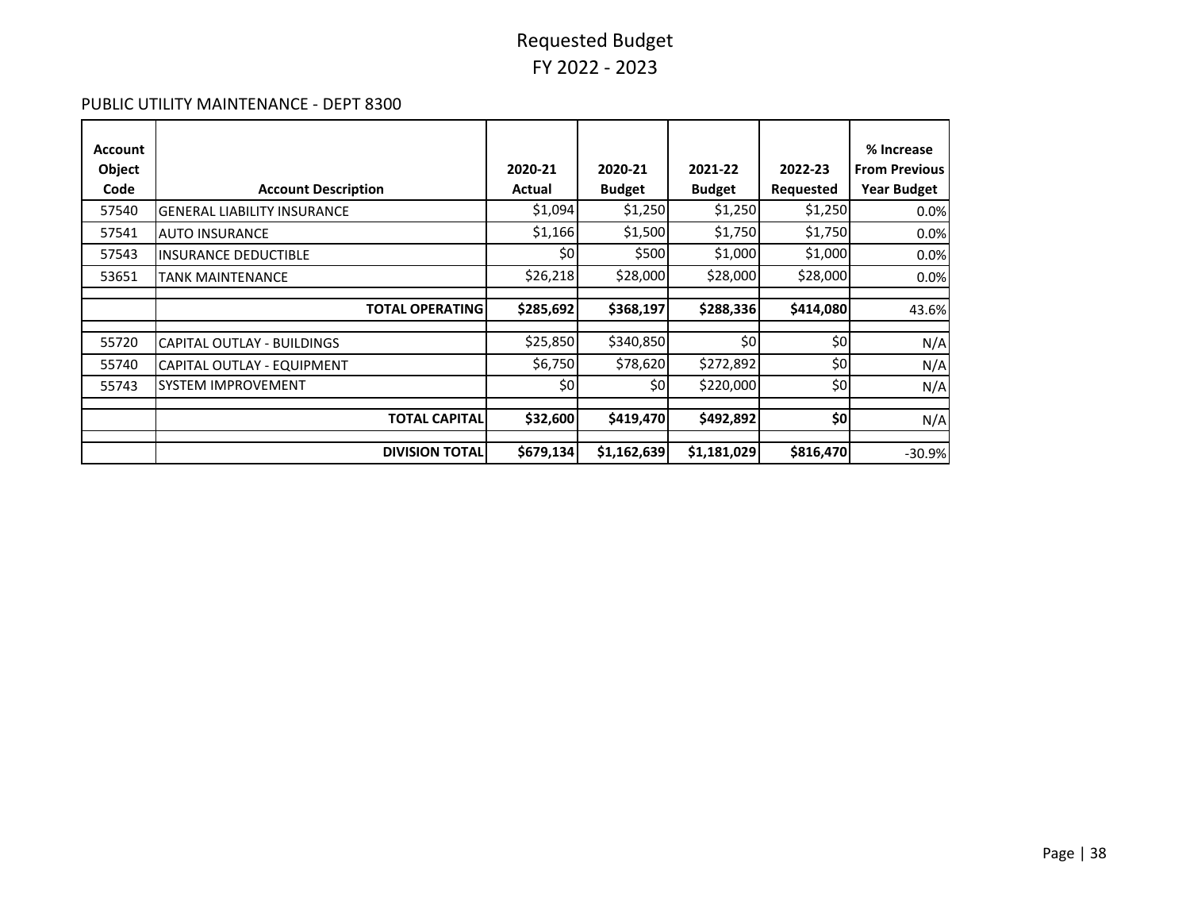#### PUBLIC UTILITY MAINTENANCE - DEPT 8300

| Account<br>Object |                                    | 2020-21   | 2020-21       | 2021-22       | 2022-23   | % Increase<br><b>From Previous</b> |
|-------------------|------------------------------------|-----------|---------------|---------------|-----------|------------------------------------|
| Code              | <b>Account Description</b>         | Actual    | <b>Budget</b> | <b>Budget</b> | Requested | <b>Year Budget</b>                 |
| 57540             | <b>GENERAL LIABILITY INSURANCE</b> | \$1,094   | \$1,250       | \$1,250       | \$1,250   | 0.0%                               |
| 57541             | <b>AUTO INSURANCE</b>              | \$1,166   | \$1,500       | \$1,750       | \$1,750   | 0.0%                               |
| 57543             | <b>INSURANCE DEDUCTIBLE</b>        | \$0       | \$500         | \$1,000       | \$1,000   | 0.0%                               |
| 53651             | <b>TANK MAINTENANCE</b>            | \$26,218  | \$28,000      | \$28,000      | \$28,000  | 0.0%                               |
|                   | <b>TOTAL OPERATING</b>             | \$285,692 | \$368,197     | \$288,336     | \$414,080 | 43.6%                              |
|                   |                                    |           |               |               |           |                                    |
| 55720             | CAPITAL OUTLAY - BUILDINGS         | \$25,850  | \$340,850     | \$0           | \$0       | N/A                                |
| 55740             | CAPITAL OUTLAY - EQUIPMENT         | \$6,750   | \$78,620      | \$272,892     | \$0       | N/A                                |
| 55743             | <b>SYSTEM IMPROVEMENT</b>          | \$0       | \$0           | \$220,000     | \$0       | N/A                                |
|                   |                                    |           |               |               |           |                                    |
|                   | <b>TOTAL CAPITAL</b>               | \$32,600  | \$419,470     | \$492,892     | \$0       | N/A                                |
|                   | <b>DIVISION TOTAL</b>              | \$679,134 | \$1,162,639   | \$1,181,029   | \$816,470 | $-30.9%$                           |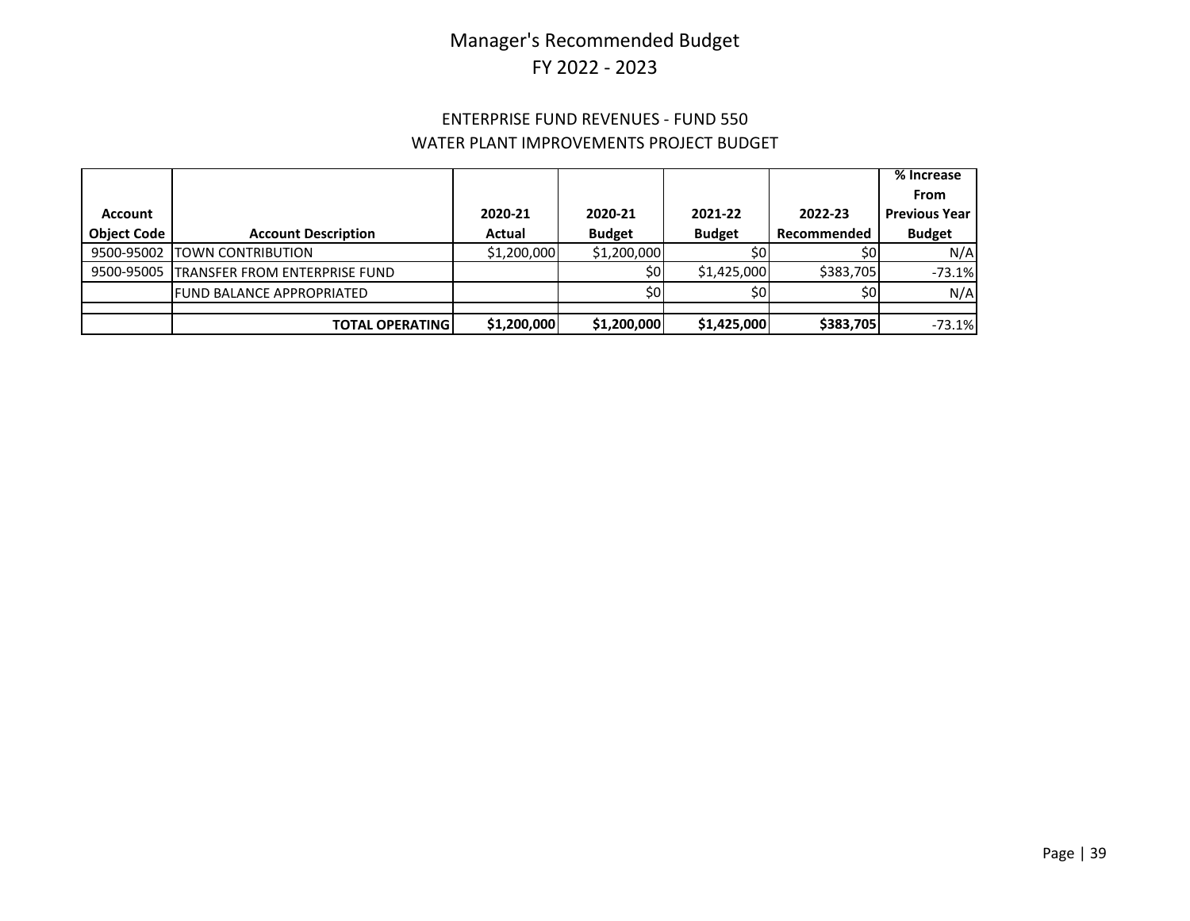### ENTERPRISE FUND REVENUES - FUND 550 WATER PLANT IMPROVEMENTS PROJECT BUDGET

|                    |                                          |             |               |               |             | % Increase             |
|--------------------|------------------------------------------|-------------|---------------|---------------|-------------|------------------------|
|                    |                                          |             |               |               |             | From                   |
| <b>Account</b>     |                                          | 2020-21     | 2020-21       | 2021-22       | 2022-23     | <b>Previous Year I</b> |
| <b>Object Code</b> | <b>Account Description</b>               | Actual      | <b>Budget</b> | <b>Budget</b> | Recommended | <b>Budget</b>          |
| 9500-95002         | <b>ITOWN CONTRIBUTION</b>                | \$1,200,000 | \$1,200,000   | \$0           | \$0l        | N/A                    |
|                    | 9500-95005 TRANSFER FROM ENTERPRISE FUND |             | \$0I          | \$1,425,000   | \$383,705   | $-73.1%$               |
|                    | <b>FUND BALANCE APPROPRIATED</b>         |             | \$0           | \$0           | \$٥         | N/A                    |
|                    |                                          |             |               |               |             |                        |
|                    | <b>TOTAL OPERATING!</b>                  | \$1,200,000 | \$1,200,000   | \$1,425,000   | \$383,705   | $-73.1%$               |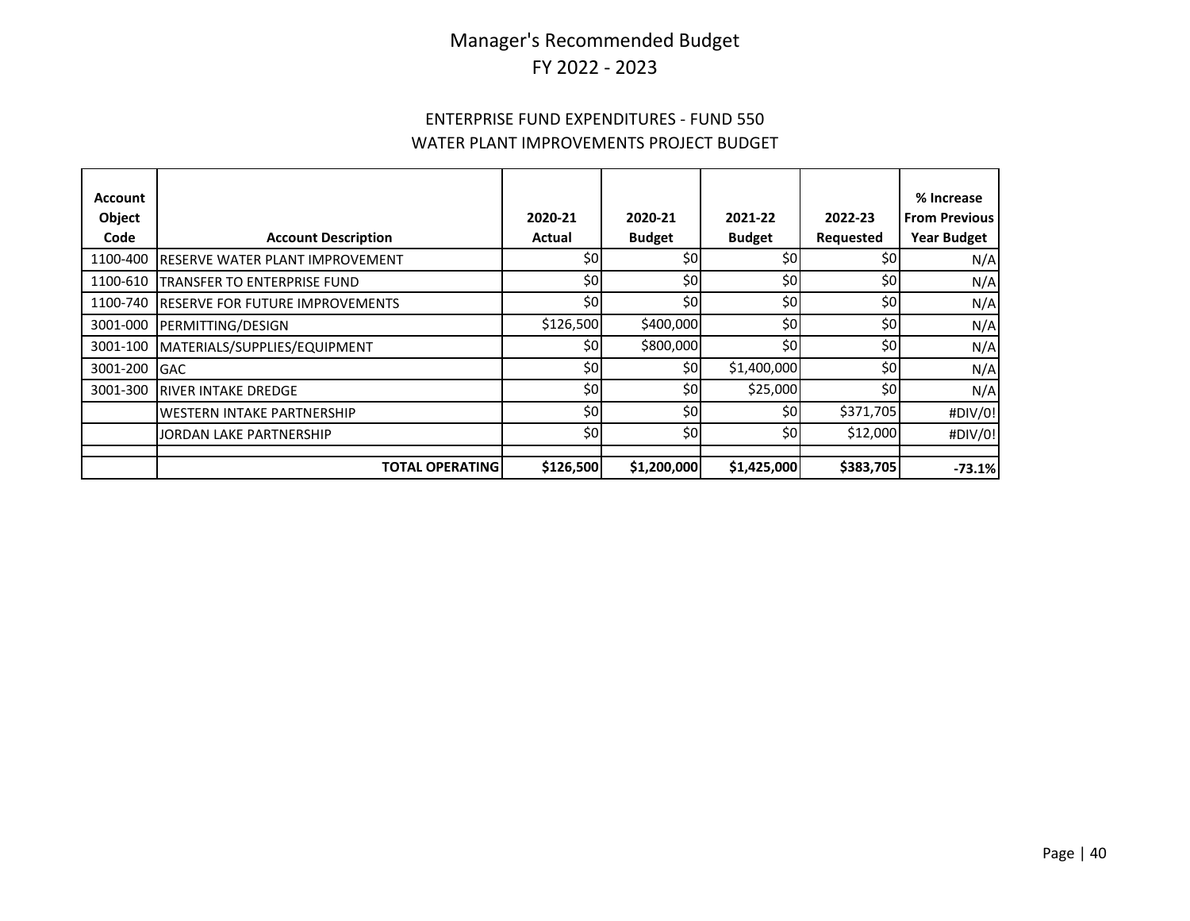### ENTERPRISE FUND EXPENDITURES - FUND 550 WATER PLANT IMPROVEMENTS PROJECT BUDGET

| Account  |                                         |           |               |               |           | % Increase           |
|----------|-----------------------------------------|-----------|---------------|---------------|-----------|----------------------|
| Object   |                                         | 2020-21   | 2020-21       | 2021-22       | 2022-23   | <b>From Previous</b> |
| Code     | <b>Account Description</b>              | Actual    | <b>Budget</b> | <b>Budget</b> | Requested | <b>Year Budget</b>   |
| 1100-400 | <b>RESERVE WATER PLANT IMPROVEMENT</b>  | \$0       | \$0           | \$0           | \$0       | N/A                  |
| 1100-610 | <b>ITRANSFER TO ENTERPRISE FUND</b>     | \$0       | \$0           | \$0           | \$0       | N/A                  |
| 1100-740 | <b>IRESERVE FOR FUTURE IMPROVEMENTS</b> | \$0       | \$0           | \$0           | \$0       | N/A                  |
| 3001-000 | <b>PERMITTING/DESIGN</b>                | \$126,500 | \$400,000     | \$0           | \$0       | N/A                  |
| 3001-100 | MATERIALS/SUPPLIES/EQUIPMENT            | \$0       | \$800,000     | \$0           | \$0       | N/A                  |
| 3001-200 | <b>IGAC</b>                             | \$0       | \$0           | \$1,400,000   | \$0       | N/A                  |
| 3001-300 | <b>IRIVER INTAKE DREDGE</b>             | \$0       | \$0           | \$25,000      | \$0       | N/A                  |
|          | <b>IWESTERN INTAKE PARTNERSHIP</b>      | \$0       | \$0           | \$0           | \$371,705 | #DIV/0!              |
|          | JORDAN LAKE PARTNERSHIP                 | \$0       | \$0           | \$0           | \$12,000  | #DIV/0!              |
|          | <b>TOTAL OPERATING</b>                  | \$126,500 | \$1,200,000   | \$1,425,000   | \$383,705 | $-73.1%$             |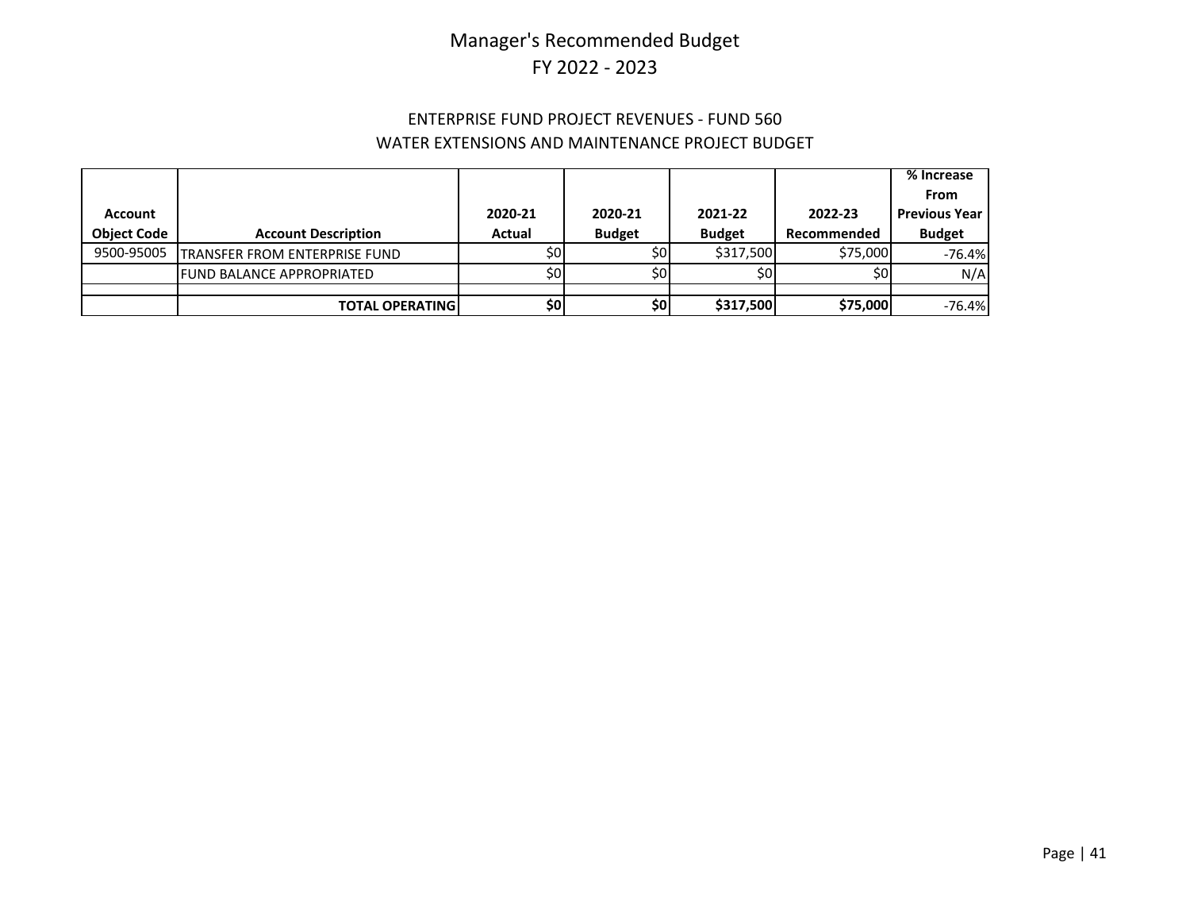### ENTERPRISE FUND PROJECT REVENUES - FUND 560 WATER EXTENSIONS AND MAINTENANCE PROJECT BUDGET

|                    |                                      |                 |               |                 |             | $%$ Increase         |
|--------------------|--------------------------------------|-----------------|---------------|-----------------|-------------|----------------------|
|                    |                                      |                 |               |                 |             | <b>From</b>          |
| Account            |                                      | 2020-21         | 2020-21       | 2021-22         | 2022-23     | <b>Previous Year</b> |
| <b>Object Code</b> | <b>Account Description</b>           | Actual          | <b>Budget</b> | <b>Budget</b>   | Recommended | <b>Budget</b>        |
| 9500-95005         | <b>TRANSFER FROM ENTERPRISE FUND</b> | 50 <sub>1</sub> | \$0I          | \$317.500       | \$75,000    | $-76.4%$             |
|                    | FUND BALANCE APPROPRIATED            | SOI             | \$0I          | 50 <sub>1</sub> | \$0l        | N/A                  |
|                    |                                      |                 |               |                 |             |                      |
|                    | <b>TOTAL OPERATING</b>               | \$0             | \$0           | \$317,500       | \$75,000    | $-76.4%$             |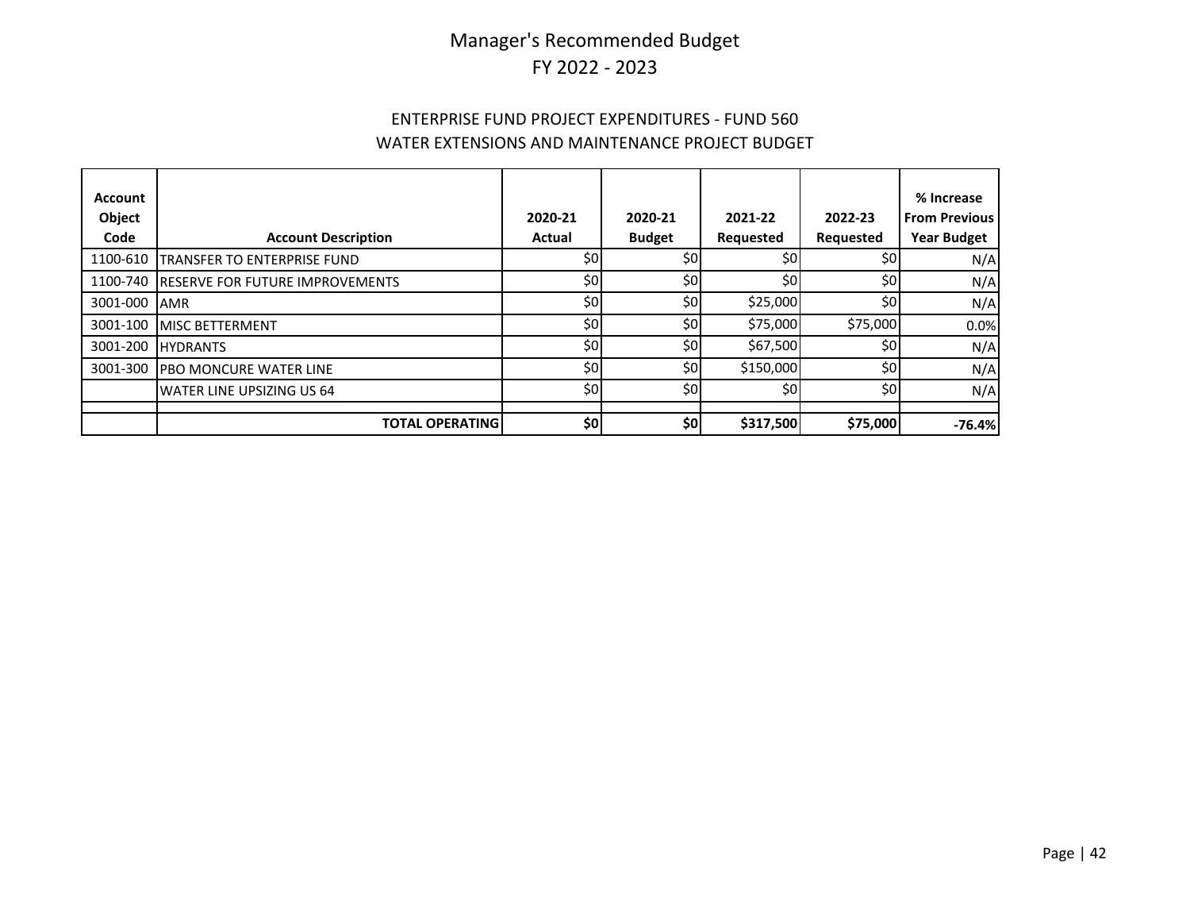### ENTERPRISE FUND PROJECT EXPENDITURES - FUND 560 WATER EXTENSIONS AND MAINTENANCE PROJECT BUDGET

| <b>Account</b><br>Object<br>Code | <b>Account Description</b>             | 2020-21<br>Actual | 2020-21<br><b>Budget</b> | 2021-22<br>Requested | 2022-23<br>Requested | % Increase<br><b>From Previous</b><br><b>Year Budget</b> |
|----------------------------------|----------------------------------------|-------------------|--------------------------|----------------------|----------------------|----------------------------------------------------------|
| 1100-610                         | <b>TRANSFER TO ENTERPRISE FUND</b>     | \$0               | \$0                      | \$0                  | \$0                  | N/A                                                      |
| 1100-740                         | <b>RESERVE FOR FUTURE IMPROVEMENTS</b> | \$0               | \$0                      | \$0                  | \$0                  | N/A                                                      |
| 3001-000                         | <b>AMR</b>                             | \$0               | \$0                      | \$25,000             | \$0                  | N/A                                                      |
| 3001-100                         | <b>MISC BETTERMENT</b>                 | \$0               | \$0                      | \$75,000             | \$75,000             | 0.0%                                                     |
| 3001-200                         | <b>HYDRANTS</b>                        | \$0               | \$0                      | \$67,500             | \$0                  | N/A                                                      |
| 3001-300                         | <b>PBO MONCURE WATER LINE</b>          | \$0               | \$0                      | \$150,000            | \$0                  | N/A                                                      |
|                                  | <b>WATER LINE UPSIZING US 64</b>       | \$0               | \$0                      | \$0                  | \$0                  | N/A                                                      |
|                                  | <b>TOTAL OPERATING</b>                 | \$0               | \$0                      | \$317,500            | \$75,000             | $-76.4%$                                                 |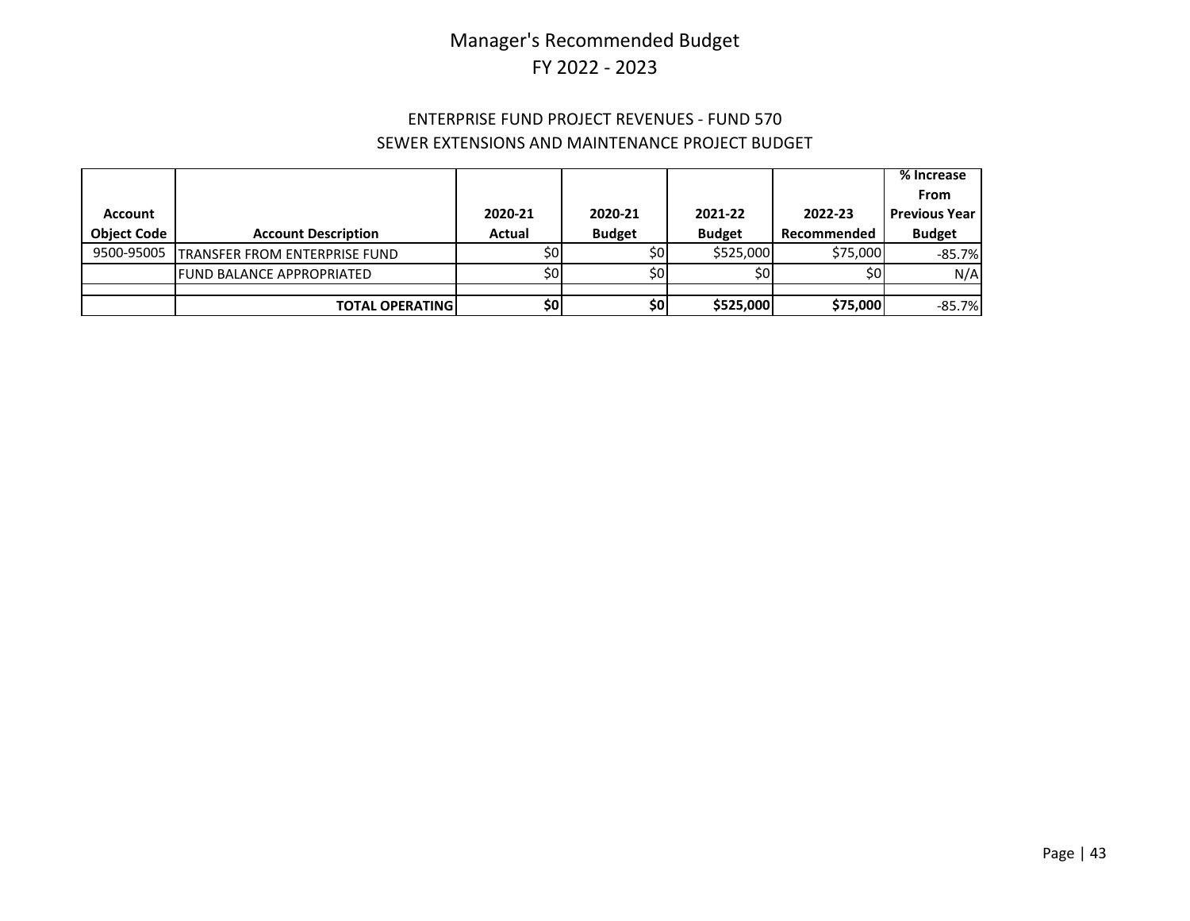### ENTERPRISE FUND PROJECT REVENUES - FUND 570 SEWER EXTENSIONS AND MAINTENANCE PROJECT BUDGET

|                    |                                      |         |               |               |             | % Increase             |
|--------------------|--------------------------------------|---------|---------------|---------------|-------------|------------------------|
|                    |                                      |         |               |               |             | From                   |
| <b>Account</b>     |                                      | 2020-21 | 2020-21       | 2021-22       | 2022-23     | <b>Previous Year I</b> |
| <b>Object Code</b> | <b>Account Description</b>           | Actual  | <b>Budget</b> | <b>Budget</b> | Recommended | <b>Budget</b>          |
| 9500-95005         | <b>TRANSFER FROM ENTERPRISE FUND</b> | \$0l    | \$0           | \$525,000     | \$75,000    | $-85.7%$               |
|                    | <b>FUND BALANCE APPROPRIATED</b>     | \$0l    | \$0           | \$0           | \$0         | N/A                    |
|                    |                                      |         |               |               |             |                        |
|                    | <b>TOTAL OPERATING</b>               | \$0I    | \$0           | \$525,000     | \$75,000    | $-85.7%$               |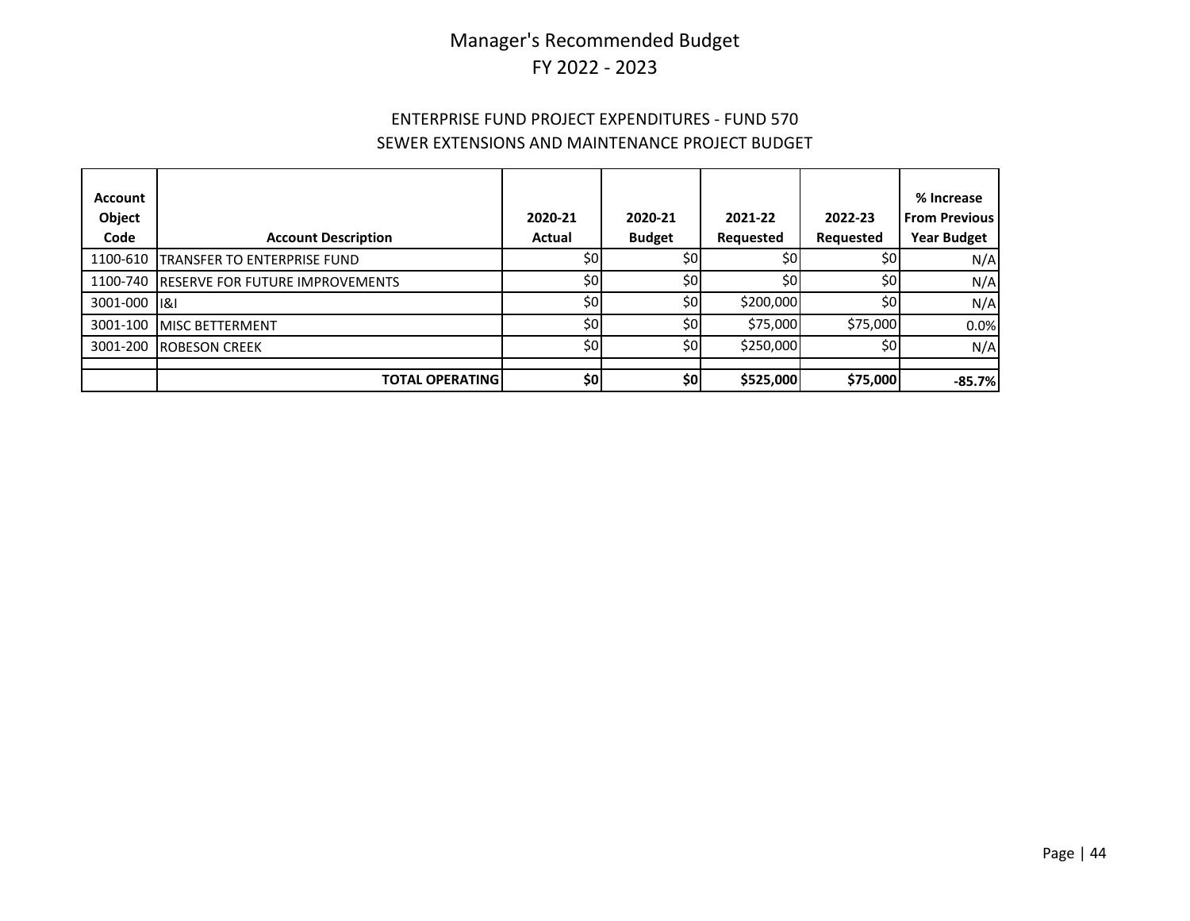### ENTERPRISE FUND PROJECT EXPENDITURES - FUND 570 SEWER EXTENSIONS AND MAINTENANCE PROJECT BUDGET

| <b>Account</b><br>Object<br>Code | <b>Account Description</b>               | 2020-21<br>Actual | 2020-21<br><b>Budget</b> | 2021-22<br>Requested | 2022-23<br>Requested | % Increase<br><b>From Previous</b><br><b>Year Budget</b> |
|----------------------------------|------------------------------------------|-------------------|--------------------------|----------------------|----------------------|----------------------------------------------------------|
| 1100-610                         | TRANSFER TO ENTERPRISE FUND              | SOI               | \$0                      | \$0                  | \$0 <sub>1</sub>     | N/A                                                      |
|                                  | 1100-740 RESERVE FOR FUTURE IMPROVEMENTS | \$0               | \$0                      | \$0                  | \$0                  | N/A                                                      |
| 3001-000 181                     |                                          | \$0               | \$0                      | \$200,000            | \$0                  | N/A                                                      |
| 3001-100                         | <b>MISC BETTERMENT</b>                   | \$0               | \$0                      | \$75,000             | \$75,000             | 0.0%                                                     |
| 3001-200                         | <b>ROBESON CREEK</b>                     | \$0l              | \$0                      | \$250,000            | \$0                  | N/A                                                      |
|                                  |                                          |                   |                          |                      |                      |                                                          |
|                                  | <b>TOTAL OPERATING</b>                   | \$0               | \$0]                     | \$525,000            | \$75,000             | $-85.7%$                                                 |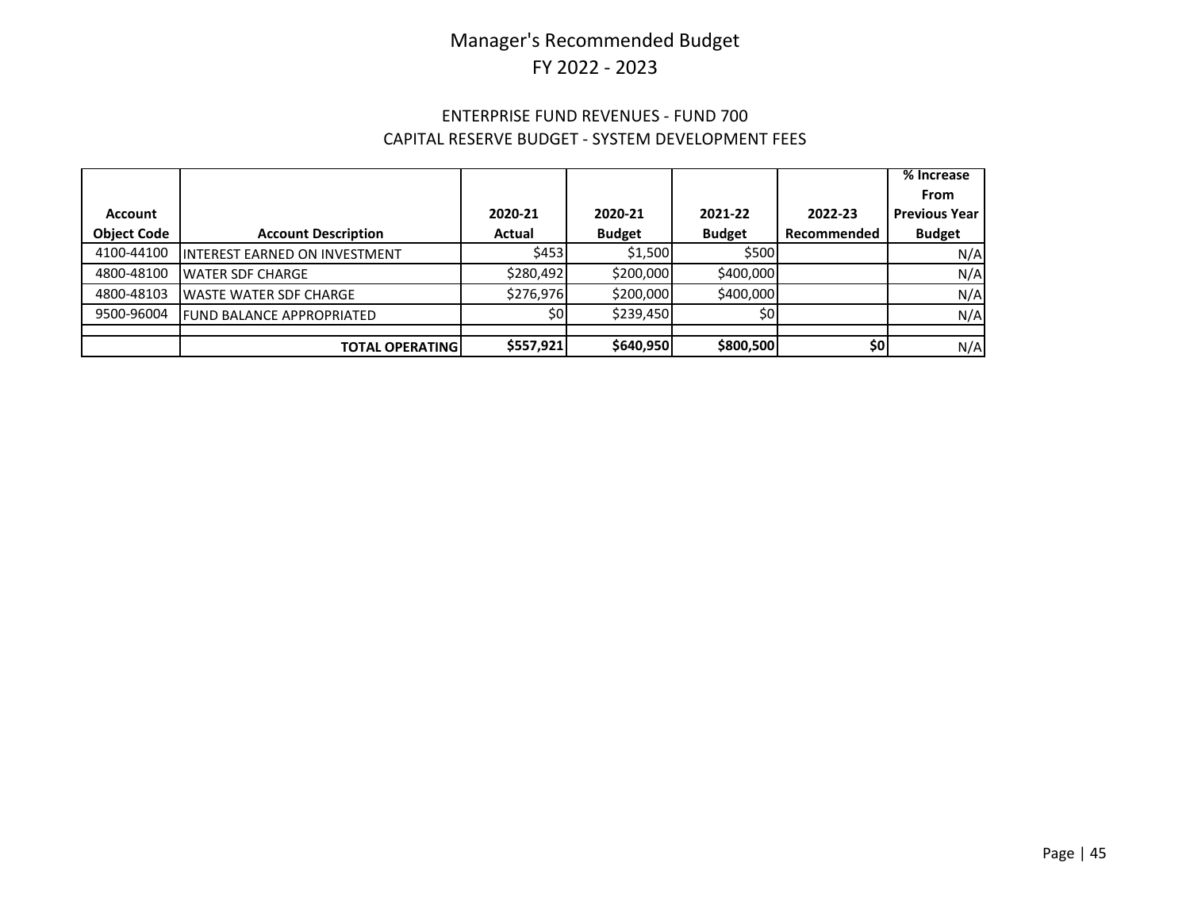### ENTERPRISE FUND REVENUES - FUND 700 CAPITAL RESERVE BUDGET - SYSTEM DEVELOPMENT FEES

|                    |                                       |           |               |               |             | $\overline{\%}$ Increase |
|--------------------|---------------------------------------|-----------|---------------|---------------|-------------|--------------------------|
|                    |                                       |           |               |               |             | From                     |
| <b>Account</b>     |                                       | 2020-21   | 2020-21       | 2021-22       | 2022-23     | <b>Previous Year I</b>   |
| <b>Object Code</b> | <b>Account Description</b>            | Actual    | <b>Budget</b> | <b>Budget</b> | Recommended | <b>Budget</b>            |
| 4100-44100         | <b>IINTEREST EARNED ON INVESTMENT</b> | \$453     | \$1,500       | \$500         |             | N/A                      |
| 4800-48100         | <b>WATER SDF CHARGE</b>               | \$280.492 | \$200,000     | \$400,000     |             | N/A                      |
| 4800-48103         | <b>WASTE WATER SDF CHARGE</b>         | \$276,976 | \$200,000     | \$400,000     |             | N/A                      |
| 9500-96004         | <b>FUND BALANCE APPROPRIATED</b>      | SOI       | \$239,450     | \$0           |             | N/A                      |
|                    |                                       |           |               |               |             |                          |
|                    | <b>TOTAL OPERATINGI</b>               | \$557,921 | \$640,950     | \$800,500     | \$٥         | N/A                      |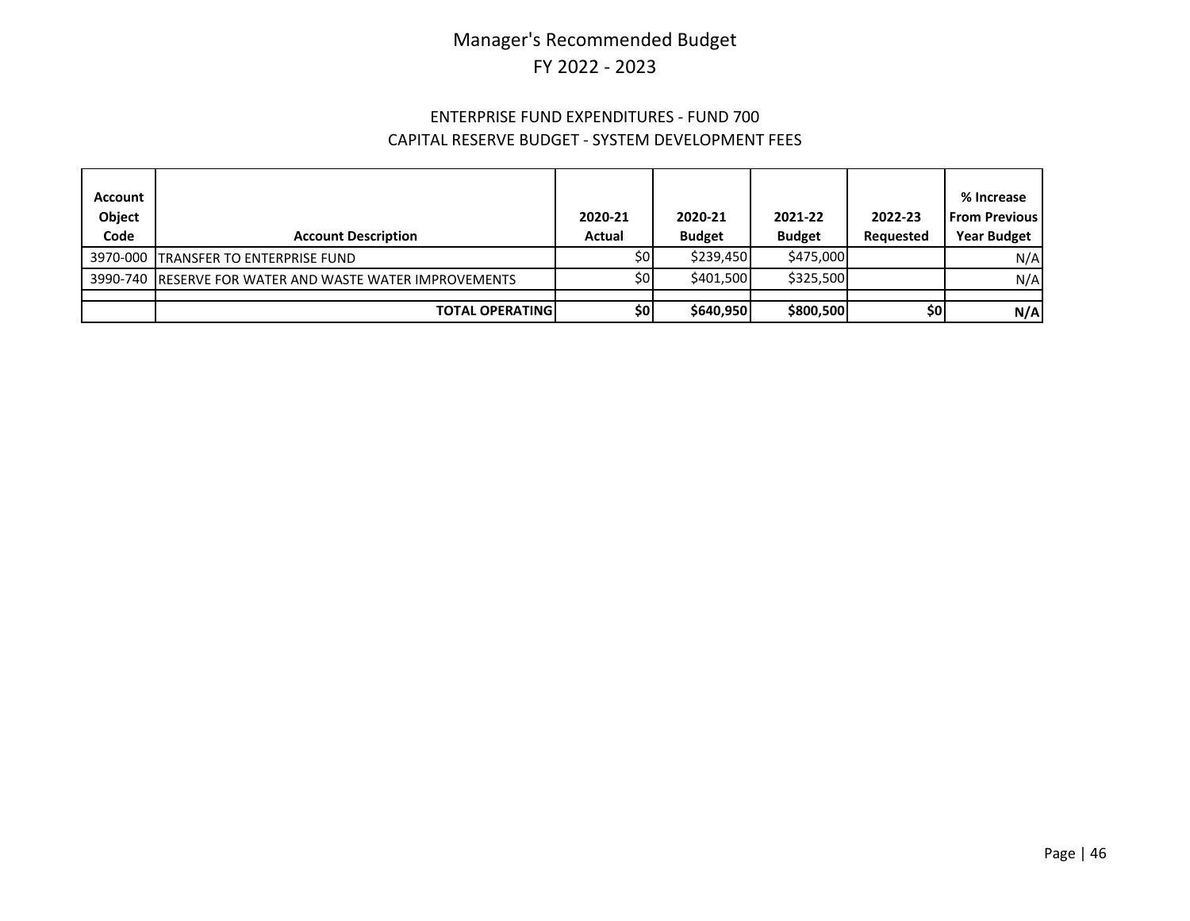#### ENTERPRISE FUND EXPENDITURES - FUND 700 CAPITAL RESERVE BUDGET - SYSTEM DEVELOPMENT FEES

| <b>Account</b><br>Object<br>Code | <b>Account Description</b>                              | 2020-21<br>Actual | 2020-21<br><b>Budget</b> | 2021-22<br><b>Budget</b> | 2022-23<br>Requested | % Increase<br><b>From Previous</b><br><b>Year Budget</b> |
|----------------------------------|---------------------------------------------------------|-------------------|--------------------------|--------------------------|----------------------|----------------------------------------------------------|
|                                  | 3970-000 TRANSFER TO ENTERPRISE FUND                    | \$0I              | \$239.450                | \$475,000                |                      | N/A                                                      |
|                                  | 3990-740 RESERVE FOR WATER AND WASTE WATER IMPROVEMENTS | <b>\$01</b>       | \$401,500                | \$325,500                |                      | N/A                                                      |
|                                  | <b>TOTAL OPERATING</b>                                  | \$0               | \$640,950                | \$800,500                | \$0                  | N/A                                                      |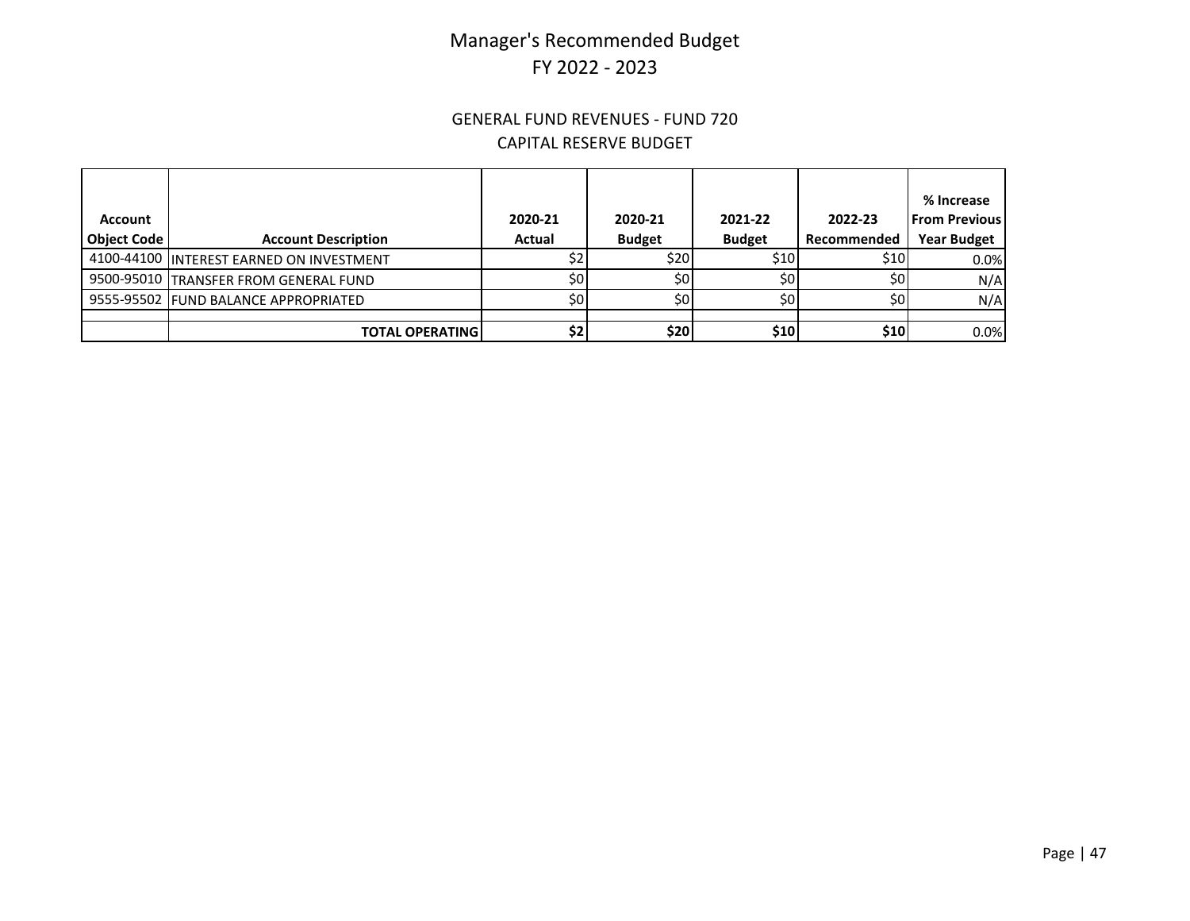#### GENERAL FUND REVENUES - FUND 720 CAPITAL RESERVE BUDGET

| Account            |                                          | 2020-21 | 2020-21         | 2021-22       | 2022-23     | % Increase<br><b>From Previous</b> |
|--------------------|------------------------------------------|---------|-----------------|---------------|-------------|------------------------------------|
| <b>Object Code</b> | <b>Account Description</b>               | Actual  | <b>Budget</b>   | <b>Budget</b> | Recommended | <b>Year Budget</b>                 |
|                    | 4100-44100 INTEREST EARNED ON INVESTMENT |         | \$201           | \$10          | \$10        | 0.0%                               |
|                    | 9500-95010 TRANSFER FROM GENERAL FUND    | \$0l    | 50 <sub>1</sub> | \$0l          | \$0         | N/A                                |
|                    | 9555-95502 FUND BALANCE APPROPRIATED     | \$0l    | S0              | SOI.          | \$0l        | N/A                                |
|                    |                                          |         |                 |               |             |                                    |
|                    | <b>TOTAL OPERATING</b>                   | \$2     | <b>\$20</b>     | \$10          | \$10        | 0.0%                               |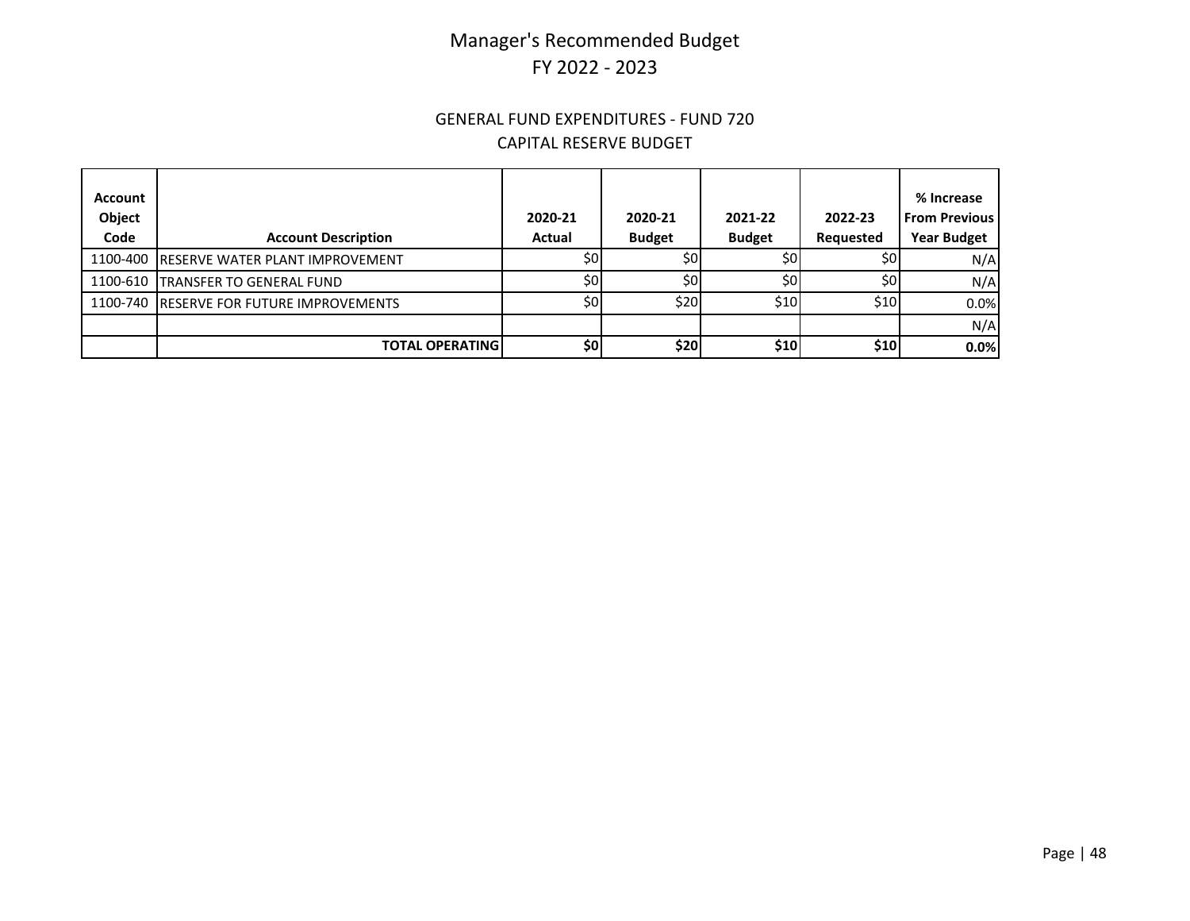#### GENERAL FUND EXPENDITURES - FUND 720 CAPITAL RESERVE BUDGET

| <b>Account</b><br>Object<br>Code | <b>Account Description</b>               | 2020-21<br>Actual | 2020-21<br><b>Budget</b> | 2021-22<br><b>Budget</b> | 2022-23<br>Requested | % Increase<br><b>From Previous</b><br><b>Year Budget</b> |
|----------------------------------|------------------------------------------|-------------------|--------------------------|--------------------------|----------------------|----------------------------------------------------------|
|                                  | 1100-400 RESERVE WATER PLANT IMPROVEMENT | \$0               | \$0                      | \$0                      | \$0                  | N/A                                                      |
|                                  | 1100-610   TRANSFER TO GENERAL FUND      | \$0               | 50 <sub>l</sub>          | \$0                      | \$0                  | N/A                                                      |
|                                  | 1100-740 RESERVE FOR FUTURE IMPROVEMENTS | SOI               | \$20                     | <b>\$10</b>              | \$10 l               | 0.0%                                                     |
|                                  |                                          |                   |                          |                          |                      | N/A                                                      |
|                                  | <b>TOTAL OPERATINGI</b>                  | \$0               | \$20                     | \$10                     | \$10                 | 0.0%                                                     |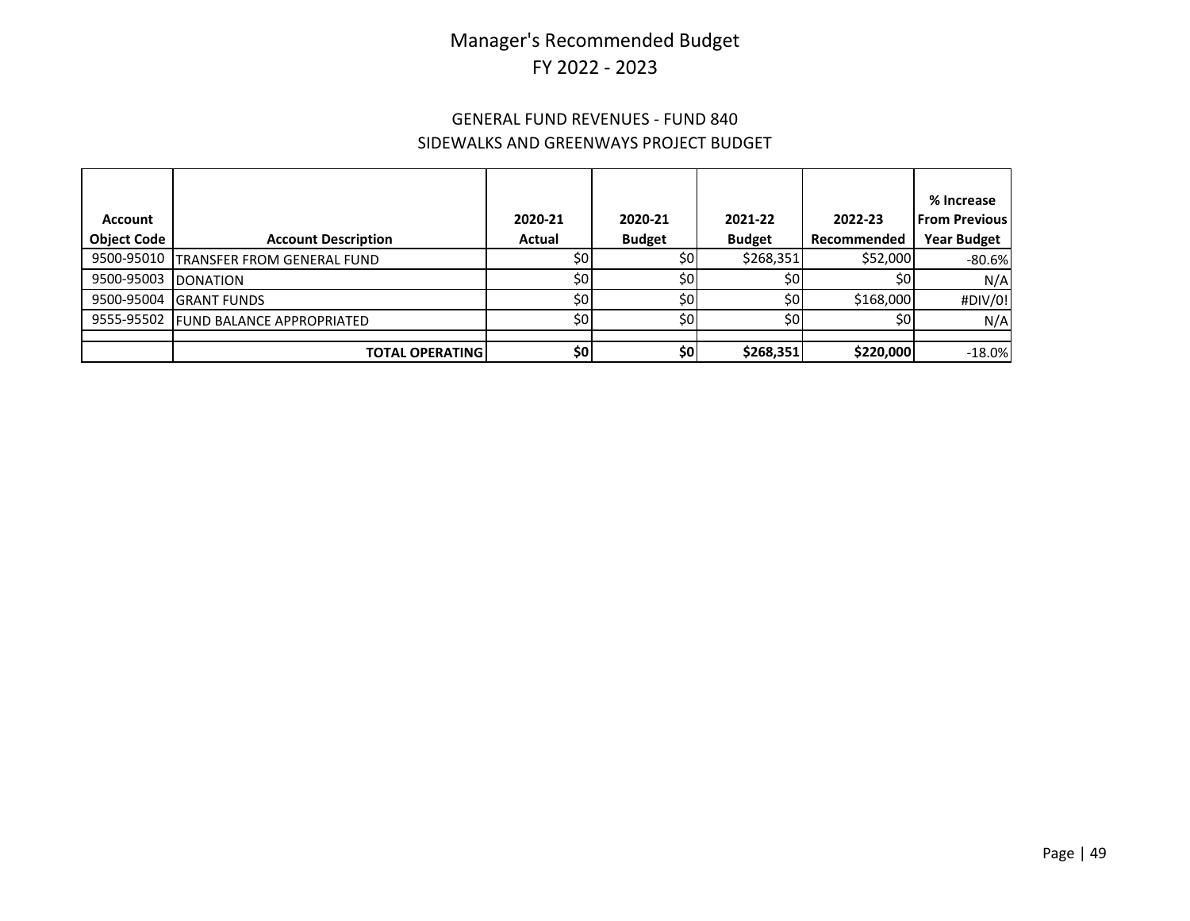### GENERAL FUND REVENUES - FUND 840 SIDEWALKS AND GREENWAYS PROJECT BUDGET

|                    |                                   |         |               |               |             | % Increase           |
|--------------------|-----------------------------------|---------|---------------|---------------|-------------|----------------------|
| <b>Account</b>     |                                   | 2020-21 | 2020-21       | 2021-22       | 2022-23     | <b>From Previous</b> |
| <b>Object Code</b> | <b>Account Description</b>        | Actual  | <b>Budget</b> | <b>Budget</b> | Recommended | <b>Year Budget</b>   |
| 9500-95010         | <b>TRANSFER FROM GENERAL FUND</b> | \$0     | \$0           | \$268,351     | \$52,000    | $-80.6%$             |
| 9500-95003         | <b>DONATION</b>                   | \$0     | \$0           | \$0           | \$0         | N/A                  |
| 9500-95004         | <b>GRANT FUNDS</b>                | \$0     | \$0           | \$0           | \$168,000   | #DIV/0!              |
| 9555-95502         | <b>FUND BALANCE APPROPRIATED</b>  | \$0     | \$0           | \$0           | \$0         | N/A                  |
|                    |                                   |         |               |               |             |                      |
|                    | <b>TOTAL OPERATING</b>            | \$٥     | \$0           | \$268,351     | \$220,000   | $-18.0%$             |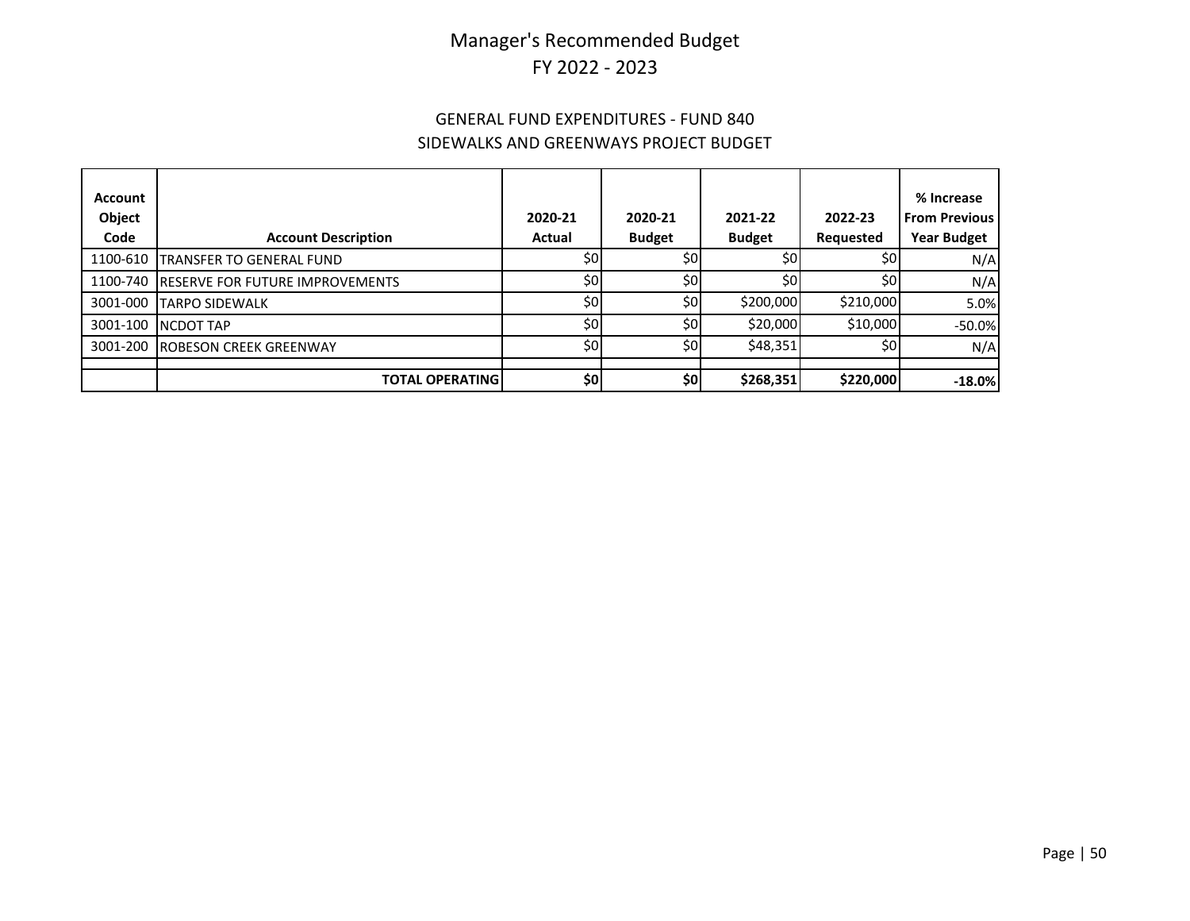### GENERAL FUND EXPENDITURES - FUND 840 SIDEWALKS AND GREENWAYS PROJECT BUDGET

| <b>Account</b><br>Object<br>Code | <b>Account Description</b>             | 2020-21<br>Actual | 2020-21<br><b>Budget</b> | 2021-22<br><b>Budget</b> | 2022-23<br>Requested | % Increase<br><b>From Previous</b><br><b>Year Budget</b> |
|----------------------------------|----------------------------------------|-------------------|--------------------------|--------------------------|----------------------|----------------------------------------------------------|
| 1100-610                         | TRANSFER TO GENERAL FUND               | \$0               | \$٥                      | \$0                      | \$0 <sub>1</sub>     | N/A                                                      |
| 1100-740                         | <b>RESERVE FOR FUTURE IMPROVEMENTS</b> | \$0l              | \$0                      | \$0                      | \$٥                  | N/A                                                      |
| 3001-000                         | <b>TARPO SIDEWALK</b>                  | \$0               | \$0                      | \$200,000                | \$210,000            | 5.0%                                                     |
| 3001-100                         | <b>NCDOT TAP</b>                       | \$0               | \$0                      | \$20,000                 | \$10,000             | $-50.0%$                                                 |
| 3001-200                         | <b>ROBESON CREEK GREENWAY</b>          | \$0l              | \$0                      | \$48,351                 | \$0                  | N/A                                                      |
|                                  |                                        |                   |                          |                          |                      |                                                          |
|                                  | <b>TOTAL OPERATING</b>                 | \$0               | \$0]                     | \$268,351                | \$220,000            | $-18.0%$                                                 |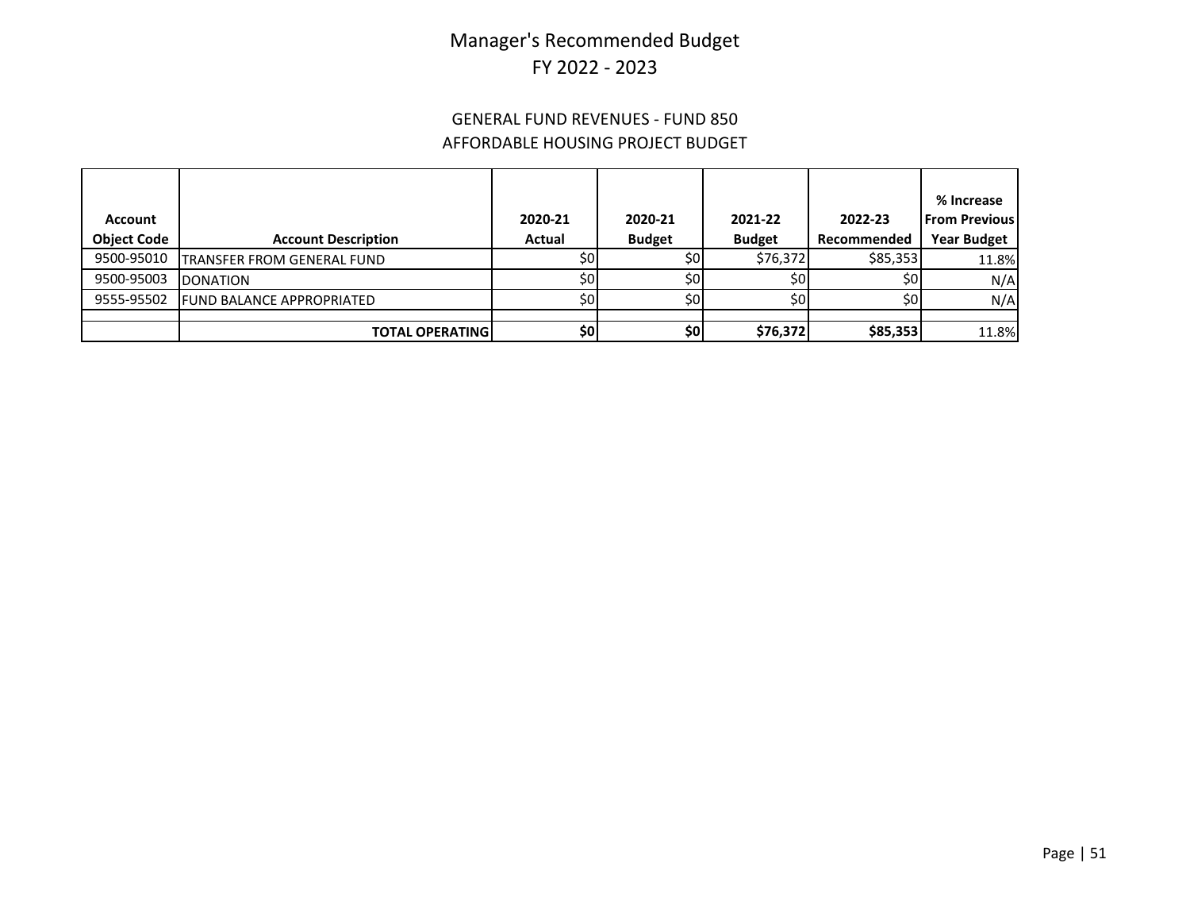### GENERAL FUND REVENUES - FUND 850 AFFORDABLE HOUSING PROJECT BUDGET

|                    |                                   |                  |               |               |                 | % Increase           |
|--------------------|-----------------------------------|------------------|---------------|---------------|-----------------|----------------------|
| Account            |                                   | 2020-21          | 2020-21       | 2021-22       | 2022-23         | <b>From Previous</b> |
| <b>Object Code</b> | <b>Account Description</b>        | Actual           | <b>Budget</b> | <b>Budget</b> | Recommended     | <b>Year Budget</b>   |
| 9500-95010         | <b>TRANSFER FROM GENERAL FUND</b> | \$0              | \$٥           | \$76,372      | \$85,353        | 11.8%                |
| 9500-95003         | <b>DONATION</b>                   | \$0 <sub>1</sub> | \$٥           | \$0l          | 50 <sub>1</sub> | N/A                  |
| 9555-95502         | <b>FUND BALANCE APPROPRIATED</b>  | \$0              | \$0           | \$٥           | \$0             | N/A                  |
|                    |                                   |                  |               |               |                 |                      |
|                    | <b>TOTAL OPERATING I</b>          | \$٥              | \$0           | \$76,372      | \$85,353        | 11.8%                |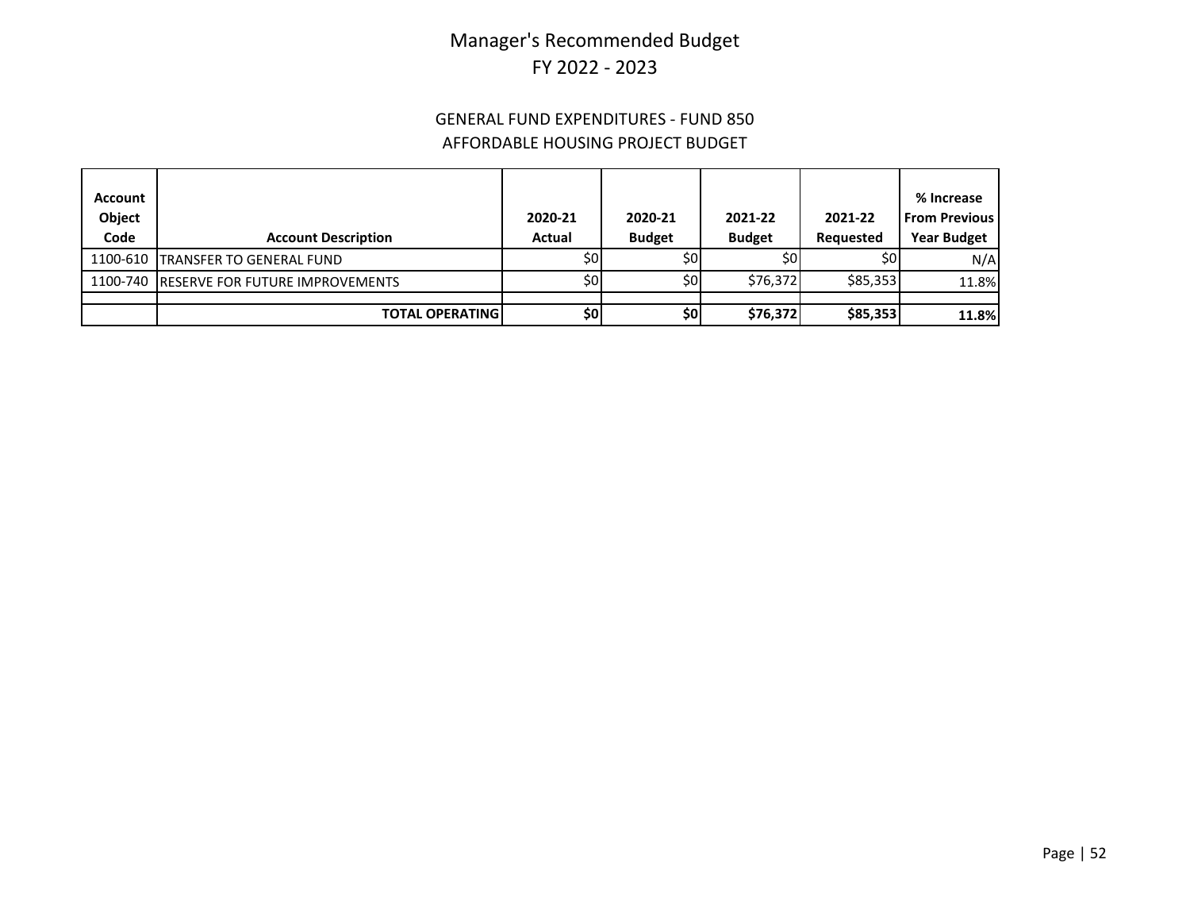### GENERAL FUND EXPENDITURES - FUND 850 AFFORDABLE HOUSING PROJECT BUDGET

| Account<br>Object<br>Code | <b>Account Description</b>               | 2020-21<br>Actual | 2020-21<br><b>Budget</b> | 2021-22<br><b>Budget</b> | 2021-22<br><b>Requested</b> | % Increase<br><b>From Previous</b><br><b>Year Budget</b> |
|---------------------------|------------------------------------------|-------------------|--------------------------|--------------------------|-----------------------------|----------------------------------------------------------|
|                           | 1100-610 TRANSFER TO GENERAL FUND        | \$0               | \$0l                     | \$0                      | \$0l                        | N/A                                                      |
|                           | 1100-740 RESERVE FOR FUTURE IMPROVEMENTS | \$0               | \$0                      | \$76,372                 | \$85,353                    | 11.8%                                                    |
|                           |                                          |                   |                          |                          |                             |                                                          |
|                           | <b>TOTAL OPERATINGI</b>                  | \$0               | \$0                      | \$76,372                 | \$85,353                    | 11.8%                                                    |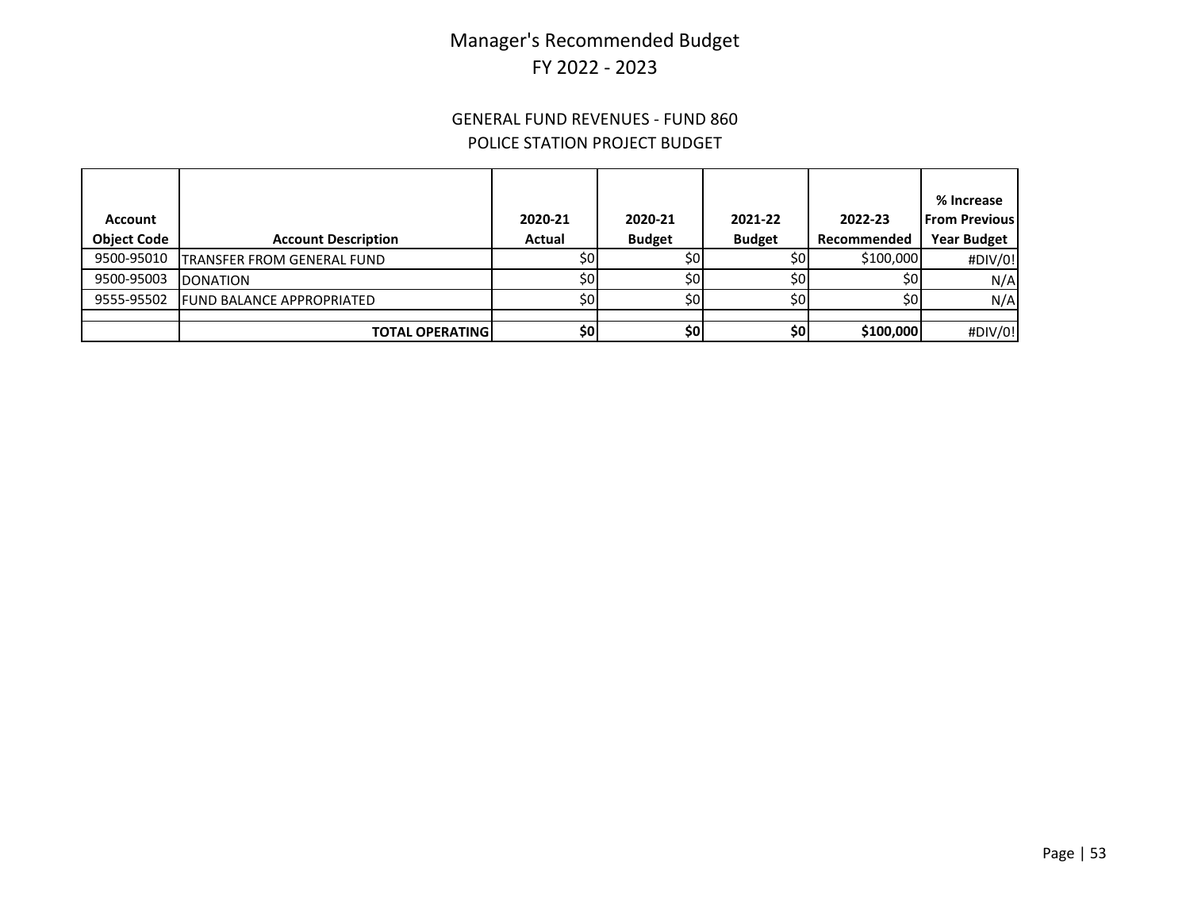#### GENERAL FUND REVENUES - FUND 860 POLICE STATION PROJECT BUDGET

| Account<br><b>Object Code</b> | <b>Account Description</b>        | 2020-21<br>Actual | 2020-21<br><b>Budget</b> | 2021-22<br><b>Budget</b> | 2022-23<br>Recommended | % Increase<br><b>From Previous</b><br><b>Year Budget</b> |
|-------------------------------|-----------------------------------|-------------------|--------------------------|--------------------------|------------------------|----------------------------------------------------------|
| 9500-95010                    | <b>TRANSFER FROM GENERAL FUND</b> | \$0               | \$0                      | \$٥                      | \$100,000              | #DIV/0!                                                  |
| 9500-95003                    | <b>DONATION</b>                   | \$0 <sub>1</sub>  | 50 <sub>1</sub>          | \$0l                     | 50 <sub>1</sub>        | N/A                                                      |
| 9555-95502                    | <b>FUND BALANCE APPROPRIATED</b>  | \$0               | \$0                      | \$0                      | \$0                    | N/A                                                      |
|                               |                                   |                   |                          |                          |                        |                                                          |
|                               | <b>TOTAL OPERATING I</b>          | \$٥               | \$0                      | \$٥                      | \$100,000              | #DIV/0!                                                  |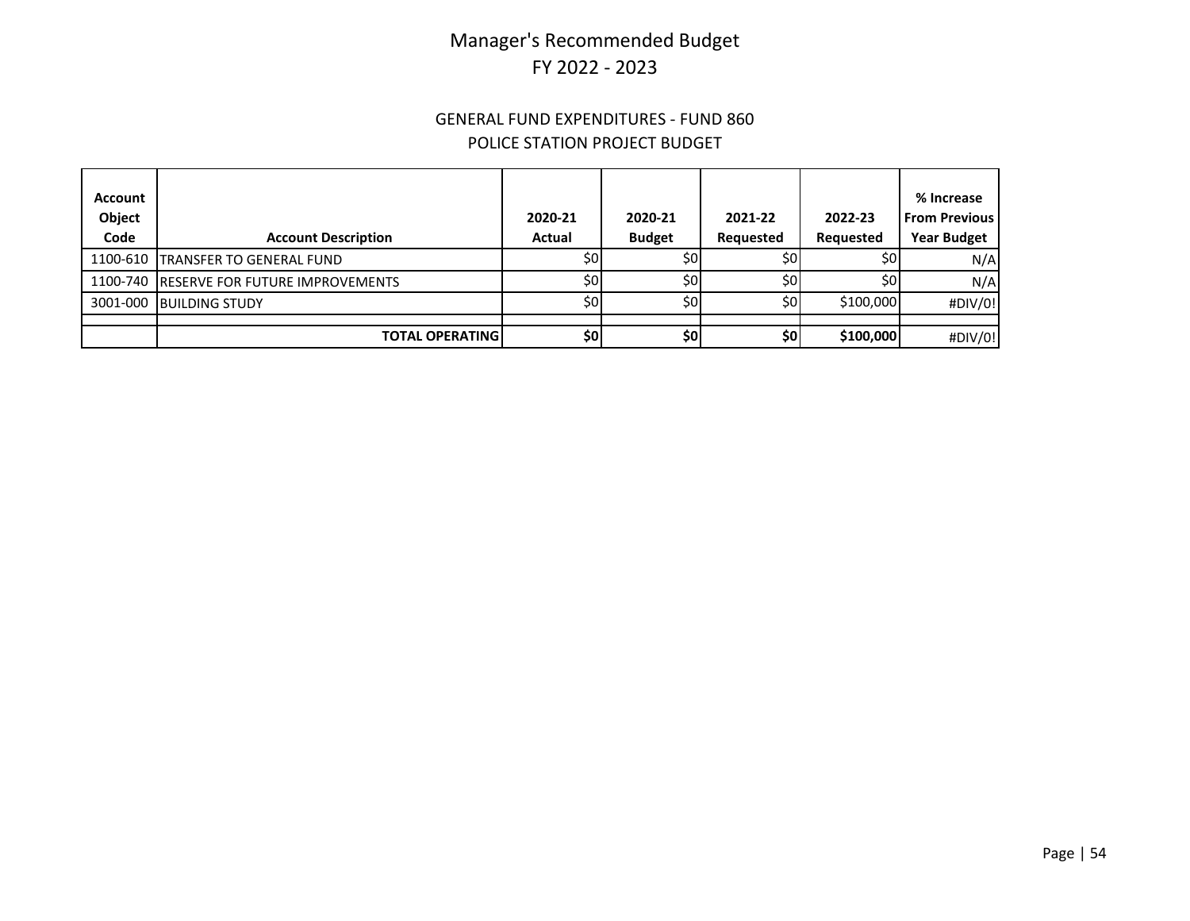#### GENERAL FUND EXPENDITURES - FUND 860 POLICE STATION PROJECT BUDGET

| Account<br>Object<br>Code | <b>Account Description</b>               | 2020-21<br>Actual | 2020-21<br><b>Budget</b> | 2021-22<br>Requested | 2022-23<br>Requested | % Increase<br><b>From Previous</b><br><b>Year Budget</b> |
|---------------------------|------------------------------------------|-------------------|--------------------------|----------------------|----------------------|----------------------------------------------------------|
|                           | 1100-610 TRANSFER TO GENERAL FUND        | \$0l              | \$0l                     | 50 <sub>1</sub>      | \$0                  | N/A                                                      |
|                           | 1100-740 RESERVE FOR FUTURE IMPROVEMENTS | \$0               | 50 <sub>1</sub>          | \$0                  | \$0                  | N/A                                                      |
|                           | 3001-000 BUILDING STUDY                  | \$0l              | \$0                      | \$0I                 | \$100,000            | #DIV/0!                                                  |
|                           |                                          |                   |                          |                      |                      |                                                          |
|                           | <b>TOTAL OPERATING</b>                   | \$0               | \$0                      | \$0                  | \$100,000            | #DIV/0!                                                  |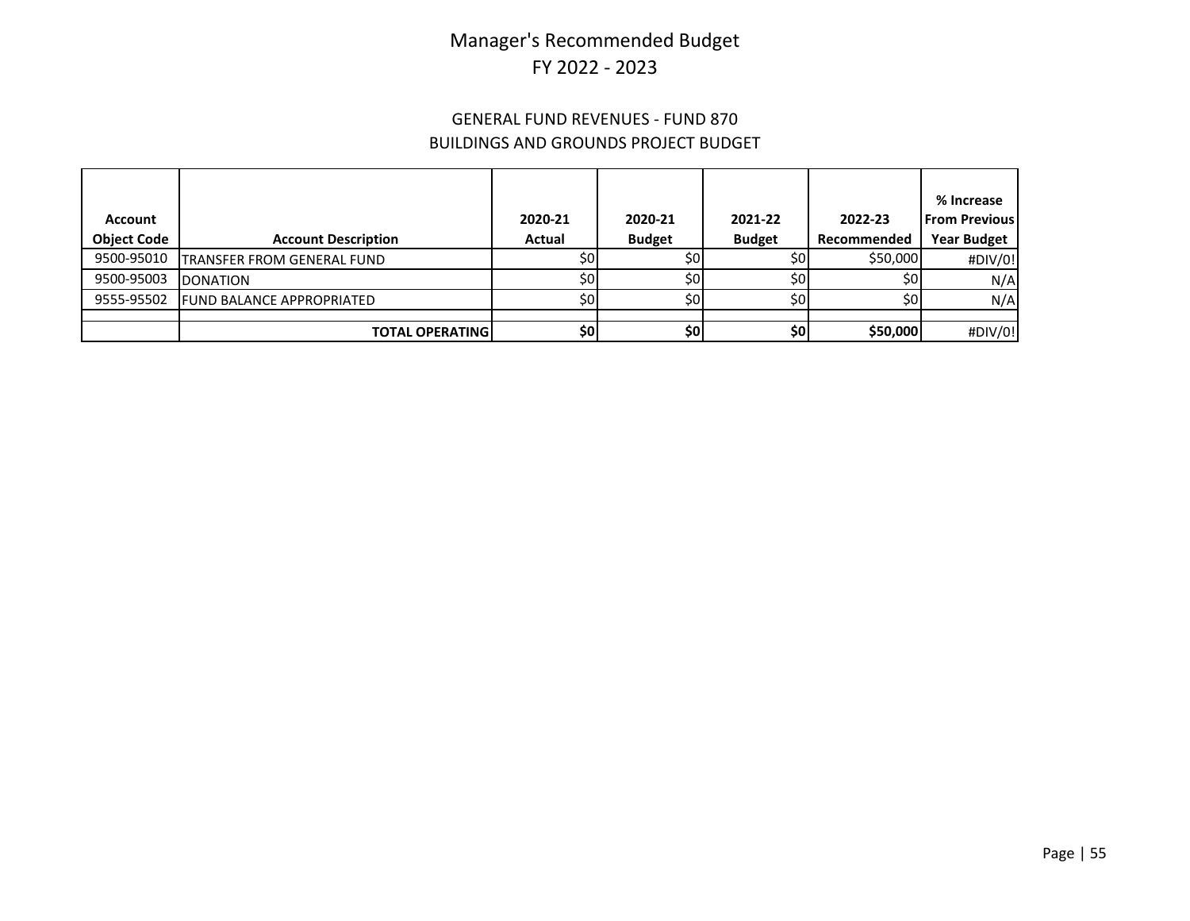### GENERAL FUND REVENUES - FUND 870 BUILDINGS AND GROUNDS PROJECT BUDGET

|                    |                                  |         |               |               |                 | % Increase           |
|--------------------|----------------------------------|---------|---------------|---------------|-----------------|----------------------|
| Account            |                                  | 2020-21 | 2020-21       | 2021-22       | 2022-23         | <b>From Previous</b> |
| <b>Object Code</b> | <b>Account Description</b>       | Actual  | <b>Budget</b> | <b>Budget</b> | Recommended     | <b>Year Budget</b>   |
| 9500-95010         | TRANSFER FROM GENERAL FUND       | \$0     | \$0           | \$٥           | \$50,000        | #DIV/0!              |
| 9500-95003         | <b>DONATION</b>                  | \$0     | \$٥           | \$٥           | \$0             | N/A                  |
| 9555-95502         | <b>FUND BALANCE APPROPRIATED</b> | \$0     | \$0           | \$٥           | 50 <sub>1</sub> | N/A                  |
|                    |                                  |         |               |               |                 |                      |
|                    | <b>TOTAL OPERATING</b>           | \$٥     | \$0           | \$0           | \$50,000        | #DIV/0!              |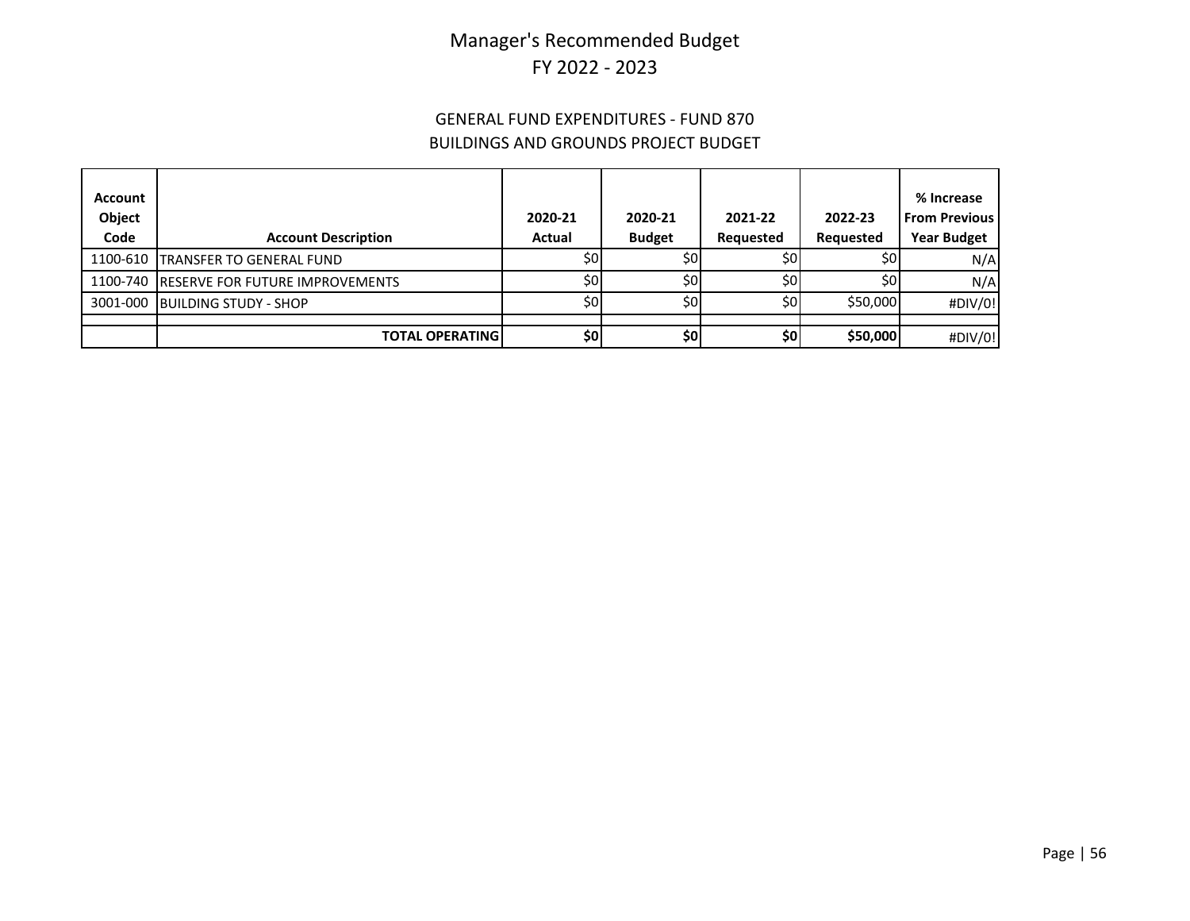### GENERAL FUND EXPENDITURES - FUND 870 BUILDINGS AND GROUNDS PROJECT BUDGET

| Account<br>Object<br>Code | <b>Account Description</b>               | 2020-21<br><b>Actual</b> | 2020-21<br><b>Budget</b> | 2021-22<br><b>Requested</b> | 2022-23<br>Requested | % Increase<br><b>From Previous</b><br><b>Year Budget</b> |
|---------------------------|------------------------------------------|--------------------------|--------------------------|-----------------------------|----------------------|----------------------------------------------------------|
|                           | 1100-610 TRANSFER TO GENERAL FUND        | \$0I                     | \$0                      | \$0                         | \$0                  | N/A                                                      |
|                           | 1100-740 RESERVE FOR FUTURE IMPROVEMENTS | \$0l                     | \$0                      | \$0 <sub>1</sub>            | 50 <sub>l</sub>      | N/A                                                      |
|                           | 3001-000 BUILDING STUDY - SHOP           | \$0                      | \$0                      | \$0                         | \$50,000             | #DIV/0!                                                  |
|                           |                                          |                          |                          |                             |                      |                                                          |
|                           | <b>TOTAL OPERATING</b>                   | \$0]                     | \$0                      | \$0                         | \$50,000             | #DIV/0!                                                  |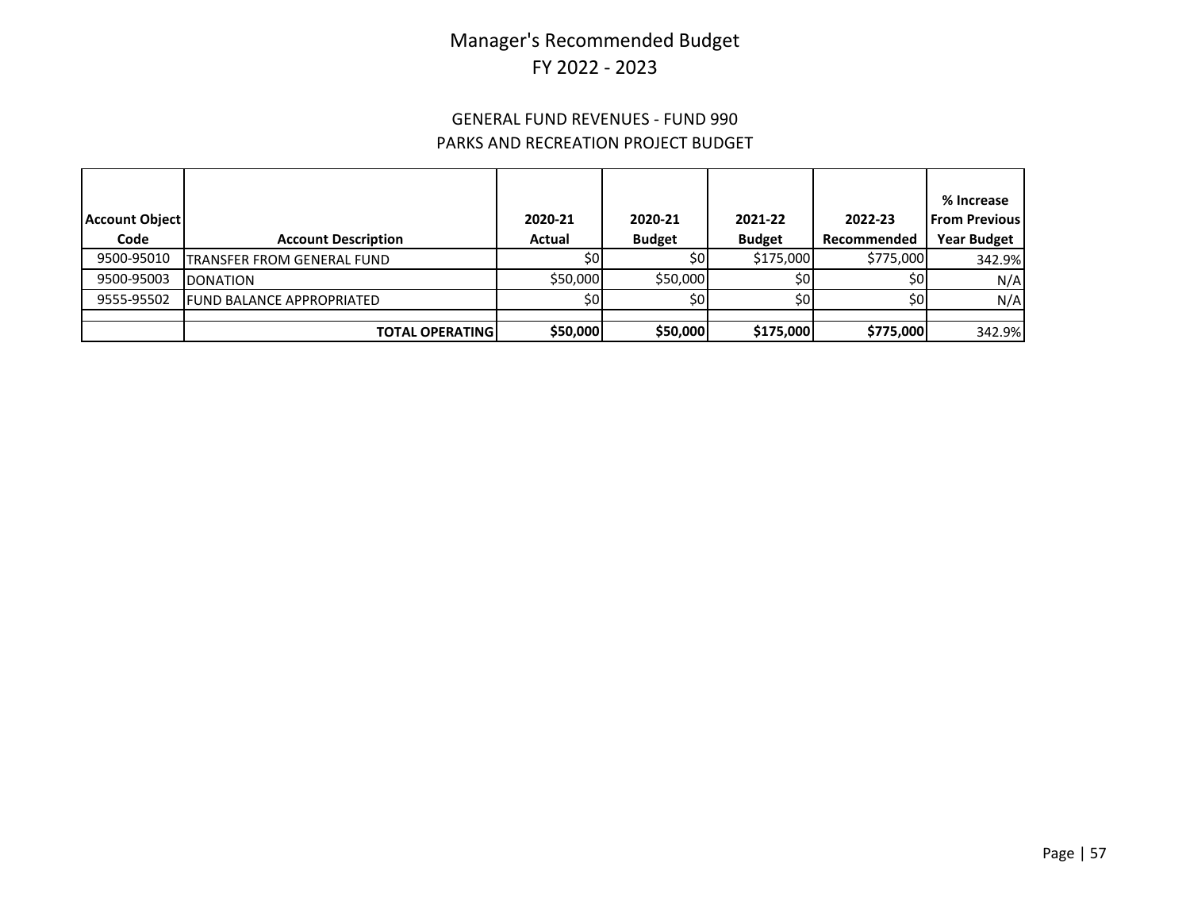### GENERAL FUND REVENUES - FUND 990 PARKS AND RECREATION PROJECT BUDGET

| <b>Account Object</b><br>Code | <b>Account Description</b>        | 2020-21<br>Actual | 2020-21       | 2021-22<br><b>Budget</b> | 2022-23<br>Recommended | % Increase<br><b>From Previous</b><br><b>Year Budget</b> |
|-------------------------------|-----------------------------------|-------------------|---------------|--------------------------|------------------------|----------------------------------------------------------|
|                               |                                   |                   | <b>Budget</b> |                          |                        |                                                          |
| 9500-95010                    | <b>TRANSFER FROM GENERAL FUND</b> | 50 <sub>1</sub>   | \$٥           | \$175,000                | \$775,000              | 342.9%                                                   |
| 9500-95003                    | <b>DONATION</b>                   | \$50,000          | \$50,000      | SOI                      | \$0                    | N/A                                                      |
| 9555-95502                    | <b>FUND BALANCE APPROPRIATED</b>  | \$0               | \$0l          |                          | \$0                    | N/A                                                      |
|                               |                                   |                   |               |                          |                        |                                                          |
|                               | <b>TOTAL OPERATING</b>            | \$50,000          | \$50,000      | \$175,000                | \$775,000              | 342.9%                                                   |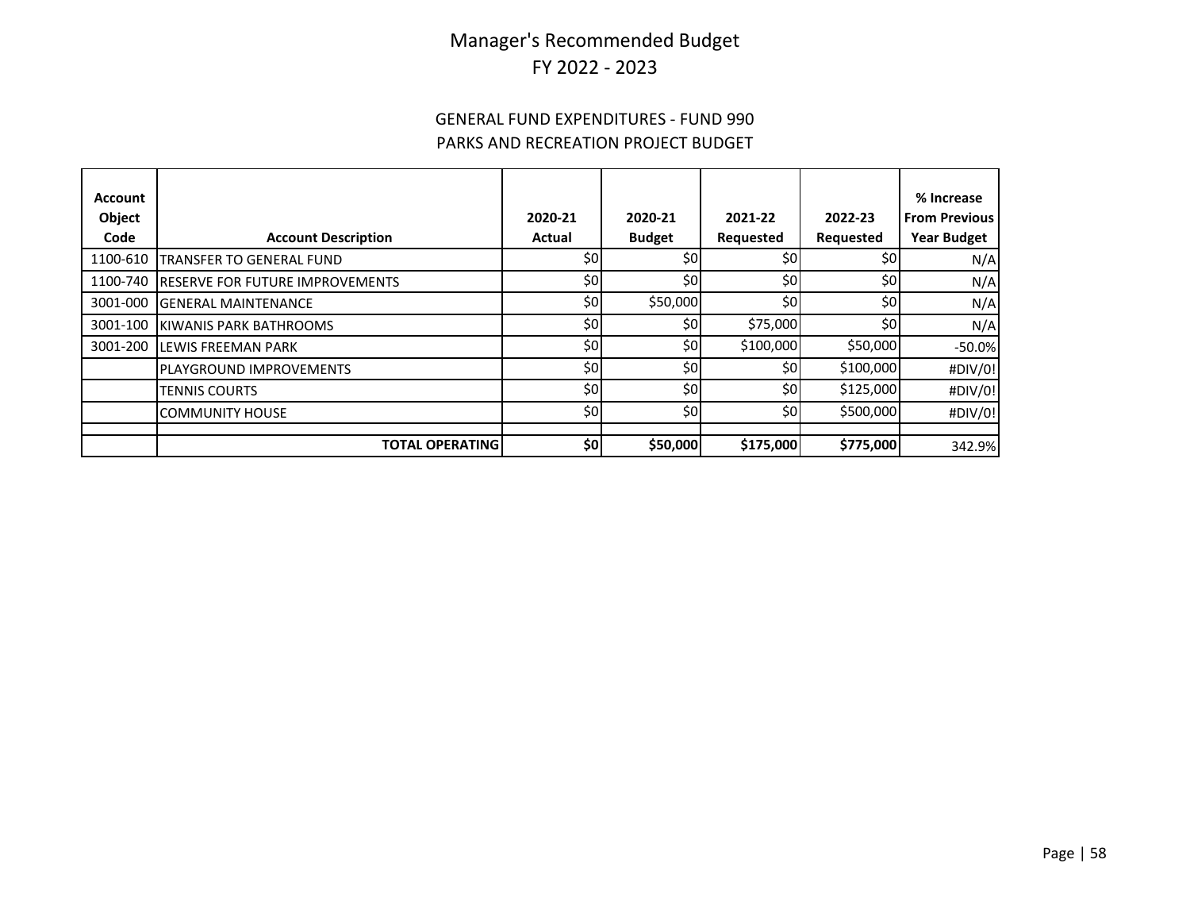### GENERAL FUND EXPENDITURES - FUND 990 PARKS AND RECREATION PROJECT BUDGET

| Account<br>Object<br>Code | <b>Account Description</b>             | 2020-21<br>Actual | 2020-21<br><b>Budget</b> | 2021-22<br>Requested | 2022-23<br>Requested | % Increase<br><b>From Previous</b><br><b>Year Budget</b> |
|---------------------------|----------------------------------------|-------------------|--------------------------|----------------------|----------------------|----------------------------------------------------------|
| 1100-610                  | TRANSFER TO GENERAL FUND               | \$0               | \$0                      | \$0                  | \$0 <sub>1</sub>     | N/A                                                      |
| 1100-740                  | <b>RESERVE FOR FUTURE IMPROVEMENTS</b> | \$0               | \$0                      | \$0                  | \$0                  | N/A                                                      |
| 3001-000                  | <b>GENERAL MAINTENANCE</b>             | \$0               | \$50,000                 | \$0                  | \$0                  | N/A                                                      |
| 3001-100                  | KIWANIS PARK BATHROOMS                 | \$0               | \$0                      | \$75,000             | \$0                  | N/A                                                      |
| 3001-200                  | LEWIS FREEMAN PARK                     | \$0               | \$٥                      | \$100,000            | \$50,000             | $-50.0%$                                                 |
|                           | <b>PLAYGROUND IMPROVEMENTS</b>         | \$0               | \$0                      | \$0                  | \$100,000            | #DIV/0!                                                  |
|                           | <b>TENNIS COURTS</b>                   | \$0               | \$0                      | \$0                  | \$125,000            | #DIV/0!                                                  |
|                           | <b>COMMUNITY HOUSE</b>                 | \$0               | \$0                      | \$0                  | \$500,000            | #DIV/0!                                                  |
|                           | <b>TOTAL OPERATING</b>                 | \$0               | \$50,000                 | \$175,000            | \$775,000            | 342.9%                                                   |